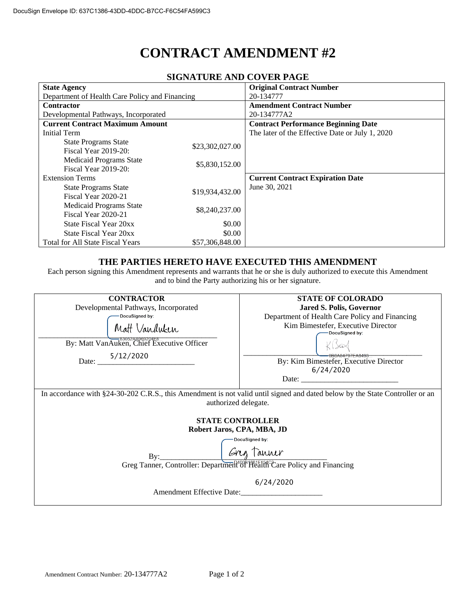# **CONTRACT AMENDMENT #2**

| SIGNATUNE AND COVERTAGE                                |                 |                                                 |  |  |
|--------------------------------------------------------|-----------------|-------------------------------------------------|--|--|
| <b>State Agency</b>                                    |                 | <b>Original Contract Number</b>                 |  |  |
| Department of Health Care Policy and Financing         |                 | 20-134777                                       |  |  |
| <b>Contractor</b>                                      |                 | <b>Amendment Contract Number</b>                |  |  |
| Developmental Pathways, Incorporated                   |                 | 20-134777A2                                     |  |  |
| <b>Current Contract Maximum Amount</b>                 |                 | <b>Contract Performance Beginning Date</b>      |  |  |
| <b>Initial Term</b>                                    |                 | The later of the Effective Date or July 1, 2020 |  |  |
| <b>State Programs State</b><br>Fiscal Year 2019-20:    | \$23,302,027.00 |                                                 |  |  |
| <b>Medicaid Programs State</b><br>Fiscal Year 2019-20: | \$5,830,152.00  |                                                 |  |  |
| <b>Extension Terms</b>                                 |                 | <b>Current Contract Expiration Date</b>         |  |  |
| <b>State Programs State</b><br>Fiscal Year 2020-21     | \$19,934,432.00 | June 30, 2021                                   |  |  |
| <b>Medicaid Programs State</b><br>Fiscal Year 2020-21  | \$8,240,237.00  |                                                 |  |  |
| State Fiscal Year 20xx                                 | \$0.00          |                                                 |  |  |
| State Fiscal Year 20xx                                 | \$0.00          |                                                 |  |  |
| <b>Total for All State Fiscal Years</b>                | \$57,306,848.00 |                                                 |  |  |

## **SIGNATURE AND COVER PAGE**

## **THE PARTIES HERETO HAVE EXECUTED THIS AMENDMENT**

Each person signing this Amendment represents and warrants that he or she is duly authorized to execute this Amendment and to bind the Party authorizing his or her signature.

| <b>CONTRACTOR</b>                                                                                                                                    | <b>STATE OF COLORADO</b>                             |  |
|------------------------------------------------------------------------------------------------------------------------------------------------------|------------------------------------------------------|--|
| Developmental Pathways, Incorporated                                                                                                                 | <b>Jared S. Polis, Governor</b>                      |  |
| -DocuSigned by:                                                                                                                                      | Department of Health Care Policy and Financing       |  |
| Matt Vanduken                                                                                                                                        | Kim Bimestefer, Executive Director<br>DocuSigned by: |  |
| By: Matt VanAuken, Chief Executive Officer                                                                                                           |                                                      |  |
| Date: $\frac{5/12/2020}{2}$                                                                                                                          | By: Kim Bimestefer, Executive Director               |  |
|                                                                                                                                                      | 6/24/2020                                            |  |
|                                                                                                                                                      | Date: $\frac{1}{2}$                                  |  |
| In accordance with §24-30-202 C.R.S., this Amendment is not valid until signed and dated below by the State Controller or an<br>authorized delegate. |                                                      |  |
| <b>STATE CONTROLLER</b>                                                                                                                              |                                                      |  |
| Robert Jaros, CPA, MBA, JD                                                                                                                           |                                                      |  |
|                                                                                                                                                      | <b>DocuSigned by:</b>                                |  |
| Greg Tanner<br>Greg Tanner, Controller: Department of Health Care Policy and Financing                                                               |                                                      |  |
| 6/24/2020                                                                                                                                            |                                                      |  |
| Amendment Effective Date:                                                                                                                            |                                                      |  |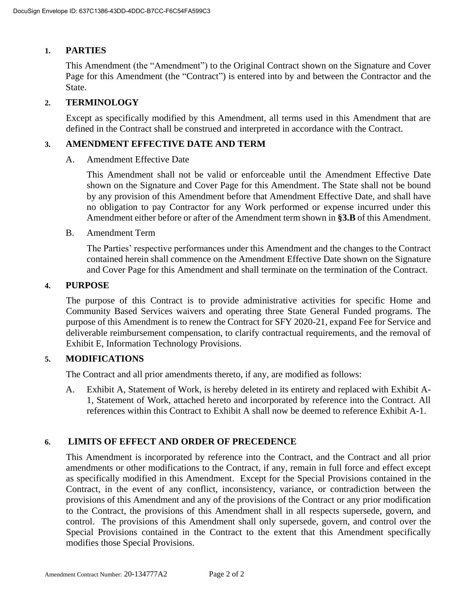## **1. PARTIES**

This Amendment (the "Amendment") to the Original Contract shown on the Signature and Cover Page for this Amendment (the "Contract") is entered into by and between the Contractor and the State.

### **2. TERMINOLOGY**

Except as specifically modified by this Amendment, all terms used in this Amendment that are defined in the Contract shall be construed and interpreted in accordance with the Contract.

#### **3. AMENDMENT EFFECTIVE DATE AND TERM**

A. Amendment Effective Date

This Amendment shall not be valid or enforceable until the Amendment Effective Date shown on the Signature and Cover Page for this Amendment. The State shall not be bound by any provision of this Amendment before that Amendment Effective Date, and shall have no obligation to pay Contractor for any Work performed or expense incurred under this Amendment either before or after of the Amendment term shown in **§3.B** of this Amendment.

B. Amendment Term

The Parties' respective performances under this Amendment and the changes to the Contract contained herein shall commence on the Amendment Effective Date shown on the Signature and Cover Page for this Amendment and shall terminate on the termination of the Contract.

#### **4. PURPOSE**

The purpose of this Contract is to provide administrative activities for specific Home and Community Based Services waivers and operating three State General Funded programs. The purpose of this Amendment is to renew the Contract for SFY 2020-21, expand Fee for Service and deliverable reimbursement compensation, to clarify contractual requirements, and the removal of Exhibit E, Information Technology Provisions.

## **5. MODIFICATIONS**

The Contract and all prior amendments thereto, if any, are modified as follows:

A. Exhibit A, Statement of Work, is hereby deleted in its entirety and replaced with Exhibit A-1, Statement of Work, attached hereto and incorporated by reference into the Contract. All references within this Contract to Exhibit A shall now be deemed to reference Exhibit A-1.

## **6. LIMITS OF EFFECT AND ORDER OF PRECEDENCE**

This Amendment is incorporated by reference into the Contract, and the Contract and all prior amendments or other modifications to the Contract, if any, remain in full force and effect except as specifically modified in this Amendment. Except for the Special Provisions contained in the Contract, in the event of any conflict, inconsistency, variance, or contradiction between the provisions of this Amendment and any of the provisions of the Contract or any prior modification to the Contract, the provisions of this Amendment shall in all respects supersede, govern, and control. The provisions of this Amendment shall only supersede, govern, and control over the Special Provisions contained in the Contract to the extent that this Amendment specifically modifies those Special Provisions.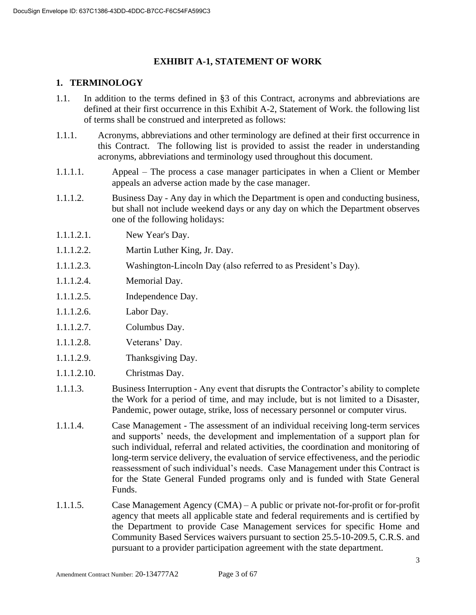## **EXHIBIT A-1, STATEMENT OF WORK**

### **1. TERMINOLOGY**

- 1.1. In addition to the terms defined in §3 of this Contract, acronyms and abbreviations are defined at their first occurrence in this Exhibit A-2, Statement of Work. the following list of terms shall be construed and interpreted as follows:
- 1.1.1. Acronyms, abbreviations and other terminology are defined at their first occurrence in this Contract. The following list is provided to assist the reader in understanding acronyms, abbreviations and terminology used throughout this document.
- 1.1.1.1. Appeal The process a case manager participates in when a Client or Member appeals an adverse action made by the case manager.
- 1.1.1.2. Business Day Any day in which the Department is open and conducting business, but shall not include weekend days or any day on which the Department observes one of the following holidays:
- 1.1.1.2.1. New Year's Day.
- 1.1.1.2.2. Martin Luther King, Jr. Day.
- 1.1.1.2.3. Washington-Lincoln Day (also referred to as President's Day).
- 1.1.1.2.4. Memorial Day.
- 1.1.1.2.5. Independence Day.
- 1.1.1.2.6. Labor Day.
- 1.1.1.2.7. Columbus Day.
- 1.1.1.2.8. Veterans' Day.
- 1.1.1.2.9. Thanksgiving Day.
- 1.1.1.2.10. Christmas Day.
- 1.1.1.3. Business Interruption Any event that disrupts the Contractor's ability to complete the Work for a period of time, and may include, but is not limited to a Disaster, Pandemic, power outage, strike, loss of necessary personnel or computer virus.
- 1.1.1.4. Case Management The assessment of an individual receiving long-term services and supports' needs, the development and implementation of a support plan for such individual, referral and related activities, the coordination and monitoring of long-term service delivery, the evaluation of service effectiveness, and the periodic reassessment of such individual's needs. Case Management under this Contract is for the State General Funded programs only and is funded with State General Funds.
- 1.1.1.5. Case Management Agency (CMA) A public or private not-for-profit or for-profit agency that meets all applicable state and federal requirements and is certified by the Department to provide Case Management services for specific Home and Community Based Services waivers pursuant to section 25.5-10-209.5, C.R.S. and pursuant to a provider participation agreement with the state department.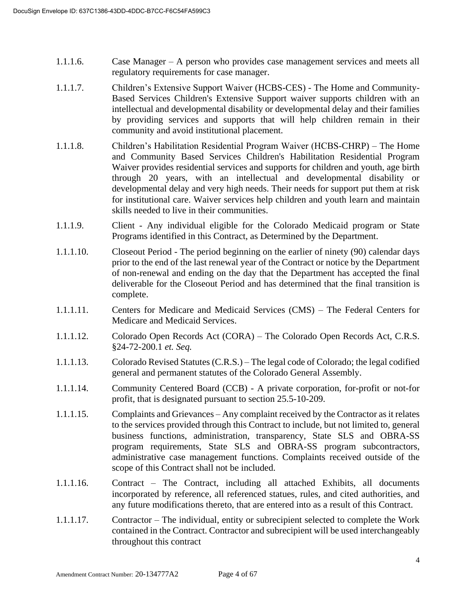- 1.1.1.6. Case Manager A person who provides case management services and meets all regulatory requirements for case manager.
- 1.1.1.7. Children's Extensive Support Waiver (HCBS-CES) The Home and Community-Based Services Children's Extensive Support waiver supports children with an intellectual and developmental disability or developmental delay and their families by providing services and supports that will help children remain in their community and avoid institutional placement.
- 1.1.1.8. Children's Habilitation Residential Program Waiver (HCBS-CHRP) The Home and Community Based Services Children's Habilitation Residential Program Waiver provides residential services and supports for children and youth, age birth through 20 years, with an intellectual and developmental disability or developmental delay and very high needs. Their needs for support put them at risk for institutional care. Waiver services help children and youth learn and maintain skills needed to live in their communities.
- 1.1.1.9. Client Any individual eligible for the Colorado Medicaid program or State Programs identified in this Contract, as Determined by the Department.
- 1.1.1.10. Closeout Period The period beginning on the earlier of ninety (90) calendar days prior to the end of the last renewal year of the Contract or notice by the Department of non-renewal and ending on the day that the Department has accepted the final deliverable for the Closeout Period and has determined that the final transition is complete.
- 1.1.1.11. Centers for Medicare and Medicaid Services (CMS) The Federal Centers for Medicare and Medicaid Services.
- 1.1.1.12. Colorado Open Records Act (CORA) The Colorado Open Records Act, C.R.S. §24-72-200.1 *et. Seq.*
- 1.1.1.13. Colorado Revised Statutes (C.R.S.) The legal code of Colorado; the legal codified general and permanent statutes of the Colorado General Assembly.
- 1.1.1.14. Community Centered Board (CCB) A private corporation, for-profit or not-for profit, that is designated pursuant to section 25.5-10-209.
- 1.1.1.15. Complaints and Grievances Any complaint received by the Contractor as it relates to the services provided through this Contract to include, but not limited to, general business functions, administration, transparency, State SLS and OBRA-SS program requirements, State SLS and OBRA-SS program subcontractors, administrative case management functions. Complaints received outside of the scope of this Contract shall not be included.
- 1.1.1.16. Contract The Contract, including all attached Exhibits, all documents incorporated by reference, all referenced statues, rules, and cited authorities, and any future modifications thereto, that are entered into as a result of this Contract.
- 1.1.1.17. Contractor The individual, entity or subrecipient selected to complete the Work contained in the Contract. Contractor and subrecipient will be used interchangeably throughout this contract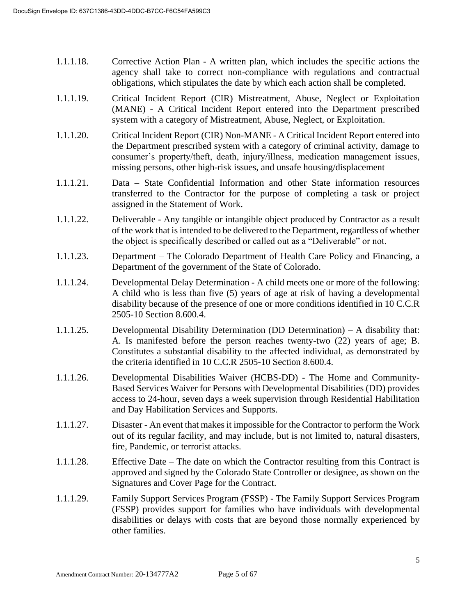- 1.1.1.18. Corrective Action Plan A written plan, which includes the specific actions the agency shall take to correct non-compliance with regulations and contractual obligations, which stipulates the date by which each action shall be completed.
- 1.1.1.19. Critical Incident Report (CIR) Mistreatment, Abuse, Neglect or Exploitation (MANE) - A Critical Incident Report entered into the Department prescribed system with a category of Mistreatment, Abuse, Neglect, or Exploitation.
- 1.1.1.20. Critical Incident Report (CIR) Non-MANE A Critical Incident Report entered into the Department prescribed system with a category of criminal activity, damage to consumer's property/theft, death, injury/illness, medication management issues, missing persons, other high-risk issues, and unsafe housing/displacement
- 1.1.1.21. Data State Confidential Information and other State information resources transferred to the Contractor for the purpose of completing a task or project assigned in the Statement of Work.
- 1.1.1.22. Deliverable Any tangible or intangible object produced by Contractor as a result of the work that is intended to be delivered to the Department, regardless of whether the object is specifically described or called out as a "Deliverable" or not.
- 1.1.1.23. Department The Colorado Department of Health Care Policy and Financing, a Department of the government of the State of Colorado.
- 1.1.1.24. Developmental Delay Determination A child meets one or more of the following: A child who is less than five (5) years of age at risk of having a developmental disability because of the presence of one or more conditions identified in 10 C.C.R 2505-10 Section 8.600.4.
- 1.1.1.25. Developmental Disability Determination (DD Determination) A disability that: A. Is manifested before the person reaches twenty-two (22) years of age; B. Constitutes a substantial disability to the affected individual, as demonstrated by the criteria identified in 10 C.C.R 2505-10 Section 8.600.4.
- 1.1.1.26. Developmental Disabilities Waiver (HCBS-DD) The Home and Community-Based Services Waiver for Persons with Developmental Disabilities (DD) provides access to 24-hour, seven days a week supervision through Residential Habilitation and Day Habilitation Services and Supports.
- 1.1.1.27. Disaster An event that makes it impossible for the Contractor to perform the Work out of its regular facility, and may include, but is not limited to, natural disasters, fire, Pandemic, or terrorist attacks.
- 1.1.1.28. Effective Date The date on which the Contractor resulting from this Contract is approved and signed by the Colorado State Controller or designee, as shown on the Signatures and Cover Page for the Contract.
- 1.1.1.29. Family Support Services Program (FSSP) The Family Support Services Program (FSSP) provides support for families who have individuals with developmental disabilities or delays with costs that are beyond those normally experienced by other families.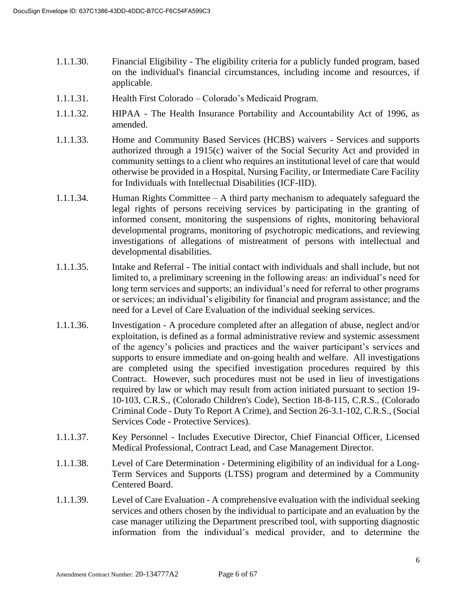- 1.1.1.30. Financial Eligibility The eligibility criteria for a publicly funded program, based on the individual's financial circumstances, including income and resources, if applicable.
- 1.1.1.31. Health First Colorado Colorado's Medicaid Program.
- 1.1.1.32. HIPAA The Health Insurance Portability and Accountability Act of 1996, as amended.
- 1.1.1.33. Home and Community Based Services (HCBS) waivers Services and supports authorized through a 1915(c) waiver of the Social Security Act and provided in community settings to a client who requires an institutional level of care that would otherwise be provided in a Hospital, Nursing Facility, or Intermediate Care Facility for Individuals with Intellectual Disabilities (ICF-IID).
- 1.1.1.34. Human Rights Committee A third party mechanism to adequately safeguard the legal rights of persons receiving services by participating in the granting of informed consent, monitoring the suspensions of rights, monitoring behavioral developmental programs, monitoring of psychotropic medications, and reviewing investigations of allegations of mistreatment of persons with intellectual and developmental disabilities.
- 1.1.1.35. Intake and Referral The initial contact with individuals and shall include, but not limited to, a preliminary screening in the following areas: an individual's need for long term services and supports; an individual's need for referral to other programs or services; an individual's eligibility for financial and program assistance; and the need for a Level of Care Evaluation of the individual seeking services.
- 1.1.1.36. Investigation A procedure completed after an allegation of abuse, neglect and/or exploitation, is defined as a formal administrative review and systemic assessment of the agency's policies and practices and the waiver participant's services and supports to ensure immediate and on-going health and welfare. All investigations are completed using the specified investigation procedures required by this Contract. However, such procedures must not be used in lieu of investigations required by law or which may result from action initiated pursuant to section 19- 10-103, C.R.S., (Colorado Children's Code), Section 18-8-115, C.R.S., (Colorado Criminal Code - Duty To Report A Crime), and Section 26-3.1-102, C.R.S., (Social Services Code - Protective Services).
- 1.1.1.37. Key Personnel Includes Executive Director, Chief Financial Officer, Licensed Medical Professional, Contract Lead, and Case Management Director.
- 1.1.1.38. Level of Care Determination Determining eligibility of an individual for a Long-Term Services and Supports (LTSS) program and determined by a Community Centered Board.
- 1.1.1.39. Level of Care Evaluation A comprehensive evaluation with the individual seeking services and others chosen by the individual to participate and an evaluation by the case manager utilizing the Department prescribed tool, with supporting diagnostic information from the individual's medical provider, and to determine the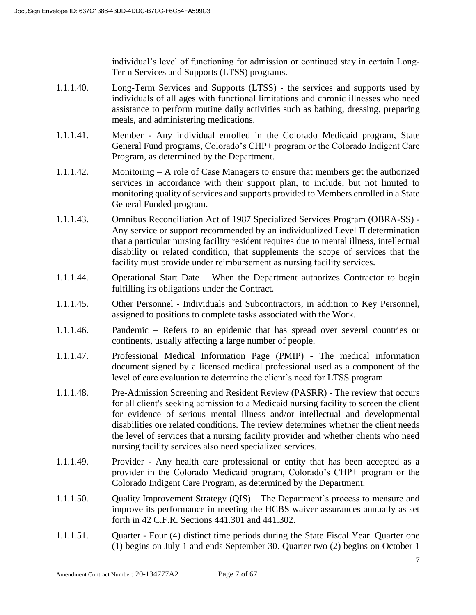individual's level of functioning for admission or continued stay in certain Long-Term Services and Supports (LTSS) programs.

- 1.1.1.40. Long-Term Services and Supports (LTSS) the services and supports used by individuals of all ages with functional limitations and chronic illnesses who need assistance to perform routine daily activities such as bathing, dressing, preparing meals, and administering medications.
- 1.1.1.41. Member Any individual enrolled in the Colorado Medicaid program, State General Fund programs, Colorado's CHP+ program or the Colorado Indigent Care Program, as determined by the Department.
- 1.1.1.42. Monitoring A role of Case Managers to ensure that members get the authorized services in accordance with their support plan, to include, but not limited to monitoring quality of services and supports provided to Members enrolled in a State General Funded program.
- 1.1.1.43. Omnibus Reconciliation Act of 1987 Specialized Services Program (OBRA-SS) Any service or support recommended by an individualized Level II determination that a particular nursing facility resident requires due to mental illness, intellectual disability or related condition, that supplements the scope of services that the facility must provide under reimbursement as nursing facility services.
- 1.1.1.44. Operational Start Date When the Department authorizes Contractor to begin fulfilling its obligations under the Contract.
- 1.1.1.45. Other Personnel Individuals and Subcontractors, in addition to Key Personnel, assigned to positions to complete tasks associated with the Work.
- 1.1.1.46. Pandemic Refers to an epidemic that has spread over several countries or continents, usually affecting a large number of people.
- 1.1.1.47. Professional Medical Information Page (PMIP) The medical information document signed by a licensed medical professional used as a component of the level of care evaluation to determine the client's need for LTSS program.
- 1.1.1.48. Pre-Admission Screening and Resident Review (PASRR) The review that occurs for all client's seeking admission to a Medicaid nursing facility to screen the client for evidence of serious mental illness and/or intellectual and developmental disabilities ore related conditions. The review determines whether the client needs the level of services that a nursing facility provider and whether clients who need nursing facility services also need specialized services.
- 1.1.1.49. Provider Any health care professional or entity that has been accepted as a provider in the Colorado Medicaid program, Colorado's CHP+ program or the Colorado Indigent Care Program, as determined by the Department.
- 1.1.1.50. Quality Improvement Strategy (QIS) The Department's process to measure and improve its performance in meeting the HCBS waiver assurances annually as set forth in 42 C.F.R. Sections 441.301 and 441.302.
- 1.1.1.51. Quarter Four (4) distinct time periods during the State Fiscal Year. Quarter one (1) begins on July 1 and ends September 30. Quarter two (2) begins on October 1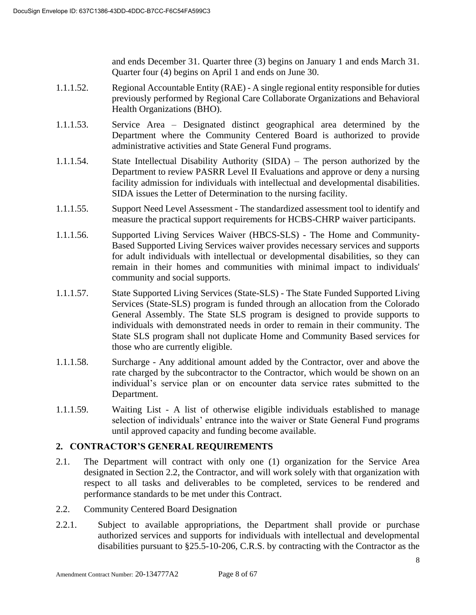and ends December 31. Quarter three (3) begins on January 1 and ends March 31. Quarter four (4) begins on April 1 and ends on June 30.

- 1.1.1.52. Regional Accountable Entity (RAE) A single regional entity responsible for duties previously performed by Regional Care Collaborate Organizations and Behavioral Health Organizations (BHO).
- 1.1.1.53. Service Area Designated distinct geographical area determined by the Department where the Community Centered Board is authorized to provide administrative activities and State General Fund programs.
- 1.1.1.54. State Intellectual Disability Authority (SIDA) The person authorized by the Department to review PASRR Level II Evaluations and approve or deny a nursing facility admission for individuals with intellectual and developmental disabilities. SIDA issues the Letter of Determination to the nursing facility.
- 1.1.1.55. Support Need Level Assessment The standardized assessment tool to identify and measure the practical support requirements for HCBS-CHRP waiver participants.
- 1.1.1.56. Supported Living Services Waiver (HBCS-SLS) The Home and Community-Based Supported Living Services waiver provides necessary services and supports for adult individuals with intellectual or developmental disabilities, so they can remain in their homes and communities with minimal impact to individuals' community and social supports.
- 1.1.1.57. State Supported Living Services (State-SLS) The State Funded Supported Living Services (State-SLS) program is funded through an allocation from the Colorado General Assembly. The State SLS program is designed to provide supports to individuals with demonstrated needs in order to remain in their community. The State SLS program shall not duplicate Home and Community Based services for those who are currently eligible.
- 1.1.1.58. Surcharge Any additional amount added by the Contractor, over and above the rate charged by the subcontractor to the Contractor, which would be shown on an individual's service plan or on encounter data service rates submitted to the Department.
- 1.1.1.59. Waiting List A list of otherwise eligible individuals established to manage selection of individuals' entrance into the waiver or State General Fund programs until approved capacity and funding become available.

## **2. CONTRACTOR'S GENERAL REQUIREMENTS**

- 2.1. The Department will contract with only one (1) organization for the Service Area designated in Section 2.2, the Contractor, and will work solely with that organization with respect to all tasks and deliverables to be completed, services to be rendered and performance standards to be met under this Contract.
- 2.2. Community Centered Board Designation
- 2.2.1. Subject to available appropriations, the Department shall provide or purchase authorized services and supports for individuals with intellectual and developmental disabilities pursuant to §25.5-10-206, C.R.S. by contracting with the Contractor as the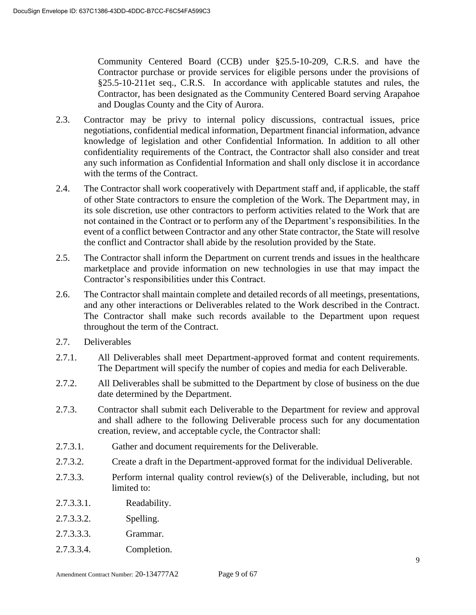Community Centered Board (CCB) under §25.5-10-209, C.R.S. and have the Contractor purchase or provide services for eligible persons under the provisions of §25.5-10-211et seq., C.R.S. In accordance with applicable statutes and rules, the Contractor, has been designated as the Community Centered Board serving Arapahoe and Douglas County and the City of Aurora.

- 2.3. Contractor may be privy to internal policy discussions, contractual issues, price negotiations, confidential medical information, Department financial information, advance knowledge of legislation and other Confidential Information. In addition to all other confidentiality requirements of the Contract, the Contractor shall also consider and treat any such information as Confidential Information and shall only disclose it in accordance with the terms of the Contract.
- 2.4. The Contractor shall work cooperatively with Department staff and, if applicable, the staff of other State contractors to ensure the completion of the Work. The Department may, in its sole discretion, use other contractors to perform activities related to the Work that are not contained in the Contract or to perform any of the Department's responsibilities. In the event of a conflict between Contractor and any other State contractor, the State will resolve the conflict and Contractor shall abide by the resolution provided by the State.
- 2.5. The Contractor shall inform the Department on current trends and issues in the healthcare marketplace and provide information on new technologies in use that may impact the Contractor's responsibilities under this Contract.
- 2.6. The Contractor shall maintain complete and detailed records of all meetings, presentations, and any other interactions or Deliverables related to the Work described in the Contract. The Contractor shall make such records available to the Department upon request throughout the term of the Contract.
- 2.7. Deliverables
- 2.7.1. All Deliverables shall meet Department-approved format and content requirements. The Department will specify the number of copies and media for each Deliverable.
- 2.7.2. All Deliverables shall be submitted to the Department by close of business on the due date determined by the Department.
- 2.7.3. Contractor shall submit each Deliverable to the Department for review and approval and shall adhere to the following Deliverable process such for any documentation creation, review, and acceptable cycle, the Contractor shall:
- 2.7.3.1. Gather and document requirements for the Deliverable.
- 2.7.3.2. Create a draft in the Department-approved format for the individual Deliverable.
- 2.7.3.3. Perform internal quality control review(s) of the Deliverable, including, but not limited to:
- 2.7.3.3.1. Readability.
- 2.7.3.3.2. Spelling.
- 2.7.3.3.3. Grammar.
- 2.7.3.3.4. Completion.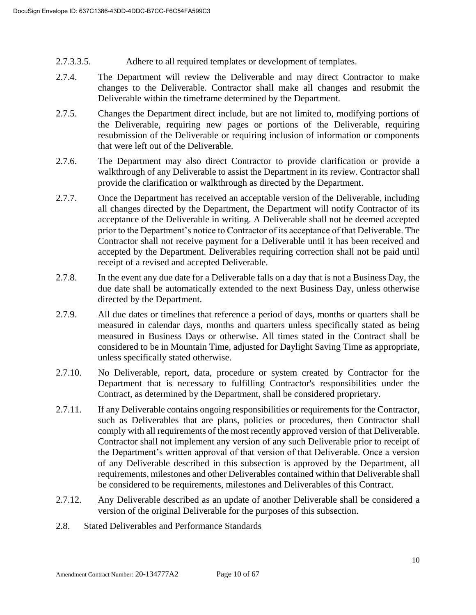- 2.7.3.3.5. Adhere to all required templates or development of templates.
- 2.7.4. The Department will review the Deliverable and may direct Contractor to make changes to the Deliverable. Contractor shall make all changes and resubmit the Deliverable within the timeframe determined by the Department.
- 2.7.5. Changes the Department direct include, but are not limited to, modifying portions of the Deliverable, requiring new pages or portions of the Deliverable, requiring resubmission of the Deliverable or requiring inclusion of information or components that were left out of the Deliverable.
- 2.7.6. The Department may also direct Contractor to provide clarification or provide a walkthrough of any Deliverable to assist the Department in its review. Contractor shall provide the clarification or walkthrough as directed by the Department.
- 2.7.7. Once the Department has received an acceptable version of the Deliverable, including all changes directed by the Department, the Department will notify Contractor of its acceptance of the Deliverable in writing. A Deliverable shall not be deemed accepted prior to the Department's notice to Contractor of its acceptance of that Deliverable. The Contractor shall not receive payment for a Deliverable until it has been received and accepted by the Department. Deliverables requiring correction shall not be paid until receipt of a revised and accepted Deliverable.
- 2.7.8. In the event any due date for a Deliverable falls on a day that is not a Business Day, the due date shall be automatically extended to the next Business Day, unless otherwise directed by the Department.
- 2.7.9. All due dates or timelines that reference a period of days, months or quarters shall be measured in calendar days, months and quarters unless specifically stated as being measured in Business Days or otherwise. All times stated in the Contract shall be considered to be in Mountain Time, adjusted for Daylight Saving Time as appropriate, unless specifically stated otherwise.
- 2.7.10. No Deliverable, report, data, procedure or system created by Contractor for the Department that is necessary to fulfilling Contractor's responsibilities under the Contract, as determined by the Department, shall be considered proprietary.
- 2.7.11. If any Deliverable contains ongoing responsibilities or requirements for the Contractor, such as Deliverables that are plans, policies or procedures, then Contractor shall comply with all requirements of the most recently approved version of that Deliverable. Contractor shall not implement any version of any such Deliverable prior to receipt of the Department's written approval of that version of that Deliverable. Once a version of any Deliverable described in this subsection is approved by the Department, all requirements, milestones and other Deliverables contained within that Deliverable shall be considered to be requirements, milestones and Deliverables of this Contract.
- 2.7.12. Any Deliverable described as an update of another Deliverable shall be considered a version of the original Deliverable for the purposes of this subsection.
- 2.8. Stated Deliverables and Performance Standards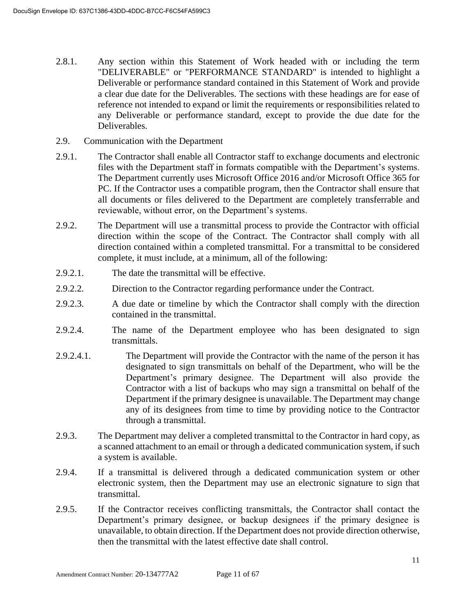- 2.8.1. Any section within this Statement of Work headed with or including the term "DELIVERABLE" or "PERFORMANCE STANDARD" is intended to highlight a Deliverable or performance standard contained in this Statement of Work and provide a clear due date for the Deliverables. The sections with these headings are for ease of reference not intended to expand or limit the requirements or responsibilities related to any Deliverable or performance standard, except to provide the due date for the Deliverables.
- 2.9. Communication with the Department
- 2.9.1. The Contractor shall enable all Contractor staff to exchange documents and electronic files with the Department staff in formats compatible with the Department's systems. The Department currently uses Microsoft Office 2016 and/or Microsoft Office 365 for PC. If the Contractor uses a compatible program, then the Contractor shall ensure that all documents or files delivered to the Department are completely transferrable and reviewable, without error, on the Department's systems.
- 2.9.2. The Department will use a transmittal process to provide the Contractor with official direction within the scope of the Contract. The Contractor shall comply with all direction contained within a completed transmittal. For a transmittal to be considered complete, it must include, at a minimum, all of the following:
- 2.9.2.1. The date the transmittal will be effective.
- 2.9.2.2. Direction to the Contractor regarding performance under the Contract.
- 2.9.2.3. A due date or timeline by which the Contractor shall comply with the direction contained in the transmittal.
- 2.9.2.4. The name of the Department employee who has been designated to sign transmittals.
- 2.9.2.4.1. The Department will provide the Contractor with the name of the person it has designated to sign transmittals on behalf of the Department, who will be the Department's primary designee. The Department will also provide the Contractor with a list of backups who may sign a transmittal on behalf of the Department if the primary designee is unavailable. The Department may change any of its designees from time to time by providing notice to the Contractor through a transmittal.
- 2.9.3. The Department may deliver a completed transmittal to the Contractor in hard copy, as a scanned attachment to an email or through a dedicated communication system, if such a system is available.
- 2.9.4. If a transmittal is delivered through a dedicated communication system or other electronic system, then the Department may use an electronic signature to sign that transmittal.
- 2.9.5. If the Contractor receives conflicting transmittals, the Contractor shall contact the Department's primary designee, or backup designees if the primary designee is unavailable, to obtain direction. If the Department does not provide direction otherwise, then the transmittal with the latest effective date shall control.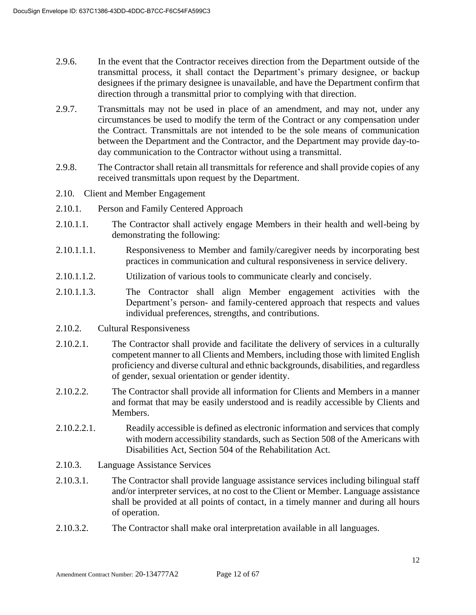- 2.9.6. In the event that the Contractor receives direction from the Department outside of the transmittal process, it shall contact the Department's primary designee, or backup designees if the primary designee is unavailable, and have the Department confirm that direction through a transmittal prior to complying with that direction.
- 2.9.7. Transmittals may not be used in place of an amendment, and may not, under any circumstances be used to modify the term of the Contract or any compensation under the Contract. Transmittals are not intended to be the sole means of communication between the Department and the Contractor, and the Department may provide day-today communication to the Contractor without using a transmittal.
- 2.9.8. The Contractor shall retain all transmittals for reference and shall provide copies of any received transmittals upon request by the Department.
- 2.10. Client and Member Engagement
- 2.10.1. Person and Family Centered Approach
- 2.10.1.1. The Contractor shall actively engage Members in their health and well-being by demonstrating the following:
- 2.10.1.1.1. Responsiveness to Member and family/caregiver needs by incorporating best practices in communication and cultural responsiveness in service delivery.
- 2.10.1.1.2. Utilization of various tools to communicate clearly and concisely.
- 2.10.1.1.3. The Contractor shall align Member engagement activities with the Department's person- and family-centered approach that respects and values individual preferences, strengths, and contributions.
- 2.10.2. Cultural Responsiveness
- 2.10.2.1. The Contractor shall provide and facilitate the delivery of services in a culturally competent manner to all Clients and Members, including those with limited English proficiency and diverse cultural and ethnic backgrounds, disabilities, and regardless of gender, sexual orientation or gender identity.
- 2.10.2.2. The Contractor shall provide all information for Clients and Members in a manner and format that may be easily understood and is readily accessible by Clients and Members.
- 2.10.2.2.1. Readily accessible is defined as electronic information and services that comply with modern accessibility standards, such as Section 508 of the Americans with Disabilities Act, Section 504 of the Rehabilitation Act.
- 2.10.3. Language Assistance Services
- 2.10.3.1. The Contractor shall provide language assistance services including bilingual staff and/or interpreter services, at no cost to the Client or Member. Language assistance shall be provided at all points of contact, in a timely manner and during all hours of operation.
- 2.10.3.2. The Contractor shall make oral interpretation available in all languages.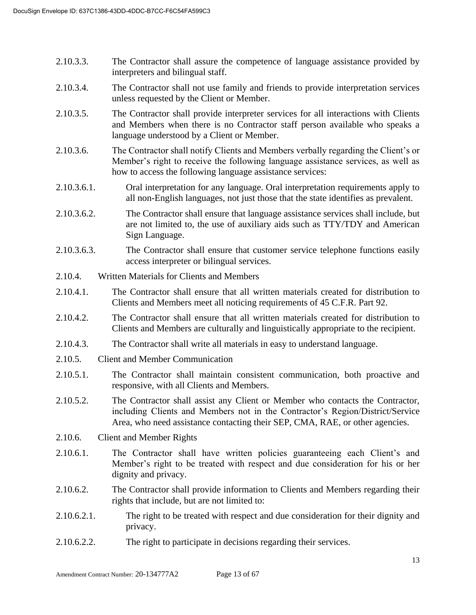- 2.10.3.3. The Contractor shall assure the competence of language assistance provided by interpreters and bilingual staff.
- 2.10.3.4. The Contractor shall not use family and friends to provide interpretation services unless requested by the Client or Member.
- 2.10.3.5. The Contractor shall provide interpreter services for all interactions with Clients and Members when there is no Contractor staff person available who speaks a language understood by a Client or Member.
- 2.10.3.6. The Contractor shall notify Clients and Members verbally regarding the Client's or Member's right to receive the following language assistance services, as well as how to access the following language assistance services:
- 2.10.3.6.1. Oral interpretation for any language. Oral interpretation requirements apply to all non-English languages, not just those that the state identifies as prevalent.
- 2.10.3.6.2. The Contractor shall ensure that language assistance services shall include, but are not limited to, the use of auxiliary aids such as TTY/TDY and American Sign Language.
- 2.10.3.6.3. The Contractor shall ensure that customer service telephone functions easily access interpreter or bilingual services.
- 2.10.4. Written Materials for Clients and Members
- 2.10.4.1. The Contractor shall ensure that all written materials created for distribution to Clients and Members meet all noticing requirements of 45 C.F.R. Part 92.
- 2.10.4.2. The Contractor shall ensure that all written materials created for distribution to Clients and Members are culturally and linguistically appropriate to the recipient.
- 2.10.4.3. The Contractor shall write all materials in easy to understand language.
- 2.10.5. Client and Member Communication
- 2.10.5.1. The Contractor shall maintain consistent communication, both proactive and responsive, with all Clients and Members.
- 2.10.5.2. The Contractor shall assist any Client or Member who contacts the Contractor, including Clients and Members not in the Contractor's Region/District/Service Area, who need assistance contacting their SEP, CMA, RAE, or other agencies.
- 2.10.6. Client and Member Rights
- 2.10.6.1. The Contractor shall have written policies guaranteeing each Client's and Member's right to be treated with respect and due consideration for his or her dignity and privacy.
- 2.10.6.2. The Contractor shall provide information to Clients and Members regarding their rights that include, but are not limited to:
- 2.10.6.2.1. The right to be treated with respect and due consideration for their dignity and privacy.
- 2.10.6.2.2. The right to participate in decisions regarding their services.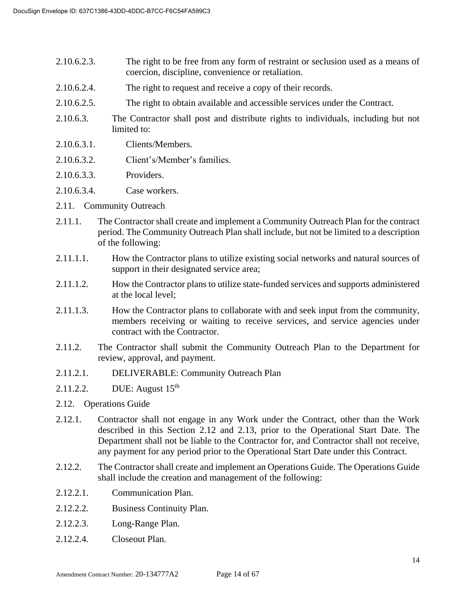- 2.10.6.2.3. The right to be free from any form of restraint or seclusion used as a means of coercion, discipline, convenience or retaliation.
- 2.10.6.2.4. The right to request and receive a copy of their records.
- 2.10.6.2.5. The right to obtain available and accessible services under the Contract.
- 2.10.6.3. The Contractor shall post and distribute rights to individuals, including but not limited to:
- 2.10.6.3.1. Clients/Members.
- 2.10.6.3.2. Client's/Member's families.
- 2.10.6.3.3. Providers.
- 2.10.6.3.4. Case workers.
- 2.11. Community Outreach
- 2.11.1. The Contractor shall create and implement a Community Outreach Plan for the contract period. The Community Outreach Plan shall include, but not be limited to a description of the following:
- 2.11.1.1. How the Contractor plans to utilize existing social networks and natural sources of support in their designated service area;
- 2.11.1.2. How the Contractor plans to utilize state-funded services and supports administered at the local level;
- 2.11.1.3. How the Contractor plans to collaborate with and seek input from the community, members receiving or waiting to receive services, and service agencies under contract with the Contractor.
- 2.11.2. The Contractor shall submit the Community Outreach Plan to the Department for review, approval, and payment.
- 2.11.2.1. DELIVERABLE: Community Outreach Plan
- 2.11.2.2. DUE: August 15<sup>th</sup>
- 2.12. Operations Guide
- 2.12.1. Contractor shall not engage in any Work under the Contract, other than the Work described in this Section 2.12 and 2.13, prior to the Operational Start Date. The Department shall not be liable to the Contractor for, and Contractor shall not receive, any payment for any period prior to the Operational Start Date under this Contract.
- 2.12.2. The Contractor shall create and implement an Operations Guide. The Operations Guide shall include the creation and management of the following:
- 2.12.2.1. Communication Plan.
- 2.12.2.2. Business Continuity Plan.
- 2.12.2.3. Long-Range Plan.
- 2.12.2.4. Closeout Plan.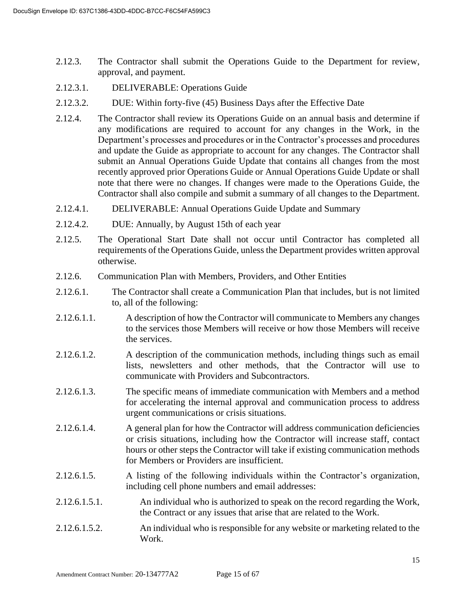- 2.12.3. The Contractor shall submit the Operations Guide to the Department for review, approval, and payment.
- 2.12.3.1. DELIVERABLE: Operations Guide
- 2.12.3.2. DUE: Within forty-five (45) Business Days after the Effective Date
- 2.12.4. The Contractor shall review its Operations Guide on an annual basis and determine if any modifications are required to account for any changes in the Work, in the Department's processes and procedures or in the Contractor's processes and procedures and update the Guide as appropriate to account for any changes. The Contractor shall submit an Annual Operations Guide Update that contains all changes from the most recently approved prior Operations Guide or Annual Operations Guide Update or shall note that there were no changes. If changes were made to the Operations Guide, the Contractor shall also compile and submit a summary of all changes to the Department.
- 2.12.4.1. DELIVERABLE: Annual Operations Guide Update and Summary
- 2.12.4.2. DUE: Annually, by August 15th of each year
- 2.12.5. The Operational Start Date shall not occur until Contractor has completed all requirements of the Operations Guide, unless the Department provides written approval otherwise.
- 2.12.6. Communication Plan with Members, Providers, and Other Entities
- 2.12.6.1. The Contractor shall create a Communication Plan that includes, but is not limited to, all of the following:
- 2.12.6.1.1. A description of how the Contractor will communicate to Members any changes to the services those Members will receive or how those Members will receive the services.
- 2.12.6.1.2. A description of the communication methods, including things such as email lists, newsletters and other methods, that the Contractor will use to communicate with Providers and Subcontractors.
- 2.12.6.1.3. The specific means of immediate communication with Members and a method for accelerating the internal approval and communication process to address urgent communications or crisis situations.
- 2.12.6.1.4. A general plan for how the Contractor will address communication deficiencies or crisis situations, including how the Contractor will increase staff, contact hours or other steps the Contractor will take if existing communication methods for Members or Providers are insufficient.
- 2.12.6.1.5. A listing of the following individuals within the Contractor's organization, including cell phone numbers and email addresses:
- 2.12.6.1.5.1. An individual who is authorized to speak on the record regarding the Work, the Contract or any issues that arise that are related to the Work.
- 2.12.6.1.5.2. An individual who is responsible for any website or marketing related to the Work.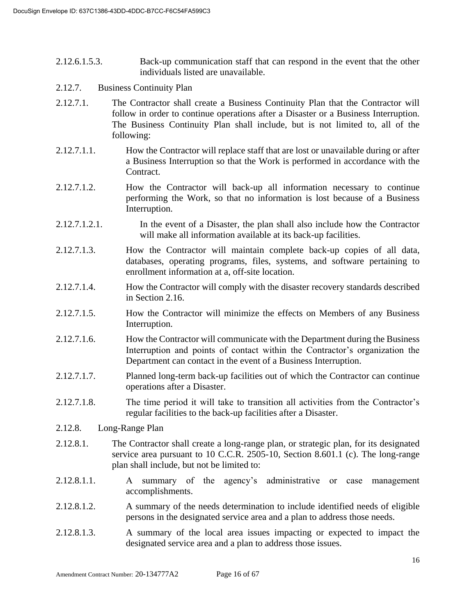- 2.12.6.1.5.3. Back-up communication staff that can respond in the event that the other individuals listed are unavailable.
- 2.12.7. Business Continuity Plan
- 2.12.7.1. The Contractor shall create a Business Continuity Plan that the Contractor will follow in order to continue operations after a Disaster or a Business Interruption. The Business Continuity Plan shall include, but is not limited to, all of the following:
- 2.12.7.1.1. How the Contractor will replace staff that are lost or unavailable during or after a Business Interruption so that the Work is performed in accordance with the Contract.
- 2.12.7.1.2. How the Contractor will back-up all information necessary to continue performing the Work, so that no information is lost because of a Business Interruption.
- 2.12.7.1.2.1. In the event of a Disaster, the plan shall also include how the Contractor will make all information available at its back-up facilities.
- 2.12.7.1.3. How the Contractor will maintain complete back-up copies of all data, databases, operating programs, files, systems, and software pertaining to enrollment information at a, off-site location.
- 2.12.7.1.4. How the Contractor will comply with the disaster recovery standards described in Section 2.16.
- 2.12.7.1.5. How the Contractor will minimize the effects on Members of any Business Interruption.
- 2.12.7.1.6. How the Contractor will communicate with the Department during the Business Interruption and points of contact within the Contractor's organization the Department can contact in the event of a Business Interruption.
- 2.12.7.1.7. Planned long-term back-up facilities out of which the Contractor can continue operations after a Disaster.
- 2.12.7.1.8. The time period it will take to transition all activities from the Contractor's regular facilities to the back-up facilities after a Disaster.
- 2.12.8. Long-Range Plan
- 2.12.8.1. The Contractor shall create a long-range plan, or strategic plan, for its designated service area pursuant to 10 C.C.R. 2505-10, Section 8.601.1 (c). The long-range plan shall include, but not be limited to:
- 2.12.8.1.1. A summary of the agency's administrative or case management accomplishments.
- 2.12.8.1.2. A summary of the needs determination to include identified needs of eligible persons in the designated service area and a plan to address those needs.
- 2.12.8.1.3. A summary of the local area issues impacting or expected to impact the designated service area and a plan to address those issues.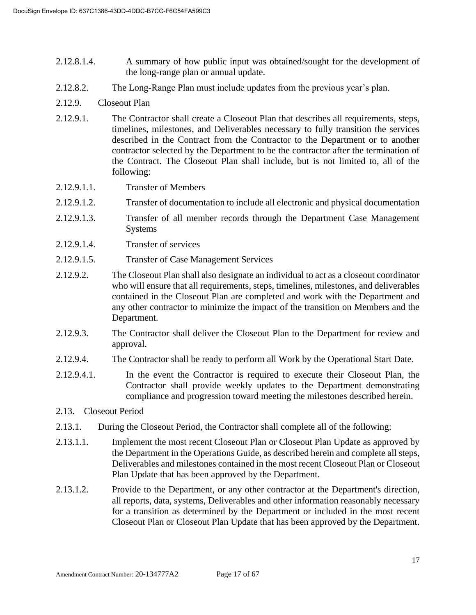- 2.12.8.1.4. A summary of how public input was obtained/sought for the development of the long-range plan or annual update.
- 2.12.8.2. The Long-Range Plan must include updates from the previous year's plan.
- 2.12.9. Closeout Plan
- 2.12.9.1. The Contractor shall create a Closeout Plan that describes all requirements, steps, timelines, milestones, and Deliverables necessary to fully transition the services described in the Contract from the Contractor to the Department or to another contractor selected by the Department to be the contractor after the termination of the Contract. The Closeout Plan shall include, but is not limited to, all of the following:
- 2.12.9.1.1. Transfer of Members
- 2.12.9.1.2. Transfer of documentation to include all electronic and physical documentation
- 2.12.9.1.3. Transfer of all member records through the Department Case Management Systems
- 2.12.9.1.4. Transfer of services
- 2.12.9.1.5. Transfer of Case Management Services
- 2.12.9.2. The Closeout Plan shall also designate an individual to act as a closeout coordinator who will ensure that all requirements, steps, timelines, milestones, and deliverables contained in the Closeout Plan are completed and work with the Department and any other contractor to minimize the impact of the transition on Members and the Department.
- 2.12.9.3. The Contractor shall deliver the Closeout Plan to the Department for review and approval.
- 2.12.9.4. The Contractor shall be ready to perform all Work by the Operational Start Date.
- 2.12.9.4.1. In the event the Contractor is required to execute their Closeout Plan, the Contractor shall provide weekly updates to the Department demonstrating compliance and progression toward meeting the milestones described herein.

#### 2.13. Closeout Period

- 2.13.1. During the Closeout Period, the Contractor shall complete all of the following:
- 2.13.1.1. Implement the most recent Closeout Plan or Closeout Plan Update as approved by the Department in the Operations Guide, as described herein and complete all steps, Deliverables and milestones contained in the most recent Closeout Plan or Closeout Plan Update that has been approved by the Department.
- 2.13.1.2. Provide to the Department, or any other contractor at the Department's direction, all reports, data, systems, Deliverables and other information reasonably necessary for a transition as determined by the Department or included in the most recent Closeout Plan or Closeout Plan Update that has been approved by the Department.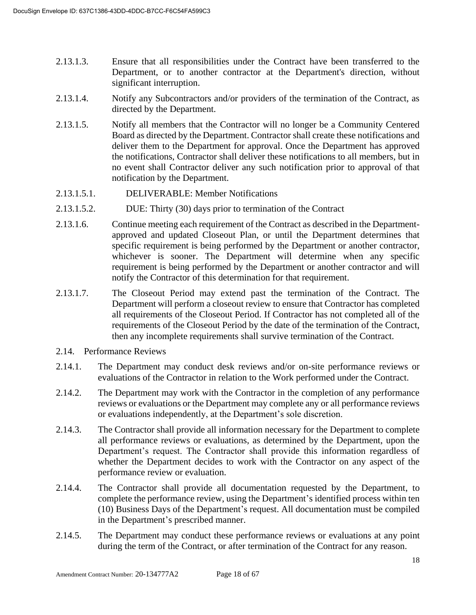- 2.13.1.3. Ensure that all responsibilities under the Contract have been transferred to the Department, or to another contractor at the Department's direction, without significant interruption.
- 2.13.1.4. Notify any Subcontractors and/or providers of the termination of the Contract, as directed by the Department.
- 2.13.1.5. Notify all members that the Contractor will no longer be a Community Centered Board as directed by the Department. Contractor shall create these notifications and deliver them to the Department for approval. Once the Department has approved the notifications, Contractor shall deliver these notifications to all members, but in no event shall Contractor deliver any such notification prior to approval of that notification by the Department.
- 2.13.1.5.1. DELIVERABLE: Member Notifications
- 2.13.1.5.2. DUE: Thirty (30) days prior to termination of the Contract
- 2.13.1.6. Continue meeting each requirement of the Contract as described in the Departmentapproved and updated Closeout Plan, or until the Department determines that specific requirement is being performed by the Department or another contractor, whichever is sooner. The Department will determine when any specific requirement is being performed by the Department or another contractor and will notify the Contractor of this determination for that requirement.
- 2.13.1.7. The Closeout Period may extend past the termination of the Contract. The Department will perform a closeout review to ensure that Contractor has completed all requirements of the Closeout Period. If Contractor has not completed all of the requirements of the Closeout Period by the date of the termination of the Contract, then any incomplete requirements shall survive termination of the Contract.
- 2.14. Performance Reviews
- 2.14.1. The Department may conduct desk reviews and/or on-site performance reviews or evaluations of the Contractor in relation to the Work performed under the Contract.
- 2.14.2. The Department may work with the Contractor in the completion of any performance reviews or evaluations or the Department may complete any or all performance reviews or evaluations independently, at the Department's sole discretion.
- 2.14.3. The Contractor shall provide all information necessary for the Department to complete all performance reviews or evaluations, as determined by the Department, upon the Department's request. The Contractor shall provide this information regardless of whether the Department decides to work with the Contractor on any aspect of the performance review or evaluation.
- 2.14.4. The Contractor shall provide all documentation requested by the Department, to complete the performance review, using the Department's identified process within ten (10) Business Days of the Department's request. All documentation must be compiled in the Department's prescribed manner.
- 2.14.5. The Department may conduct these performance reviews or evaluations at any point during the term of the Contract, or after termination of the Contract for any reason.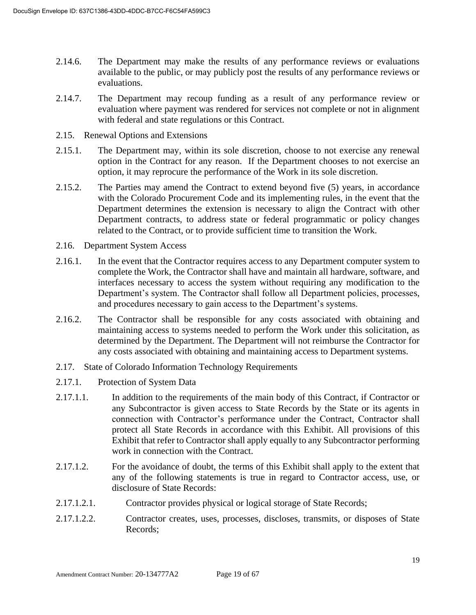- 2.14.6. The Department may make the results of any performance reviews or evaluations available to the public, or may publicly post the results of any performance reviews or evaluations.
- 2.14.7. The Department may recoup funding as a result of any performance review or evaluation where payment was rendered for services not complete or not in alignment with federal and state regulations or this Contract.
- 2.15. Renewal Options and Extensions
- 2.15.1. The Department may, within its sole discretion, choose to not exercise any renewal option in the Contract for any reason. If the Department chooses to not exercise an option, it may reprocure the performance of the Work in its sole discretion.
- 2.15.2. The Parties may amend the Contract to extend beyond five (5) years, in accordance with the Colorado Procurement Code and its implementing rules, in the event that the Department determines the extension is necessary to align the Contract with other Department contracts, to address state or federal programmatic or policy changes related to the Contract, or to provide sufficient time to transition the Work.
- 2.16. Department System Access
- 2.16.1. In the event that the Contractor requires access to any Department computer system to complete the Work, the Contractor shall have and maintain all hardware, software, and interfaces necessary to access the system without requiring any modification to the Department's system. The Contractor shall follow all Department policies, processes, and procedures necessary to gain access to the Department's systems.
- 2.16.2. The Contractor shall be responsible for any costs associated with obtaining and maintaining access to systems needed to perform the Work under this solicitation, as determined by the Department. The Department will not reimburse the Contractor for any costs associated with obtaining and maintaining access to Department systems.
- 2.17. State of Colorado Information Technology Requirements
- 2.17.1. Protection of System Data
- 2.17.1.1. In addition to the requirements of the main body of this Contract, if Contractor or any Subcontractor is given access to State Records by the State or its agents in connection with Contractor's performance under the Contract, Contractor shall protect all State Records in accordance with this Exhibit. All provisions of this Exhibit that refer to Contractor shall apply equally to any Subcontractor performing work in connection with the Contract.
- 2.17.1.2. For the avoidance of doubt, the terms of this Exhibit shall apply to the extent that any of the following statements is true in regard to Contractor access, use, or disclosure of State Records:
- 2.17.1.2.1. Contractor provides physical or logical storage of State Records;
- 2.17.1.2.2. Contractor creates, uses, processes, discloses, transmits, or disposes of State Records;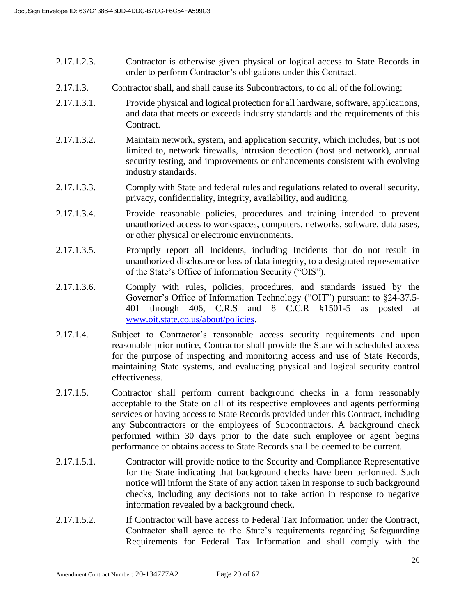- 2.17.1.2.3. Contractor is otherwise given physical or logical access to State Records in order to perform Contractor's obligations under this Contract.
- 2.17.1.3. Contractor shall, and shall cause its Subcontractors, to do all of the following:
- 2.17.1.3.1. Provide physical and logical protection for all hardware, software, applications, and data that meets or exceeds industry standards and the requirements of this Contract.
- 2.17.1.3.2. Maintain network, system, and application security, which includes, but is not limited to, network firewalls, intrusion detection (host and network), annual security testing, and improvements or enhancements consistent with evolving industry standards.
- 2.17.1.3.3. Comply with State and federal rules and regulations related to overall security, privacy, confidentiality, integrity, availability, and auditing.
- 2.17.1.3.4. Provide reasonable policies, procedures and training intended to prevent unauthorized access to workspaces, computers, networks, software, databases, or other physical or electronic environments.
- 2.17.1.3.5. Promptly report all Incidents, including Incidents that do not result in unauthorized disclosure or loss of data integrity, to a designated representative of the State's Office of Information Security ("OIS").
- 2.17.1.3.6. Comply with rules, policies, procedures, and standards issued by the Governor's Office of Information Technology ("OIT") pursuant to §24-37.5- 401 through 406, C.R.S and 8 C.C.R §1501-5 as posted at [www.oit.state.co.us/about/policies.](http://www.oit.state.co.us/about/policies)
- 2.17.1.4. Subject to Contractor's reasonable access security requirements and upon reasonable prior notice, Contractor shall provide the State with scheduled access for the purpose of inspecting and monitoring access and use of State Records, maintaining State systems, and evaluating physical and logical security control effectiveness.
- 2.17.1.5. Contractor shall perform current background checks in a form reasonably acceptable to the State on all of its respective employees and agents performing services or having access to State Records provided under this Contract, including any Subcontractors or the employees of Subcontractors. A background check performed within 30 days prior to the date such employee or agent begins performance or obtains access to State Records shall be deemed to be current.
- 2.17.1.5.1. Contractor will provide notice to the Security and Compliance Representative for the State indicating that background checks have been performed. Such notice will inform the State of any action taken in response to such background checks, including any decisions not to take action in response to negative information revealed by a background check.
- 2.17.1.5.2. If Contractor will have access to Federal Tax Information under the Contract, Contractor shall agree to the State's requirements regarding Safeguarding Requirements for Federal Tax Information and shall comply with the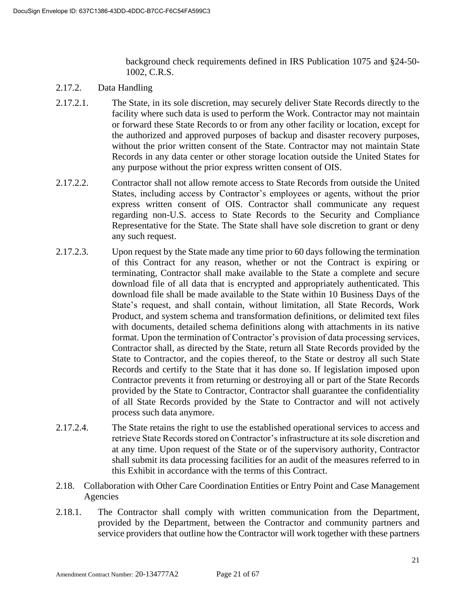background check requirements defined in IRS Publication 1075 and §24-50- 1002, C.R.S.

- 2.17.2. Data Handling
- 2.17.2.1. The State, in its sole discretion, may securely deliver State Records directly to the facility where such data is used to perform the Work. Contractor may not maintain or forward these State Records to or from any other facility or location, except for the authorized and approved purposes of backup and disaster recovery purposes, without the prior written consent of the State. Contractor may not maintain State Records in any data center or other storage location outside the United States for any purpose without the prior express written consent of OIS.
- 2.17.2.2. Contractor shall not allow remote access to State Records from outside the United States, including access by Contractor's employees or agents, without the prior express written consent of OIS. Contractor shall communicate any request regarding non-U.S. access to State Records to the Security and Compliance Representative for the State. The State shall have sole discretion to grant or deny any such request.
- 2.17.2.3. Upon request by the State made any time prior to 60 days following the termination of this Contract for any reason, whether or not the Contract is expiring or terminating, Contractor shall make available to the State a complete and secure download file of all data that is encrypted and appropriately authenticated. This download file shall be made available to the State within 10 Business Days of the State's request, and shall contain, without limitation, all State Records, Work Product, and system schema and transformation definitions, or delimited text files with documents, detailed schema definitions along with attachments in its native format. Upon the termination of Contractor's provision of data processing services, Contractor shall, as directed by the State, return all State Records provided by the State to Contractor, and the copies thereof, to the State or destroy all such State Records and certify to the State that it has done so. If legislation imposed upon Contractor prevents it from returning or destroying all or part of the State Records provided by the State to Contractor, Contractor shall guarantee the confidentiality of all State Records provided by the State to Contractor and will not actively process such data anymore.
- 2.17.2.4. The State retains the right to use the established operational services to access and retrieve State Records stored on Contractor's infrastructure at its sole discretion and at any time. Upon request of the State or of the supervisory authority, Contractor shall submit its data processing facilities for an audit of the measures referred to in this Exhibit in accordance with the terms of this Contract.
- 2.18. Collaboration with Other Care Coordination Entities or Entry Point and Case Management Agencies
- 2.18.1. The Contractor shall comply with written communication from the Department, provided by the Department, between the Contractor and community partners and service providers that outline how the Contractor will work together with these partners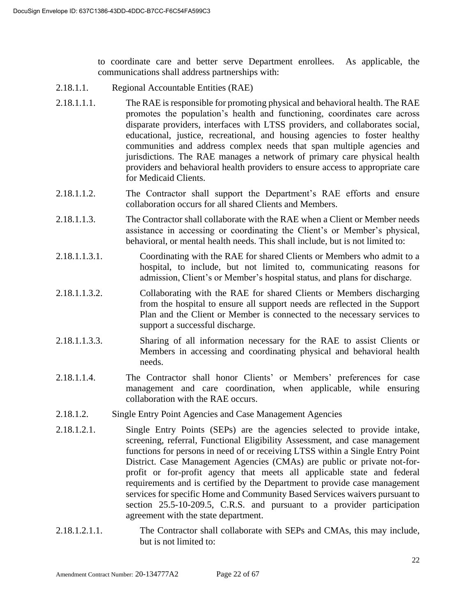to coordinate care and better serve Department enrollees. As applicable, the communications shall address partnerships with:

- 2.18.1.1. Regional Accountable Entities (RAE)
- 2.18.1.1.1. The RAE is responsible for promoting physical and behavioral health. The RAE promotes the population's health and functioning, coordinates care across disparate providers, interfaces with LTSS providers, and collaborates social, educational, justice, recreational, and housing agencies to foster healthy communities and address complex needs that span multiple agencies and jurisdictions. The RAE manages a network of primary care physical health providers and behavioral health providers to ensure access to appropriate care for Medicaid Clients.
- 2.18.1.1.2. The Contractor shall support the Department's RAE efforts and ensure collaboration occurs for all shared Clients and Members.
- 2.18.1.1.3. The Contractor shall collaborate with the RAE when a Client or Member needs assistance in accessing or coordinating the Client's or Member's physical, behavioral, or mental health needs. This shall include, but is not limited to:
- 2.18.1.1.3.1. Coordinating with the RAE for shared Clients or Members who admit to a hospital, to include, but not limited to, communicating reasons for admission, Client's or Member's hospital status, and plans for discharge.
- 2.18.1.1.3.2. Collaborating with the RAE for shared Clients or Members discharging from the hospital to ensure all support needs are reflected in the Support Plan and the Client or Member is connected to the necessary services to support a successful discharge.
- 2.18.1.1.3.3. Sharing of all information necessary for the RAE to assist Clients or Members in accessing and coordinating physical and behavioral health needs.
- 2.18.1.1.4. The Contractor shall honor Clients' or Members' preferences for case management and care coordination, when applicable, while ensuring collaboration with the RAE occurs.
- 2.18.1.2. Single Entry Point Agencies and Case Management Agencies
- 2.18.1.2.1. Single Entry Points (SEPs) are the agencies selected to provide intake, screening, referral, Functional Eligibility Assessment, and case management functions for persons in need of or receiving LTSS within a Single Entry Point District. Case Management Agencies (CMAs) are public or private not-forprofit or for-profit agency that meets all applicable state and federal requirements and is certified by the Department to provide case management services for specific Home and Community Based Services waivers pursuant to section 25.5-10-209.5, C.R.S. and pursuant to a provider participation agreement with the state department.
- 2.18.1.2.1.1. The Contractor shall collaborate with SEPs and CMAs, this may include, but is not limited to: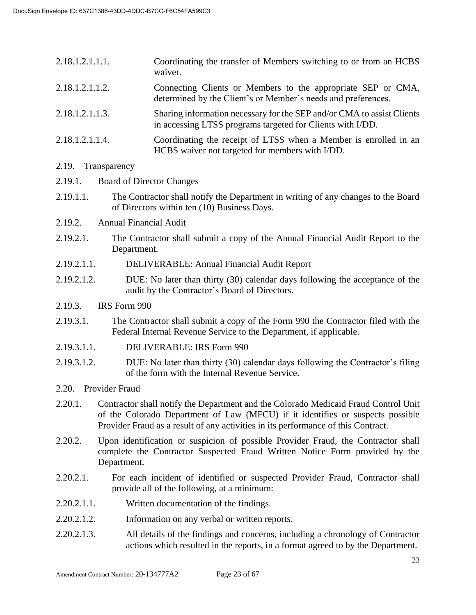| 2.18.1.2.1.1.1. | Coordinating the transfer of Members switching to or from an HCBS<br>waiver.                                                         |
|-----------------|--------------------------------------------------------------------------------------------------------------------------------------|
| 2.18.1.2.1.1.2. | Connecting Clients or Members to the appropriate SEP or CMA,<br>determined by the Client's or Member's needs and preferences.        |
| 2.18.1.2.1.1.3. | Sharing information necessary for the SEP and/or CMA to assist Clients<br>in accessing LTSS programs targeted for Clients with I/DD. |
| 2.18.1.2.1.1.4. | Coordinating the receipt of LTSS when a Member is enrolled in an<br>HCBS waiver not targeted for members with I/DD.                  |

#### 2.19. Transparency

- 2.19.1. Board of Director Changes
- 2.19.1.1. The Contractor shall notify the Department in writing of any changes to the Board of Directors within ten (10) Business Days.
- 2.19.2. Annual Financial Audit
- 2.19.2.1. The Contractor shall submit a copy of the Annual Financial Audit Report to the Department.
- 2.19.2.1.1. DELIVERABLE: Annual Financial Audit Report
- 2.19.2.1.2. DUE: No later than thirty (30) calendar days following the acceptance of the audit by the Contractor's Board of Directors.
- 2.19.3. IRS Form 990
- 2.19.3.1. The Contractor shall submit a copy of the Form 990 the Contractor filed with the Federal Internal Revenue Service to the Department, if applicable.
- 2.19.3.1.1. DELIVERABLE: IRS Form 990
- 2.19.3.1.2. DUE: No later than thirty (30) calendar days following the Contractor's filing of the form with the Internal Revenue Service.
- 2.20. Provider Fraud
- 2.20.1. Contractor shall notify the Department and the Colorado Medicaid Fraud Control Unit of the Colorado Department of Law (MFCU) if it identifies or suspects possible Provider Fraud as a result of any activities in its performance of this Contract.
- 2.20.2. Upon identification or suspicion of possible Provider Fraud, the Contractor shall complete the Contractor Suspected Fraud Written Notice Form provided by the Department.
- 2.20.2.1. For each incident of identified or suspected Provider Fraud, Contractor shall provide all of the following, at a minimum:
- 2.20.2.1.1. Written documentation of the findings.
- 2.20.2.1.2. Information on any verbal or written reports.
- 2.20.2.1.3. All details of the findings and concerns, including a chronology of Contractor actions which resulted in the reports, in a format agreed to by the Department.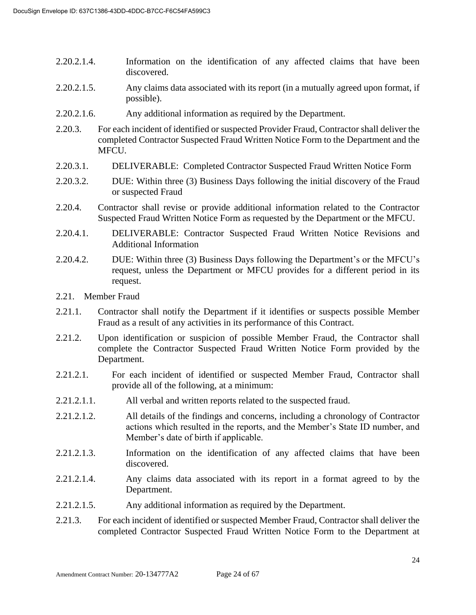- 2.20.2.1.4. Information on the identification of any affected claims that have been discovered.
- 2.20.2.1.5. Any claims data associated with its report (in a mutually agreed upon format, if possible).
- 2.20.2.1.6. Any additional information as required by the Department.
- 2.20.3. For each incident of identified or suspected Provider Fraud, Contractor shall deliver the completed Contractor Suspected Fraud Written Notice Form to the Department and the MFCU.
- 2.20.3.1. DELIVERABLE: Completed Contractor Suspected Fraud Written Notice Form
- 2.20.3.2. DUE: Within three (3) Business Days following the initial discovery of the Fraud or suspected Fraud
- 2.20.4. Contractor shall revise or provide additional information related to the Contractor Suspected Fraud Written Notice Form as requested by the Department or the MFCU.
- 2.20.4.1. DELIVERABLE: Contractor Suspected Fraud Written Notice Revisions and Additional Information
- 2.20.4.2. DUE: Within three (3) Business Days following the Department's or the MFCU's request, unless the Department or MFCU provides for a different period in its request.
- 2.21. Member Fraud
- 2.21.1. Contractor shall notify the Department if it identifies or suspects possible Member Fraud as a result of any activities in its performance of this Contract.
- 2.21.2. Upon identification or suspicion of possible Member Fraud, the Contractor shall complete the Contractor Suspected Fraud Written Notice Form provided by the Department.
- 2.21.2.1. For each incident of identified or suspected Member Fraud, Contractor shall provide all of the following, at a minimum:
- 2.21.2.1.1. All verbal and written reports related to the suspected fraud.
- 2.21.2.1.2. All details of the findings and concerns, including a chronology of Contractor actions which resulted in the reports, and the Member's State ID number, and Member's date of birth if applicable.
- 2.21.2.1.3. Information on the identification of any affected claims that have been discovered.
- 2.21.2.1.4. Any claims data associated with its report in a format agreed to by the Department.
- 2.21.2.1.5. Any additional information as required by the Department.
- 2.21.3. For each incident of identified or suspected Member Fraud, Contractor shall deliver the completed Contractor Suspected Fraud Written Notice Form to the Department at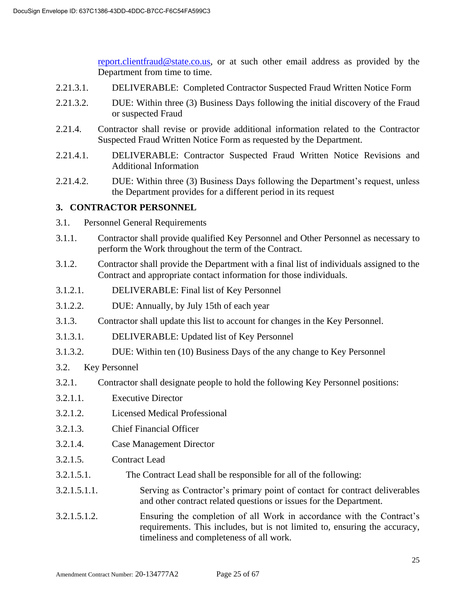[report.clientfraud@state.co.us,](mailto:report.clientfraud@state.co.us) or at such other email address as provided by the Department from time to time.

- 2.21.3.1. DELIVERABLE: Completed Contractor Suspected Fraud Written Notice Form
- 2.21.3.2. DUE: Within three (3) Business Days following the initial discovery of the Fraud or suspected Fraud
- 2.21.4. Contractor shall revise or provide additional information related to the Contractor Suspected Fraud Written Notice Form as requested by the Department.
- 2.21.4.1. DELIVERABLE: Contractor Suspected Fraud Written Notice Revisions and Additional Information
- 2.21.4.2. DUE: Within three (3) Business Days following the Department's request, unless the Department provides for a different period in its request

#### **3. CONTRACTOR PERSONNEL**

- 3.1. Personnel General Requirements
- 3.1.1. Contractor shall provide qualified Key Personnel and Other Personnel as necessary to perform the Work throughout the term of the Contract.
- 3.1.2. Contractor shall provide the Department with a final list of individuals assigned to the Contract and appropriate contact information for those individuals.
- 3.1.2.1. DELIVERABLE: Final list of Key Personnel
- 3.1.2.2. DUE: Annually, by July 15th of each year
- 3.1.3. Contractor shall update this list to account for changes in the Key Personnel.
- 3.1.3.1. DELIVERABLE: Updated list of Key Personnel
- 3.1.3.2. DUE: Within ten (10) Business Days of the any change to Key Personnel
- 3.2. Key Personnel
- 3.2.1. Contractor shall designate people to hold the following Key Personnel positions:
- 3.2.1.1. Executive Director
- 3.2.1.2. Licensed Medical Professional
- 3.2.1.3. Chief Financial Officer
- 3.2.1.4. Case Management Director
- 3.2.1.5. Contract Lead
- 3.2.1.5.1. The Contract Lead shall be responsible for all of the following:
- 3.2.1.5.1.1. Serving as Contractor's primary point of contact for contract deliverables and other contract related questions or issues for the Department.
- 3.2.1.5.1.2. Ensuring the completion of all Work in accordance with the Contract's requirements. This includes, but is not limited to, ensuring the accuracy, timeliness and completeness of all work.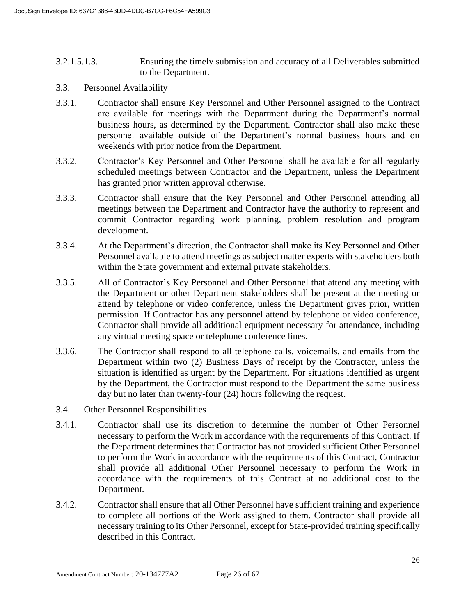- 3.2.1.5.1.3. Ensuring the timely submission and accuracy of all Deliverables submitted to the Department.
- 3.3. Personnel Availability
- 3.3.1. Contractor shall ensure Key Personnel and Other Personnel assigned to the Contract are available for meetings with the Department during the Department's normal business hours, as determined by the Department. Contractor shall also make these personnel available outside of the Department's normal business hours and on weekends with prior notice from the Department.
- 3.3.2. Contractor's Key Personnel and Other Personnel shall be available for all regularly scheduled meetings between Contractor and the Department, unless the Department has granted prior written approval otherwise.
- 3.3.3. Contractor shall ensure that the Key Personnel and Other Personnel attending all meetings between the Department and Contractor have the authority to represent and commit Contractor regarding work planning, problem resolution and program development.
- 3.3.4. At the Department's direction, the Contractor shall make its Key Personnel and Other Personnel available to attend meetings as subject matter experts with stakeholders both within the State government and external private stakeholders.
- 3.3.5. All of Contractor's Key Personnel and Other Personnel that attend any meeting with the Department or other Department stakeholders shall be present at the meeting or attend by telephone or video conference, unless the Department gives prior, written permission. If Contractor has any personnel attend by telephone or video conference, Contractor shall provide all additional equipment necessary for attendance, including any virtual meeting space or telephone conference lines.
- 3.3.6. The Contractor shall respond to all telephone calls, voicemails, and emails from the Department within two (2) Business Days of receipt by the Contractor, unless the situation is identified as urgent by the Department. For situations identified as urgent by the Department, the Contractor must respond to the Department the same business day but no later than twenty-four (24) hours following the request.
- 3.4. Other Personnel Responsibilities
- 3.4.1. Contractor shall use its discretion to determine the number of Other Personnel necessary to perform the Work in accordance with the requirements of this Contract. If the Department determines that Contractor has not provided sufficient Other Personnel to perform the Work in accordance with the requirements of this Contract, Contractor shall provide all additional Other Personnel necessary to perform the Work in accordance with the requirements of this Contract at no additional cost to the Department.
- 3.4.2. Contractor shall ensure that all Other Personnel have sufficient training and experience to complete all portions of the Work assigned to them. Contractor shall provide all necessary training to its Other Personnel, except for State-provided training specifically described in this Contract.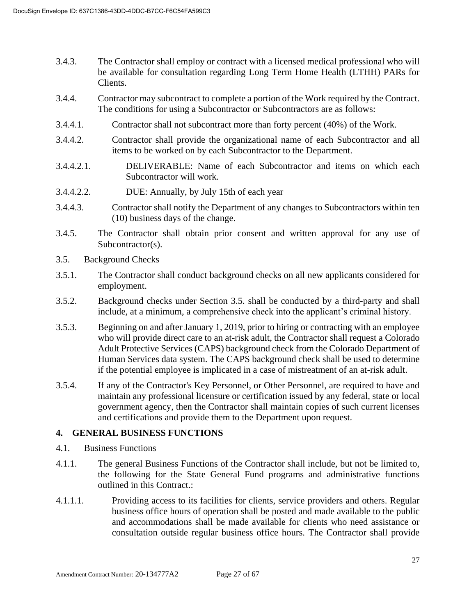- 3.4.3. The Contractor shall employ or contract with a licensed medical professional who will be available for consultation regarding Long Term Home Health (LTHH) PARs for Clients.
- 3.4.4. Contractor may subcontract to complete a portion of the Work required by the Contract. The conditions for using a Subcontractor or Subcontractors are as follows:
- 3.4.4.1. Contractor shall not subcontract more than forty percent (40%) of the Work.
- 3.4.4.2. Contractor shall provide the organizational name of each Subcontractor and all items to be worked on by each Subcontractor to the Department.
- 3.4.4.2.1. DELIVERABLE: Name of each Subcontractor and items on which each Subcontractor will work.
- 3.4.4.2.2. DUE: Annually, by July 15th of each year
- 3.4.4.3. Contractor shall notify the Department of any changes to Subcontractors within ten (10) business days of the change.
- 3.4.5. The Contractor shall obtain prior consent and written approval for any use of Subcontractor(s).
- 3.5. Background Checks
- 3.5.1. The Contractor shall conduct background checks on all new applicants considered for employment.
- 3.5.2. Background checks under Section 3.5. shall be conducted by a third-party and shall include, at a minimum, a comprehensive check into the applicant's criminal history.
- 3.5.3. Beginning on and after January 1, 2019, prior to hiring or contracting with an employee who will provide direct care to an at-risk adult, the Contractor shall request a Colorado Adult Protective Services (CAPS) background check from the Colorado Department of Human Services data system. The CAPS background check shall be used to determine if the potential employee is implicated in a case of mistreatment of an at-risk adult.
- 3.5.4. If any of the Contractor's Key Personnel, or Other Personnel, are required to have and maintain any professional licensure or certification issued by any federal, state or local government agency, then the Contractor shall maintain copies of such current licenses and certifications and provide them to the Department upon request.

#### **4. GENERAL BUSINESS FUNCTIONS**

- 4.1. Business Functions
- 4.1.1. The general Business Functions of the Contractor shall include, but not be limited to, the following for the State General Fund programs and administrative functions outlined in this Contract.:
- 4.1.1.1. Providing access to its facilities for clients, service providers and others. Regular business office hours of operation shall be posted and made available to the public and accommodations shall be made available for clients who need assistance or consultation outside regular business office hours. The Contractor shall provide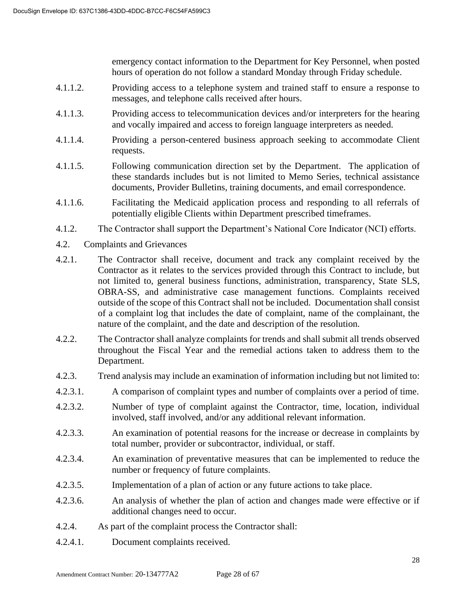emergency contact information to the Department for Key Personnel, when posted hours of operation do not follow a standard Monday through Friday schedule.

- 4.1.1.2. Providing access to a telephone system and trained staff to ensure a response to messages, and telephone calls received after hours.
- 4.1.1.3. Providing access to telecommunication devices and/or interpreters for the hearing and vocally impaired and access to foreign language interpreters as needed.
- 4.1.1.4. Providing a person-centered business approach seeking to accommodate Client requests.
- 4.1.1.5. Following communication direction set by the Department. The application of these standards includes but is not limited to Memo Series, technical assistance documents, Provider Bulletins, training documents, and email correspondence.
- 4.1.1.6. Facilitating the Medicaid application process and responding to all referrals of potentially eligible Clients within Department prescribed timeframes.
- 4.1.2. The Contractor shall support the Department's National Core Indicator (NCI) efforts.
- 4.2. Complaints and Grievances
- 4.2.1. The Contractor shall receive, document and track any complaint received by the Contractor as it relates to the services provided through this Contract to include, but not limited to, general business functions, administration, transparency, State SLS, OBRA-SS, and administrative case management functions. Complaints received outside of the scope of this Contract shall not be included. Documentation shall consist of a complaint log that includes the date of complaint, name of the complainant, the nature of the complaint, and the date and description of the resolution.
- 4.2.2. The Contractor shall analyze complaints for trends and shall submit all trends observed throughout the Fiscal Year and the remedial actions taken to address them to the Department.
- 4.2.3. Trend analysis may include an examination of information including but not limited to:
- 4.2.3.1. A comparison of complaint types and number of complaints over a period of time.
- 4.2.3.2. Number of type of complaint against the Contractor, time, location, individual involved, staff involved, and/or any additional relevant information.
- 4.2.3.3. An examination of potential reasons for the increase or decrease in complaints by total number, provider or subcontractor, individual, or staff.
- 4.2.3.4. An examination of preventative measures that can be implemented to reduce the number or frequency of future complaints.
- 4.2.3.5. Implementation of a plan of action or any future actions to take place.
- 4.2.3.6. An analysis of whether the plan of action and changes made were effective or if additional changes need to occur.
- 4.2.4. As part of the complaint process the Contractor shall:
- 4.2.4.1. Document complaints received.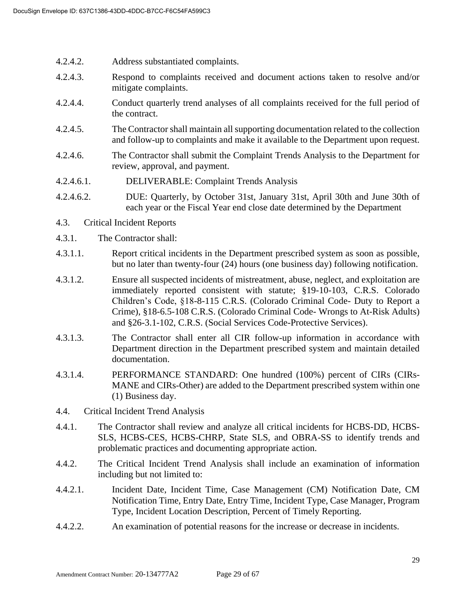- 4.2.4.2. Address substantiated complaints.
- 4.2.4.3. Respond to complaints received and document actions taken to resolve and/or mitigate complaints.
- 4.2.4.4. Conduct quarterly trend analyses of all complaints received for the full period of the contract.
- 4.2.4.5. The Contractor shall maintain all supporting documentation related to the collection and follow-up to complaints and make it available to the Department upon request.
- 4.2.4.6. The Contractor shall submit the Complaint Trends Analysis to the Department for review, approval, and payment.
- 4.2.4.6.1. DELIVERABLE: Complaint Trends Analysis
- 4.2.4.6.2. DUE: Quarterly, by October 31st, January 31st, April 30th and June 30th of each year or the Fiscal Year end close date determined by the Department
- 4.3. Critical Incident Reports
- 4.3.1. The Contractor shall:
- 4.3.1.1. Report critical incidents in the Department prescribed system as soon as possible, but no later than twenty-four (24) hours (one business day) following notification.
- 4.3.1.2. Ensure all suspected incidents of mistreatment, abuse, neglect, and exploitation are immediately reported consistent with statute; §19-10-103, C.R.S. Colorado Children's Code, §18-8-115 C.R.S. (Colorado Criminal Code- Duty to Report a Crime), §18-6.5-108 C.R.S. (Colorado Criminal Code- Wrongs to At-Risk Adults) and §26-3.1-102, C.R.S. (Social Services Code-Protective Services).
- 4.3.1.3. The Contractor shall enter all CIR follow-up information in accordance with Department direction in the Department prescribed system and maintain detailed documentation.
- 4.3.1.4. PERFORMANCE STANDARD: One hundred (100%) percent of CIRs (CIRs-MANE and CIRs-Other) are added to the Department prescribed system within one (1) Business day.
- 4.4. Critical Incident Trend Analysis
- 4.4.1. The Contractor shall review and analyze all critical incidents for HCBS-DD, HCBS-SLS, HCBS-CES, HCBS-CHRP, State SLS, and OBRA-SS to identify trends and problematic practices and documenting appropriate action.
- 4.4.2. The Critical Incident Trend Analysis shall include an examination of information including but not limited to:
- 4.4.2.1. Incident Date, Incident Time, Case Management (CM) Notification Date, CM Notification Time, Entry Date, Entry Time, Incident Type, Case Manager, Program Type, Incident Location Description, Percent of Timely Reporting.
- 4.4.2.2. An examination of potential reasons for the increase or decrease in incidents.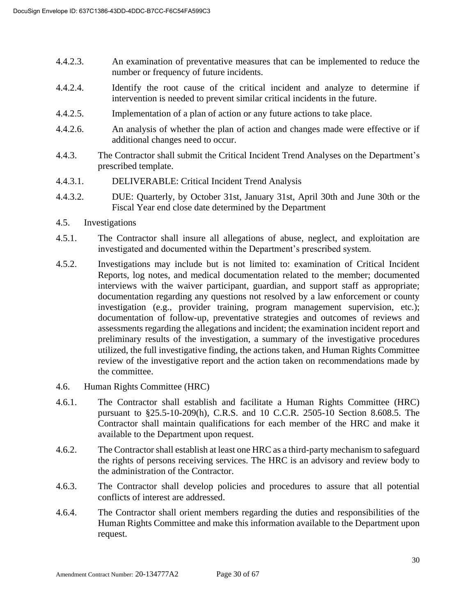- 4.4.2.3. An examination of preventative measures that can be implemented to reduce the number or frequency of future incidents.
- 4.4.2.4. Identify the root cause of the critical incident and analyze to determine if intervention is needed to prevent similar critical incidents in the future.
- 4.4.2.5. Implementation of a plan of action or any future actions to take place.
- 4.4.2.6. An analysis of whether the plan of action and changes made were effective or if additional changes need to occur.
- 4.4.3. The Contractor shall submit the Critical Incident Trend Analyses on the Department's prescribed template.
- 4.4.3.1. DELIVERABLE: Critical Incident Trend Analysis
- 4.4.3.2. DUE: Quarterly, by October 31st, January 31st, April 30th and June 30th or the Fiscal Year end close date determined by the Department
- 4.5. Investigations
- 4.5.1. The Contractor shall insure all allegations of abuse, neglect, and exploitation are investigated and documented within the Department's prescribed system.
- 4.5.2. Investigations may include but is not limited to: examination of Critical Incident Reports, log notes, and medical documentation related to the member; documented interviews with the waiver participant, guardian, and support staff as appropriate; documentation regarding any questions not resolved by a law enforcement or county investigation (e.g., provider training, program management supervision, etc.); documentation of follow-up, preventative strategies and outcomes of reviews and assessments regarding the allegations and incident; the examination incident report and preliminary results of the investigation, a summary of the investigative procedures utilized, the full investigative finding, the actions taken, and Human Rights Committee review of the investigative report and the action taken on recommendations made by the committee.
- 4.6. Human Rights Committee (HRC)
- 4.6.1. The Contractor shall establish and facilitate a Human Rights Committee (HRC) pursuant to §25.5-10-209(h), C.R.S. and 10 C.C.R. 2505-10 Section 8.608.5. The Contractor shall maintain qualifications for each member of the HRC and make it available to the Department upon request.
- 4.6.2. The Contractor shall establish at least one HRC as a third-party mechanism to safeguard the rights of persons receiving services. The HRC is an advisory and review body to the administration of the Contractor.
- 4.6.3. The Contractor shall develop policies and procedures to assure that all potential conflicts of interest are addressed.
- 4.6.4. The Contractor shall orient members regarding the duties and responsibilities of the Human Rights Committee and make this information available to the Department upon request.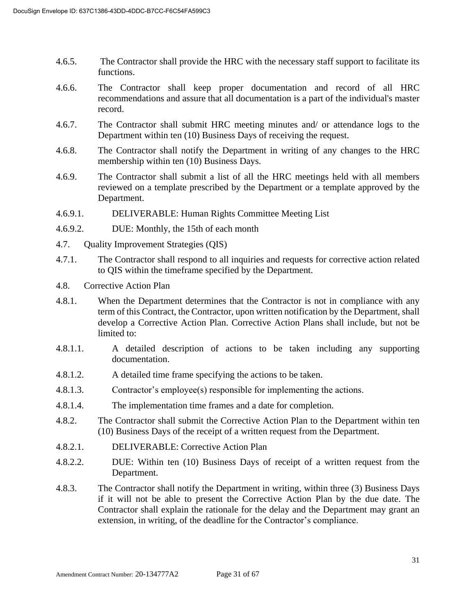- 4.6.5. The Contractor shall provide the HRC with the necessary staff support to facilitate its functions.
- 4.6.6. The Contractor shall keep proper documentation and record of all HRC recommendations and assure that all documentation is a part of the individual's master record.
- 4.6.7. The Contractor shall submit HRC meeting minutes and/ or attendance logs to the Department within ten (10) Business Days of receiving the request.
- 4.6.8. The Contractor shall notify the Department in writing of any changes to the HRC membership within ten (10) Business Days.
- 4.6.9. The Contractor shall submit a list of all the HRC meetings held with all members reviewed on a template prescribed by the Department or a template approved by the Department.
- 4.6.9.1. DELIVERABLE: Human Rights Committee Meeting List
- 4.6.9.2. DUE: Monthly, the 15th of each month
- 4.7. Quality Improvement Strategies (QIS)
- 4.7.1. The Contractor shall respond to all inquiries and requests for corrective action related to QIS within the timeframe specified by the Department.
- 4.8. Corrective Action Plan
- 4.8.1. When the Department determines that the Contractor is not in compliance with any term of this Contract, the Contractor, upon written notification by the Department, shall develop a Corrective Action Plan. Corrective Action Plans shall include, but not be limited to:
- 4.8.1.1. A detailed description of actions to be taken including any supporting documentation.
- 4.8.1.2. A detailed time frame specifying the actions to be taken.
- 4.8.1.3. Contractor's employee(s) responsible for implementing the actions.
- 4.8.1.4. The implementation time frames and a date for completion.
- 4.8.2. The Contractor shall submit the Corrective Action Plan to the Department within ten (10) Business Days of the receipt of a written request from the Department.
- 4.8.2.1. DELIVERABLE: Corrective Action Plan
- 4.8.2.2. DUE: Within ten (10) Business Days of receipt of a written request from the Department.
- 4.8.3. The Contractor shall notify the Department in writing, within three (3) Business Days if it will not be able to present the Corrective Action Plan by the due date. The Contractor shall explain the rationale for the delay and the Department may grant an extension, in writing, of the deadline for the Contractor's compliance.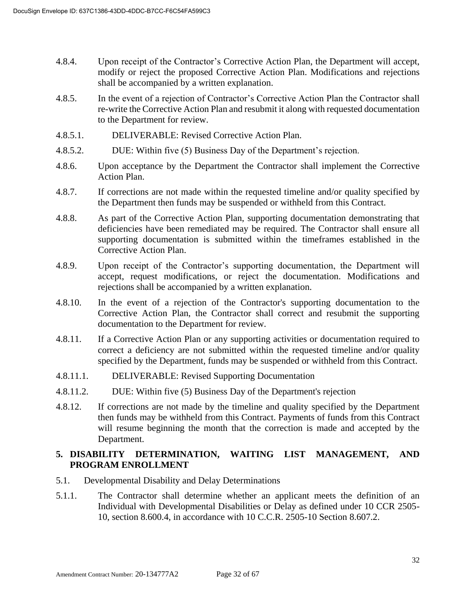- 4.8.4. Upon receipt of the Contractor's Corrective Action Plan, the Department will accept, modify or reject the proposed Corrective Action Plan. Modifications and rejections shall be accompanied by a written explanation.
- 4.8.5. In the event of a rejection of Contractor's Corrective Action Plan the Contractor shall re-write the Corrective Action Plan and resubmit it along with requested documentation to the Department for review.
- 4.8.5.1. DELIVERABLE: Revised Corrective Action Plan.
- 4.8.5.2. DUE: Within five (5) Business Day of the Department's rejection.
- 4.8.6. Upon acceptance by the Department the Contractor shall implement the Corrective Action Plan.
- 4.8.7. If corrections are not made within the requested timeline and/or quality specified by the Department then funds may be suspended or withheld from this Contract.
- 4.8.8. As part of the Corrective Action Plan, supporting documentation demonstrating that deficiencies have been remediated may be required. The Contractor shall ensure all supporting documentation is submitted within the timeframes established in the Corrective Action Plan.
- 4.8.9. Upon receipt of the Contractor's supporting documentation, the Department will accept, request modifications, or reject the documentation. Modifications and rejections shall be accompanied by a written explanation.
- 4.8.10. In the event of a rejection of the Contractor's supporting documentation to the Corrective Action Plan, the Contractor shall correct and resubmit the supporting documentation to the Department for review.
- 4.8.11. If a Corrective Action Plan or any supporting activities or documentation required to correct a deficiency are not submitted within the requested timeline and/or quality specified by the Department, funds may be suspended or withheld from this Contract.
- 4.8.11.1. DELIVERABLE: Revised Supporting Documentation
- 4.8.11.2. DUE: Within five (5) Business Day of the Department's rejection
- 4.8.12. If corrections are not made by the timeline and quality specified by the Department then funds may be withheld from this Contract. Payments of funds from this Contract will resume beginning the month that the correction is made and accepted by the Department.

### **5. DISABILITY DETERMINATION, WAITING LIST MANAGEMENT, AND PROGRAM ENROLLMENT**

- 5.1. Developmental Disability and Delay Determinations
- 5.1.1. The Contractor shall determine whether an applicant meets the definition of an Individual with Developmental Disabilities or Delay as defined under 10 CCR 2505- 10, section 8.600.4, in accordance with 10 C.C.R. 2505-10 Section 8.607.2.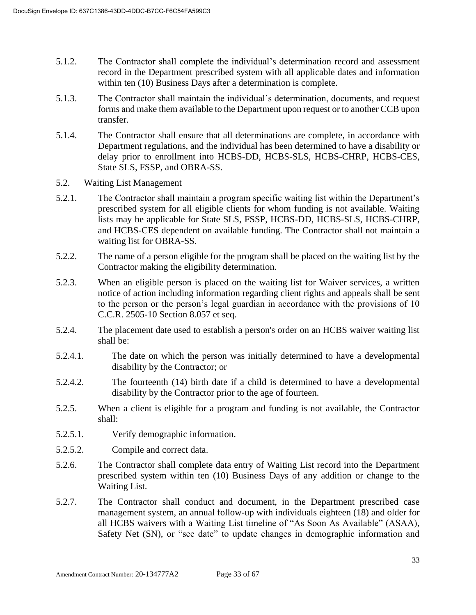- 5.1.2. The Contractor shall complete the individual's determination record and assessment record in the Department prescribed system with all applicable dates and information within ten (10) Business Days after a determination is complete.
- 5.1.3. The Contractor shall maintain the individual's determination, documents, and request forms and make them available to the Department upon request or to another CCB upon transfer.
- 5.1.4. The Contractor shall ensure that all determinations are complete, in accordance with Department regulations, and the individual has been determined to have a disability or delay prior to enrollment into HCBS-DD, HCBS-SLS, HCBS-CHRP, HCBS-CES, State SLS, FSSP, and OBRA-SS.
- 5.2. Waiting List Management
- 5.2.1. The Contractor shall maintain a program specific waiting list within the Department's prescribed system for all eligible clients for whom funding is not available. Waiting lists may be applicable for State SLS, FSSP, HCBS-DD, HCBS-SLS, HCBS-CHRP, and HCBS-CES dependent on available funding. The Contractor shall not maintain a waiting list for OBRA-SS.
- 5.2.2. The name of a person eligible for the program shall be placed on the waiting list by the Contractor making the eligibility determination.
- 5.2.3. When an eligible person is placed on the waiting list for Waiver services, a written notice of action including information regarding client rights and appeals shall be sent to the person or the person's legal guardian in accordance with the provisions of 10 C.C.R. 2505-10 Section 8.057 et seq.
- 5.2.4. The placement date used to establish a person's order on an HCBS waiver waiting list shall be:
- 5.2.4.1. The date on which the person was initially determined to have a developmental disability by the Contractor; or
- 5.2.4.2. The fourteenth (14) birth date if a child is determined to have a developmental disability by the Contractor prior to the age of fourteen.
- 5.2.5. When a client is eligible for a program and funding is not available, the Contractor shall:
- 5.2.5.1. Verify demographic information.
- 5.2.5.2. Compile and correct data.
- 5.2.6. The Contractor shall complete data entry of Waiting List record into the Department prescribed system within ten (10) Business Days of any addition or change to the Waiting List.
- 5.2.7. The Contractor shall conduct and document, in the Department prescribed case management system, an annual follow-up with individuals eighteen (18) and older for all HCBS waivers with a Waiting List timeline of "As Soon As Available" (ASAA), Safety Net (SN), or "see date" to update changes in demographic information and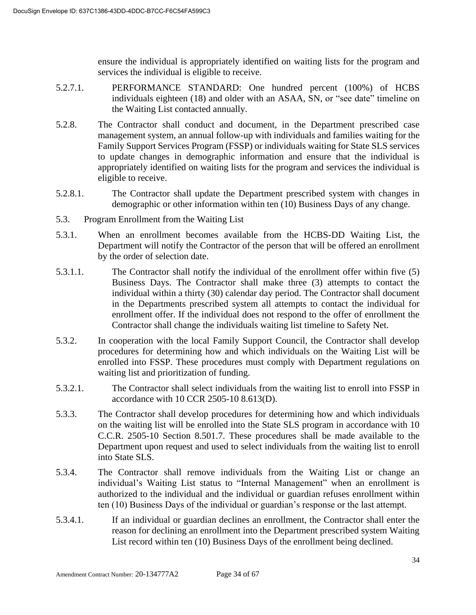ensure the individual is appropriately identified on waiting lists for the program and services the individual is eligible to receive.

- 5.2.7.1. PERFORMANCE STANDARD: One hundred percent (100%) of HCBS individuals eighteen (18) and older with an ASAA, SN, or "see date" timeline on the Waiting List contacted annually.
- 5.2.8. The Contractor shall conduct and document, in the Department prescribed case management system, an annual follow-up with individuals and families waiting for the Family Support Services Program (FSSP) or individuals waiting for State SLS services to update changes in demographic information and ensure that the individual is appropriately identified on waiting lists for the program and services the individual is eligible to receive.
- 5.2.8.1. The Contractor shall update the Department prescribed system with changes in demographic or other information within ten (10) Business Days of any change.
- 5.3. Program Enrollment from the Waiting List
- 5.3.1. When an enrollment becomes available from the HCBS-DD Waiting List, the Department will notify the Contractor of the person that will be offered an enrollment by the order of selection date.
- 5.3.1.1. The Contractor shall notify the individual of the enrollment offer within five (5) Business Days. The Contractor shall make three (3) attempts to contact the individual within a thirty (30) calendar day period. The Contractor shall document in the Departments prescribed system all attempts to contact the individual for enrollment offer. If the individual does not respond to the offer of enrollment the Contractor shall change the individuals waiting list timeline to Safety Net.
- 5.3.2. In cooperation with the local Family Support Council, the Contractor shall develop procedures for determining how and which individuals on the Waiting List will be enrolled into FSSP. These procedures must comply with Department regulations on waiting list and prioritization of funding.
- 5.3.2.1. The Contractor shall select individuals from the waiting list to enroll into FSSP in accordance with 10 CCR 2505-10 8.613(D).
- 5.3.3. The Contractor shall develop procedures for determining how and which individuals on the waiting list will be enrolled into the State SLS program in accordance with 10 C.C.R. 2505-10 Section 8.501.7. These procedures shall be made available to the Department upon request and used to select individuals from the waiting list to enroll into State SLS.
- 5.3.4. The Contractor shall remove individuals from the Waiting List or change an individual's Waiting List status to "Internal Management" when an enrollment is authorized to the individual and the individual or guardian refuses enrollment within ten (10) Business Days of the individual or guardian's response or the last attempt.
- 5.3.4.1. If an individual or guardian declines an enrollment, the Contractor shall enter the reason for declining an enrollment into the Department prescribed system Waiting List record within ten (10) Business Days of the enrollment being declined.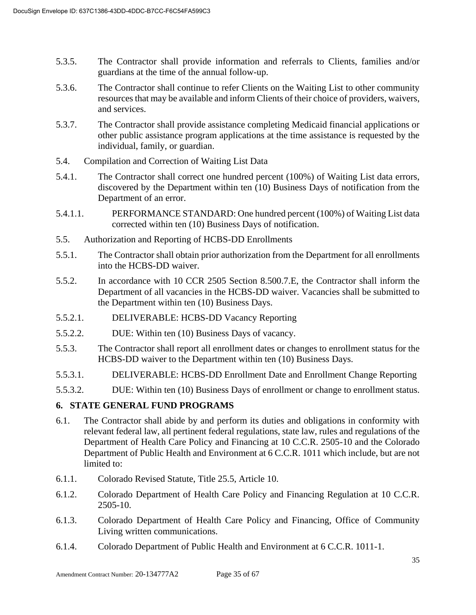- 5.3.5. The Contractor shall provide information and referrals to Clients, families and/or guardians at the time of the annual follow-up.
- 5.3.6. The Contractor shall continue to refer Clients on the Waiting List to other community resources that may be available and inform Clients of their choice of providers, waivers, and services.
- 5.3.7. The Contractor shall provide assistance completing Medicaid financial applications or other public assistance program applications at the time assistance is requested by the individual, family, or guardian.
- 5.4. Compilation and Correction of Waiting List Data
- 5.4.1. The Contractor shall correct one hundred percent (100%) of Waiting List data errors, discovered by the Department within ten (10) Business Days of notification from the Department of an error.
- 5.4.1.1. PERFORMANCE STANDARD: One hundred percent (100%) of Waiting List data corrected within ten (10) Business Days of notification.
- 5.5. Authorization and Reporting of HCBS-DD Enrollments
- 5.5.1. The Contractor shall obtain prior authorization from the Department for all enrollments into the HCBS-DD waiver.
- 5.5.2. In accordance with 10 CCR 2505 Section 8.500.7.E, the Contractor shall inform the Department of all vacancies in the HCBS-DD waiver. Vacancies shall be submitted to the Department within ten (10) Business Days.
- 5.5.2.1. DELIVERABLE: HCBS-DD Vacancy Reporting
- 5.5.2.2. DUE: Within ten (10) Business Days of vacancy.
- 5.5.3. The Contractor shall report all enrollment dates or changes to enrollment status for the HCBS-DD waiver to the Department within ten (10) Business Days.
- 5.5.3.1. DELIVERABLE: HCBS-DD Enrollment Date and Enrollment Change Reporting
- 5.5.3.2. DUE: Within ten (10) Business Days of enrollment or change to enrollment status.

#### **6. STATE GENERAL FUND PROGRAMS**

- 6.1. The Contractor shall abide by and perform its duties and obligations in conformity with relevant federal law, all pertinent federal regulations, state law, rules and regulations of the Department of Health Care Policy and Financing at 10 C.C.R. 2505-10 and the Colorado Department of Public Health and Environment at 6 C.C.R. 1011 which include, but are not limited to:
- 6.1.1. Colorado Revised Statute, Title 25.5, Article 10.
- 6.1.2. Colorado Department of Health Care Policy and Financing Regulation at 10 C.C.R. 2505-10.
- 6.1.3. Colorado Department of Health Care Policy and Financing, Office of Community Living written communications.
- 6.1.4. Colorado Department of Public Health and Environment at 6 C.C.R. 1011-1.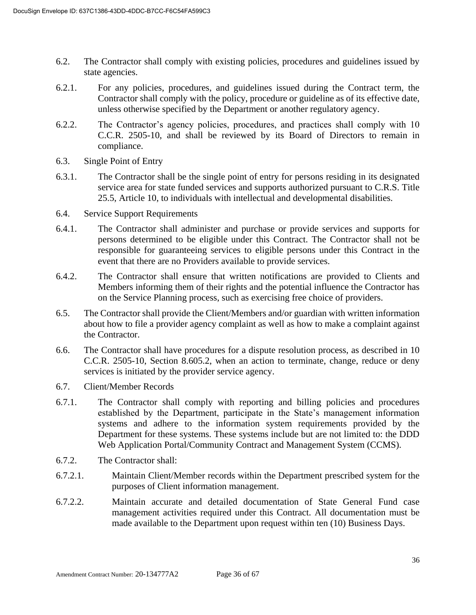- 6.2. The Contractor shall comply with existing policies, procedures and guidelines issued by state agencies.
- 6.2.1. For any policies, procedures, and guidelines issued during the Contract term, the Contractor shall comply with the policy, procedure or guideline as of its effective date, unless otherwise specified by the Department or another regulatory agency.
- 6.2.2. The Contractor's agency policies, procedures, and practices shall comply with 10 C.C.R. 2505-10, and shall be reviewed by its Board of Directors to remain in compliance.
- 6.3. Single Point of Entry
- 6.3.1. The Contractor shall be the single point of entry for persons residing in its designated service area for state funded services and supports authorized pursuant to C.R.S. Title 25.5, Article 10, to individuals with intellectual and developmental disabilities.
- 6.4. Service Support Requirements
- 6.4.1. The Contractor shall administer and purchase or provide services and supports for persons determined to be eligible under this Contract. The Contractor shall not be responsible for guaranteeing services to eligible persons under this Contract in the event that there are no Providers available to provide services.
- 6.4.2. The Contractor shall ensure that written notifications are provided to Clients and Members informing them of their rights and the potential influence the Contractor has on the Service Planning process, such as exercising free choice of providers.
- 6.5. The Contractor shall provide the Client/Members and/or guardian with written information about how to file a provider agency complaint as well as how to make a complaint against the Contractor.
- 6.6. The Contractor shall have procedures for a dispute resolution process, as described in 10 C.C.R. 2505-10, Section 8.605.2, when an action to terminate, change, reduce or deny services is initiated by the provider service agency.
- 6.7. Client/Member Records
- 6.7.1. The Contractor shall comply with reporting and billing policies and procedures established by the Department, participate in the State's management information systems and adhere to the information system requirements provided by the Department for these systems. These systems include but are not limited to: the DDD Web Application Portal/Community Contract and Management System (CCMS).
- 6.7.2. The Contractor shall:
- 6.7.2.1. Maintain Client/Member records within the Department prescribed system for the purposes of Client information management.
- 6.7.2.2. Maintain accurate and detailed documentation of State General Fund case management activities required under this Contract. All documentation must be made available to the Department upon request within ten (10) Business Days.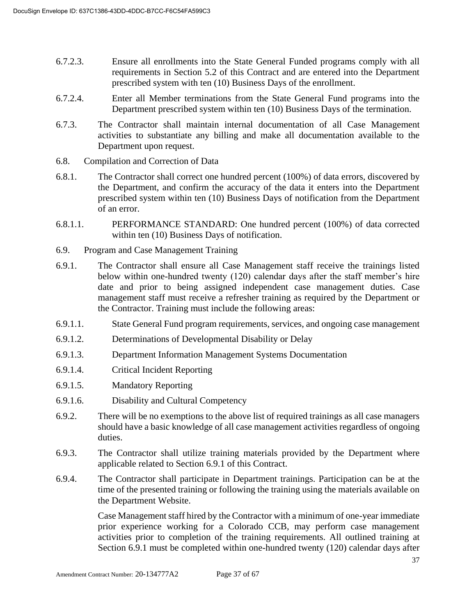- 6.7.2.3. Ensure all enrollments into the State General Funded programs comply with all requirements in Section 5.2 of this Contract and are entered into the Department prescribed system with ten (10) Business Days of the enrollment.
- 6.7.2.4. Enter all Member terminations from the State General Fund programs into the Department prescribed system within ten (10) Business Days of the termination.
- 6.7.3. The Contractor shall maintain internal documentation of all Case Management activities to substantiate any billing and make all documentation available to the Department upon request.
- 6.8. Compilation and Correction of Data
- 6.8.1. The Contractor shall correct one hundred percent (100%) of data errors, discovered by the Department, and confirm the accuracy of the data it enters into the Department prescribed system within ten (10) Business Days of notification from the Department of an error.
- 6.8.1.1. PERFORMANCE STANDARD: One hundred percent (100%) of data corrected within ten (10) Business Days of notification.
- 6.9. Program and Case Management Training
- 6.9.1. The Contractor shall ensure all Case Management staff receive the trainings listed below within one-hundred twenty (120) calendar days after the staff member's hire date and prior to being assigned independent case management duties. Case management staff must receive a refresher training as required by the Department or the Contractor. Training must include the following areas:
- 6.9.1.1. State General Fund program requirements, services, and ongoing case management
- 6.9.1.2. Determinations of Developmental Disability or Delay
- 6.9.1.3. Department Information Management Systems Documentation
- 6.9.1.4. Critical Incident Reporting
- 6.9.1.5. Mandatory Reporting
- 6.9.1.6. Disability and Cultural Competency
- 6.9.2. There will be no exemptions to the above list of required trainings as all case managers should have a basic knowledge of all case management activities regardless of ongoing duties.
- 6.9.3. The Contractor shall utilize training materials provided by the Department where applicable related to Section 6.9.1 of this Contract.
- 6.9.4. The Contractor shall participate in Department trainings. Participation can be at the time of the presented training or following the training using the materials available on the Department Website.

Case Management staff hired by the Contractor with a minimum of one-year immediate prior experience working for a Colorado CCB, may perform case management activities prior to completion of the training requirements. All outlined training at Section 6.9.1 must be completed within one-hundred twenty (120) calendar days after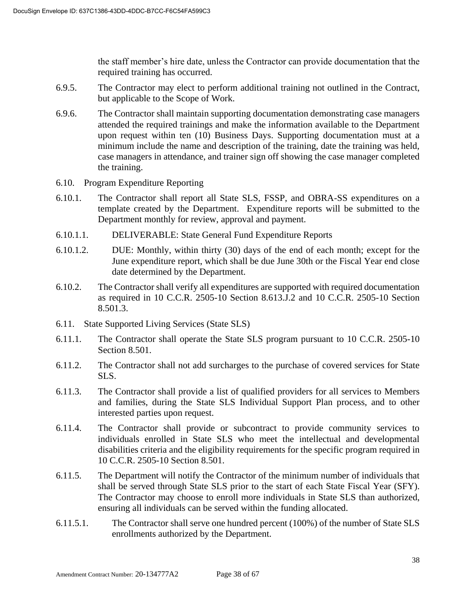the staff member's hire date, unless the Contractor can provide documentation that the required training has occurred.

- 6.9.5. The Contractor may elect to perform additional training not outlined in the Contract, but applicable to the Scope of Work.
- 6.9.6. The Contractor shall maintain supporting documentation demonstrating case managers attended the required trainings and make the information available to the Department upon request within ten (10) Business Days. Supporting documentation must at a minimum include the name and description of the training, date the training was held, case managers in attendance, and trainer sign off showing the case manager completed the training.
- 6.10. Program Expenditure Reporting
- 6.10.1. The Contractor shall report all State SLS, FSSP, and OBRA-SS expenditures on a template created by the Department. Expenditure reports will be submitted to the Department monthly for review, approval and payment.
- 6.10.1.1. DELIVERABLE: State General Fund Expenditure Reports
- 6.10.1.2. DUE: Monthly, within thirty (30) days of the end of each month; except for the June expenditure report, which shall be due June 30th or the Fiscal Year end close date determined by the Department.
- 6.10.2. The Contractor shall verify all expenditures are supported with required documentation as required in 10 C.C.R. 2505-10 Section 8.613.J.2 and 10 C.C.R. 2505-10 Section 8.501.3.
- 6.11. State Supported Living Services (State SLS)
- 6.11.1. The Contractor shall operate the State SLS program pursuant to 10 C.C.R. 2505-10 Section 8.501.
- 6.11.2. The Contractor shall not add surcharges to the purchase of covered services for State SLS.
- 6.11.3. The Contractor shall provide a list of qualified providers for all services to Members and families, during the State SLS Individual Support Plan process, and to other interested parties upon request.
- 6.11.4. The Contractor shall provide or subcontract to provide community services to individuals enrolled in State SLS who meet the intellectual and developmental disabilities criteria and the eligibility requirements for the specific program required in 10 C.C.R. 2505-10 Section 8.501.
- 6.11.5. The Department will notify the Contractor of the minimum number of individuals that shall be served through State SLS prior to the start of each State Fiscal Year (SFY). The Contractor may choose to enroll more individuals in State SLS than authorized, ensuring all individuals can be served within the funding allocated.
- 6.11.5.1. The Contractor shall serve one hundred percent (100%) of the number of State SLS enrollments authorized by the Department.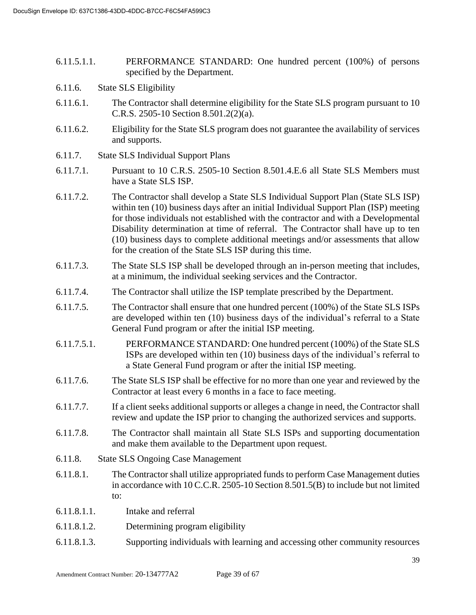- 6.11.5.1.1. PERFORMANCE STANDARD: One hundred percent (100%) of persons specified by the Department.
- 6.11.6. State SLS Eligibility
- 6.11.6.1. The Contractor shall determine eligibility for the State SLS program pursuant to 10 C.R.S. 2505-10 Section 8.501.2(2)(a).
- 6.11.6.2. Eligibility for the State SLS program does not guarantee the availability of services and supports.
- 6.11.7. State SLS Individual Support Plans
- 6.11.7.1. Pursuant to 10 C.R.S. 2505-10 Section 8.501.4.E.6 all State SLS Members must have a State SLS ISP.
- 6.11.7.2. The Contractor shall develop a State SLS Individual Support Plan (State SLS ISP) within ten (10) business days after an initial Individual Support Plan (ISP) meeting for those individuals not established with the contractor and with a Developmental Disability determination at time of referral. The Contractor shall have up to ten (10) business days to complete additional meetings and/or assessments that allow for the creation of the State SLS ISP during this time.
- 6.11.7.3. The State SLS ISP shall be developed through an in-person meeting that includes, at a minimum, the individual seeking services and the Contractor.
- 6.11.7.4. The Contractor shall utilize the ISP template prescribed by the Department.
- 6.11.7.5. The Contractor shall ensure that one hundred percent (100%) of the State SLS ISPs are developed within ten (10) business days of the individual's referral to a State General Fund program or after the initial ISP meeting.
- 6.11.7.5.1. PERFORMANCE STANDARD: One hundred percent (100%) of the State SLS ISPs are developed within ten (10) business days of the individual's referral to a State General Fund program or after the initial ISP meeting.
- 6.11.7.6. The State SLS ISP shall be effective for no more than one year and reviewed by the Contractor at least every 6 months in a face to face meeting.
- 6.11.7.7. If a client seeks additional supports or alleges a change in need, the Contractor shall review and update the ISP prior to changing the authorized services and supports.
- 6.11.7.8. The Contractor shall maintain all State SLS ISPs and supporting documentation and make them available to the Department upon request.
- 6.11.8. State SLS Ongoing Case Management
- 6.11.8.1. The Contractor shall utilize appropriated funds to perform Case Management duties in accordance with 10 C.C.R. 2505-10 Section 8.501.5(B) to include but not limited to:
- 6.11.8.1.1. Intake and referral
- 6.11.8.1.2. Determining program eligibility
- 6.11.8.1.3. Supporting individuals with learning and accessing other community resources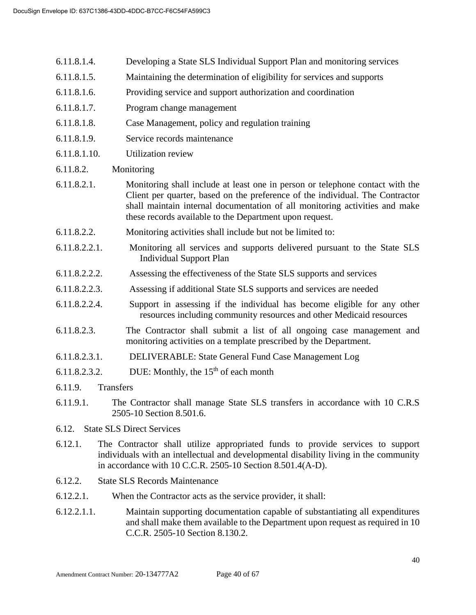- 6.11.8.1.4. Developing a State SLS Individual Support Plan and monitoring services
- 6.11.8.1.5. Maintaining the determination of eligibility for services and supports
- 6.11.8.1.6. Providing service and support authorization and coordination
- 6.11.8.1.7. Program change management
- 6.11.8.1.8. Case Management, policy and regulation training
- 6.11.8.1.9. Service records maintenance
- 6.11.8.1.10. Utilization review
- 6.11.8.2. Monitoring
- 6.11.8.2.1. Monitoring shall include at least one in person or telephone contact with the Client per quarter, based on the preference of the individual. The Contractor shall maintain internal documentation of all monitoring activities and make these records available to the Department upon request.
- 6.11.8.2.2. Monitoring activities shall include but not be limited to:
- 6.11.8.2.2.1. Monitoring all services and supports delivered pursuant to the State SLS Individual Support Plan
- 6.11.8.2.2.2. Assessing the effectiveness of the State SLS supports and services
- 6.11.8.2.2.3. Assessing if additional State SLS supports and services are needed
- 6.11.8.2.2.4. Support in assessing if the individual has become eligible for any other resources including community resources and other Medicaid resources
- 6.11.8.2.3. The Contractor shall submit a list of all ongoing case management and monitoring activities on a template prescribed by the Department.
- 6.11.8.2.3.1. DELIVERABLE: State General Fund Case Management Log
- 6.11.8.2.3.2. DUE: Monthly, the  $15<sup>th</sup>$  of each month
- 6.11.9. Transfers
- 6.11.9.1. The Contractor shall manage State SLS transfers in accordance with 10 C.R.S 2505-10 Section 8.501.6.
- 6.12. State SLS Direct Services
- 6.12.1. The Contractor shall utilize appropriated funds to provide services to support individuals with an intellectual and developmental disability living in the community in accordance with 10 C.C.R. 2505-10 Section 8.501.4(A-D).
- 6.12.2. State SLS Records Maintenance
- 6.12.2.1. When the Contractor acts as the service provider, it shall:
- 6.12.2.1.1. Maintain supporting documentation capable of substantiating all expenditures and shall make them available to the Department upon request as required in 10 C.C.R. 2505-10 Section 8.130.2.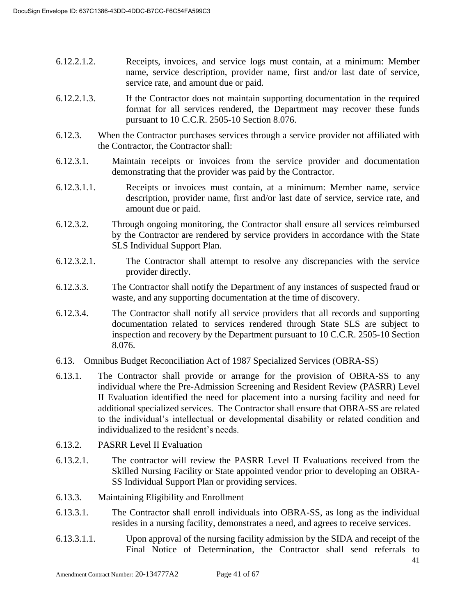- 6.12.2.1.2. Receipts, invoices, and service logs must contain, at a minimum: Member name, service description, provider name, first and/or last date of service, service rate, and amount due or paid.
- 6.12.2.1.3. If the Contractor does not maintain supporting documentation in the required format for all services rendered, the Department may recover these funds pursuant to 10 C.C.R. 2505-10 Section 8.076.
- 6.12.3. When the Contractor purchases services through a service provider not affiliated with the Contractor, the Contractor shall:
- 6.12.3.1. Maintain receipts or invoices from the service provider and documentation demonstrating that the provider was paid by the Contractor.
- 6.12.3.1.1. Receipts or invoices must contain, at a minimum: Member name, service description, provider name, first and/or last date of service, service rate, and amount due or paid.
- 6.12.3.2. Through ongoing monitoring, the Contractor shall ensure all services reimbursed by the Contractor are rendered by service providers in accordance with the State SLS Individual Support Plan.
- 6.12.3.2.1. The Contractor shall attempt to resolve any discrepancies with the service provider directly.
- 6.12.3.3. The Contractor shall notify the Department of any instances of suspected fraud or waste, and any supporting documentation at the time of discovery.
- 6.12.3.4. The Contractor shall notify all service providers that all records and supporting documentation related to services rendered through State SLS are subject to inspection and recovery by the Department pursuant to 10 C.C.R. 2505-10 Section 8.076.
- 6.13. Omnibus Budget Reconciliation Act of 1987 Specialized Services (OBRA**-**SS)
- 6.13.1. The Contractor shall provide or arrange for the provision of OBRA-SS to any individual where the Pre-Admission Screening and Resident Review (PASRR) Level II Evaluation identified the need for placement into a nursing facility and need for additional specialized services. The Contractor shall ensure that OBRA-SS are related to the individual's intellectual or developmental disability or related condition and individualized to the resident's needs.
- 6.13.2. PASRR Level II Evaluation
- 6.13.2.1. The contractor will review the PASRR Level II Evaluations received from the Skilled Nursing Facility or State appointed vendor prior to developing an OBRA-SS Individual Support Plan or providing services.
- 6.13.3. Maintaining Eligibility and Enrollment
- 6.13.3.1. The Contractor shall enroll individuals into OBRA-SS, as long as the individual resides in a nursing facility, demonstrates a need, and agrees to receive services.
- 6.13.3.1.1. Upon approval of the nursing facility admission by the SIDA and receipt of the Final Notice of Determination, the Contractor shall send referrals to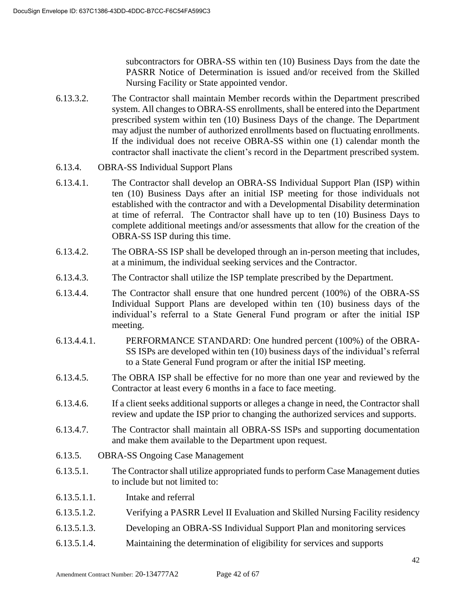subcontractors for OBRA-SS within ten (10) Business Days from the date the PASRR Notice of Determination is issued and/or received from the Skilled Nursing Facility or State appointed vendor.

- 6.13.3.2. The Contractor shall maintain Member records within the Department prescribed system. All changes to OBRA-SS enrollments, shall be entered into the Department prescribed system within ten (10) Business Days of the change. The Department may adjust the number of authorized enrollments based on fluctuating enrollments. If the individual does not receive OBRA-SS within one (1) calendar month the contractor shall inactivate the client's record in the Department prescribed system.
- 6.13.4. OBRA-SS Individual Support Plans
- 6.13.4.1. The Contractor shall develop an OBRA-SS Individual Support Plan (ISP) within ten (10) Business Days after an initial ISP meeting for those individuals not established with the contractor and with a Developmental Disability determination at time of referral. The Contractor shall have up to ten (10) Business Days to complete additional meetings and/or assessments that allow for the creation of the OBRA-SS ISP during this time.
- 6.13.4.2. The OBRA-SS ISP shall be developed through an in-person meeting that includes, at a minimum, the individual seeking services and the Contractor.
- 6.13.4.3. The Contractor shall utilize the ISP template prescribed by the Department.
- 6.13.4.4. The Contractor shall ensure that one hundred percent (100%) of the OBRA-SS Individual Support Plans are developed within ten (10) business days of the individual's referral to a State General Fund program or after the initial ISP meeting.
- 6.13.4.4.1. PERFORMANCE STANDARD: One hundred percent (100%) of the OBRA-SS ISPs are developed within ten (10) business days of the individual's referral to a State General Fund program or after the initial ISP meeting.
- 6.13.4.5. The OBRA ISP shall be effective for no more than one year and reviewed by the Contractor at least every 6 months in a face to face meeting.
- 6.13.4.6. If a client seeks additional supports or alleges a change in need, the Contractor shall review and update the ISP prior to changing the authorized services and supports.
- 6.13.4.7. The Contractor shall maintain all OBRA-SS ISPs and supporting documentation and make them available to the Department upon request.
- 6.13.5. OBRA-SS Ongoing Case Management
- 6.13.5.1. The Contractor shall utilize appropriated funds to perform Case Management duties to include but not limited to:
- 6.13.5.1.1. Intake and referral
- 6.13.5.1.2. Verifying a PASRR Level II Evaluation and Skilled Nursing Facility residency
- 6.13.5.1.3. Developing an OBRA-SS Individual Support Plan and monitoring services
- 6.13.5.1.4. Maintaining the determination of eligibility for services and supports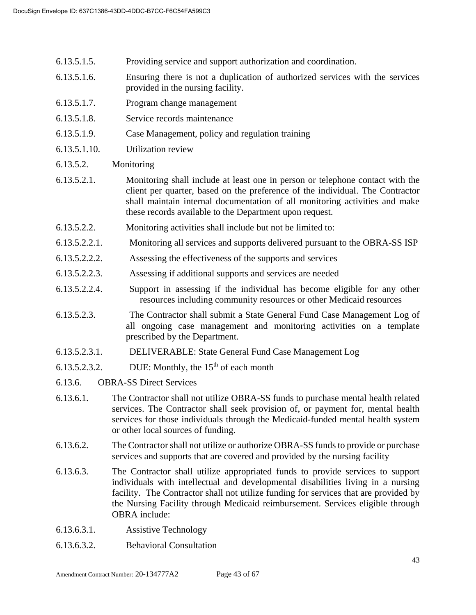- 6.13.5.1.5. Providing service and support authorization and coordination.
- 6.13.5.1.6. Ensuring there is not a duplication of authorized services with the services provided in the nursing facility.
- 6.13.5.1.7. Program change management
- 6.13.5.1.8. Service records maintenance
- 6.13.5.1.9. Case Management, policy and regulation training
- 6.13.5.1.10. Utilization review
- 6.13.5.2. Monitoring
- 6.13.5.2.1. Monitoring shall include at least one in person or telephone contact with the client per quarter, based on the preference of the individual. The Contractor shall maintain internal documentation of all monitoring activities and make these records available to the Department upon request.
- 6.13.5.2.2. Monitoring activities shall include but not be limited to:
- 6.13.5.2.2.1. Monitoring all services and supports delivered pursuant to the OBRA-SS ISP
- 6.13.5.2.2.2. Assessing the effectiveness of the supports and services
- 6.13.5.2.2.3. Assessing if additional supports and services are needed
- 6.13.5.2.2.4. Support in assessing if the individual has become eligible for any other resources including community resources or other Medicaid resources
- 6.13.5.2.3. The Contractor shall submit a State General Fund Case Management Log of all ongoing case management and monitoring activities on a template prescribed by the Department.
- 6.13.5.2.3.1. DELIVERABLE: State General Fund Case Management Log
- 6.13.5.2.3.2. DUE: Monthly, the  $15<sup>th</sup>$  of each month
- 6.13.6. OBRA-SS Direct Services
- 6.13.6.1. The Contractor shall not utilize OBRA-SS funds to purchase mental health related services. The Contractor shall seek provision of, or payment for, mental health services for those individuals through the Medicaid-funded mental health system or other local sources of funding.
- 6.13.6.2. The Contractor shall not utilize or authorize OBRA-SS funds to provide or purchase services and supports that are covered and provided by the nursing facility
- 6.13.6.3. The Contractor shall utilize appropriated funds to provide services to support individuals with intellectual and developmental disabilities living in a nursing facility. The Contractor shall not utilize funding for services that are provided by the Nursing Facility through Medicaid reimbursement. Services eligible through OBRA include:
- 6.13.6.3.1. Assistive Technology
- 6.13.6.3.2. Behavioral Consultation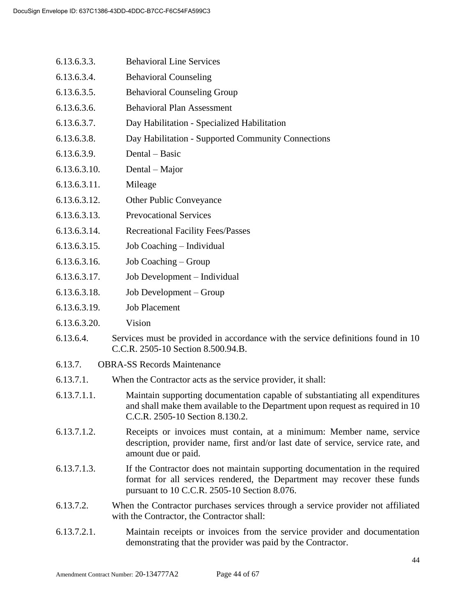- 6.13.6.3.3. Behavioral Line Services
- 6.13.6.3.4. Behavioral Counseling
- 6.13.6.3.5. Behavioral Counseling Group
- 6.13.6.3.6. Behavioral Plan Assessment
- 6.13.6.3.7. Day Habilitation Specialized Habilitation
- 6.13.6.3.8. Day Habilitation Supported Community Connections
- 6.13.6.3.9. Dental Basic
- 6.13.6.3.10. Dental Major
- 6.13.6.3.11. Mileage
- 6.13.6.3.12. Other Public Conveyance
- 6.13.6.3.13. Prevocational Services
- 6.13.6.3.14. Recreational Facility Fees/Passes
- 6.13.6.3.15. Job Coaching Individual
- 6.13.6.3.16. Job Coaching Group
- 6.13.6.3.17. Job Development Individual
- 6.13.6.3.18. Job Development Group
- 6.13.6.3.19. Job Placement
- 6.13.6.3.20. Vision
- 6.13.6.4. Services must be provided in accordance with the service definitions found in 10 C.C.R. 2505-10 Section 8.500.94.B.
- 6.13.7. OBRA-SS Records Maintenance
- 6.13.7.1. When the Contractor acts as the service provider, it shall:
- 6.13.7.1.1. Maintain supporting documentation capable of substantiating all expenditures and shall make them available to the Department upon request as required in 10 C.C.R. 2505-10 Section 8.130.2.
- 6.13.7.1.2. Receipts or invoices must contain, at a minimum: Member name, service description, provider name, first and/or last date of service, service rate, and amount due or paid.
- 6.13.7.1.3. If the Contractor does not maintain supporting documentation in the required format for all services rendered, the Department may recover these funds pursuant to 10 C.C.R. 2505-10 Section 8.076.
- 6.13.7.2. When the Contractor purchases services through a service provider not affiliated with the Contractor, the Contractor shall:
- 6.13.7.2.1. Maintain receipts or invoices from the service provider and documentation demonstrating that the provider was paid by the Contractor.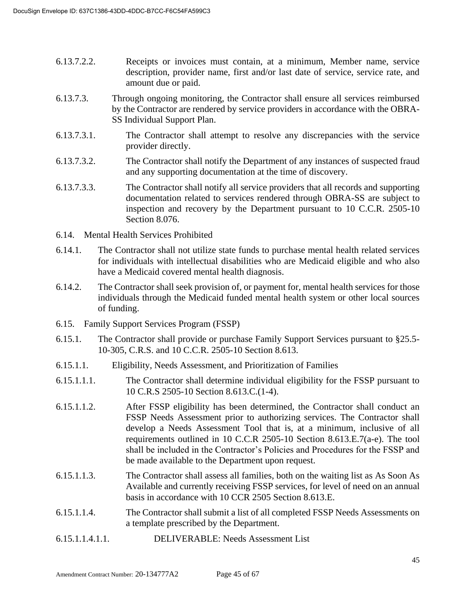- 6.13.7.2.2. Receipts or invoices must contain, at a minimum, Member name, service description, provider name, first and/or last date of service, service rate, and amount due or paid.
- 6.13.7.3. Through ongoing monitoring, the Contractor shall ensure all services reimbursed by the Contractor are rendered by service providers in accordance with the OBRA-SS Individual Support Plan.
- 6.13.7.3.1. The Contractor shall attempt to resolve any discrepancies with the service provider directly.
- 6.13.7.3.2. The Contractor shall notify the Department of any instances of suspected fraud and any supporting documentation at the time of discovery.
- 6.13.7.3.3. The Contractor shall notify all service providers that all records and supporting documentation related to services rendered through OBRA-SS are subject to inspection and recovery by the Department pursuant to 10 C.C.R. 2505-10 Section 8.076.
- 6.14. Mental Health Services Prohibited
- 6.14.1. The Contractor shall not utilize state funds to purchase mental health related services for individuals with intellectual disabilities who are Medicaid eligible and who also have a Medicaid covered mental health diagnosis.
- 6.14.2. The Contractor shall seek provision of, or payment for, mental health services for those individuals through the Medicaid funded mental health system or other local sources of funding.
- 6.15. Family Support Services Program (FSSP)
- 6.15.1. The Contractor shall provide or purchase Family Support Services pursuant to §25.5- 10-305, C.R.S. and 10 C.C.R. 2505-10 Section 8.613.
- 6.15.1.1. Eligibility, Needs Assessment, and Prioritization of Families
- 6.15.1.1.1. The Contractor shall determine individual eligibility for the FSSP pursuant to 10 C.R.S 2505-10 Section 8.613.C.(1-4).
- 6.15.1.1.2. After FSSP eligibility has been determined, the Contractor shall conduct an FSSP Needs Assessment prior to authorizing services. The Contractor shall develop a Needs Assessment Tool that is, at a minimum, inclusive of all requirements outlined in 10 C.C.R 2505-10 Section 8.613.E.7(a-e). The tool shall be included in the Contractor's Policies and Procedures for the FSSP and be made available to the Department upon request.
- 6.15.1.1.3. The Contractor shall assess all families, both on the waiting list as As Soon As Available and currently receiving FSSP services, for level of need on an annual basis in accordance with 10 CCR 2505 Section 8.613.E.
- 6.15.1.1.4. The Contractor shall submit a list of all completed FSSP Needs Assessments on a template prescribed by the Department.
- 6.15.1.1.4.1.1. DELIVERABLE: Needs Assessment List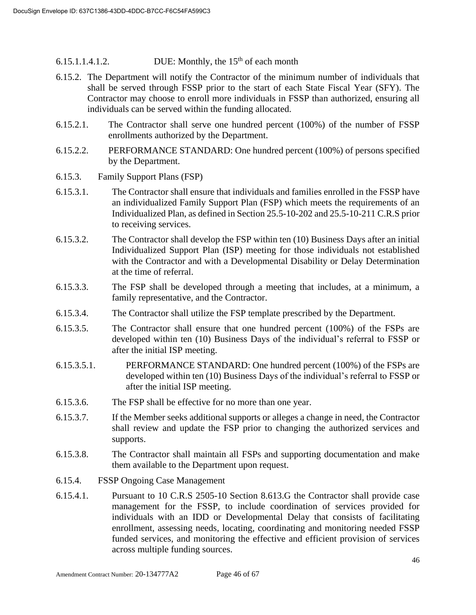6.15.1.1.4.1.2. DUE: Monthly, the  $15<sup>th</sup>$  of each month

- 6.15.2. The Department will notify the Contractor of the minimum number of individuals that shall be served through FSSP prior to the start of each State Fiscal Year (SFY). The Contractor may choose to enroll more individuals in FSSP than authorized, ensuring all individuals can be served within the funding allocated.
- 6.15.2.1. The Contractor shall serve one hundred percent (100%) of the number of FSSP enrollments authorized by the Department.
- 6.15.2.2. PERFORMANCE STANDARD: One hundred percent (100%) of persons specified by the Department.
- 6.15.3. Family Support Plans (FSP)
- 6.15.3.1. The Contractor shall ensure that individuals and families enrolled in the FSSP have an individualized Family Support Plan (FSP) which meets the requirements of an Individualized Plan, as defined in Section 25.5-10-202 and 25.5-10-211 C.R.S prior to receiving services.
- 6.15.3.2. The Contractor shall develop the FSP within ten (10) Business Days after an initial Individualized Support Plan (ISP) meeting for those individuals not established with the Contractor and with a Developmental Disability or Delay Determination at the time of referral.
- 6.15.3.3. The FSP shall be developed through a meeting that includes, at a minimum, a family representative, and the Contractor.
- 6.15.3.4. The Contractor shall utilize the FSP template prescribed by the Department.
- 6.15.3.5. The Contractor shall ensure that one hundred percent (100%) of the FSPs are developed within ten (10) Business Days of the individual's referral to FSSP or after the initial ISP meeting.
- 6.15.3.5.1. PERFORMANCE STANDARD: One hundred percent (100%) of the FSPs are developed within ten (10) Business Days of the individual's referral to FSSP or after the initial ISP meeting.
- 6.15.3.6. The FSP shall be effective for no more than one year.
- 6.15.3.7. If the Member seeks additional supports or alleges a change in need, the Contractor shall review and update the FSP prior to changing the authorized services and supports.
- 6.15.3.8. The Contractor shall maintain all FSPs and supporting documentation and make them available to the Department upon request.
- 6.15.4. FSSP Ongoing Case Management
- 6.15.4.1. Pursuant to 10 C.R.S 2505-10 Section 8.613.G the Contractor shall provide case management for the FSSP, to include coordination of services provided for individuals with an IDD or Developmental Delay that consists of facilitating enrollment, assessing needs, locating, coordinating and monitoring needed FSSP funded services, and monitoring the effective and efficient provision of services across multiple funding sources.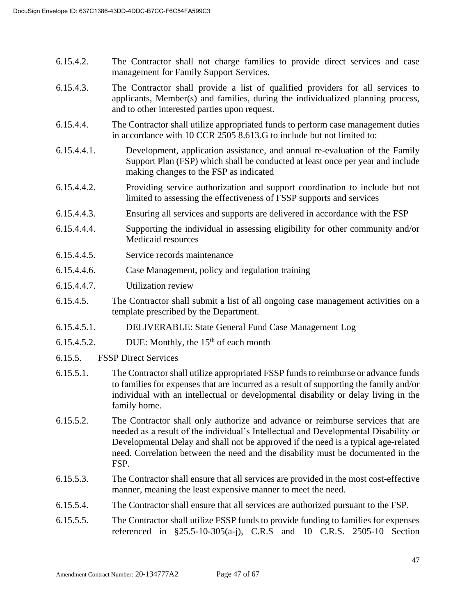- 6.15.4.2. The Contractor shall not charge families to provide direct services and case management for Family Support Services.
- 6.15.4.3. The Contractor shall provide a list of qualified providers for all services to applicants, Member(s) and families, during the individualized planning process, and to other interested parties upon request.
- 6.15.4.4. The Contractor shall utilize appropriated funds to perform case management duties in accordance with 10 CCR 2505 8.613.G to include but not limited to:
- 6.15.4.4.1. Development, application assistance, and annual re-evaluation of the Family Support Plan (FSP) which shall be conducted at least once per year and include making changes to the FSP as indicated
- 6.15.4.4.2. Providing service authorization and support coordination to include but not limited to assessing the effectiveness of FSSP supports and services
- 6.15.4.4.3. Ensuring all services and supports are delivered in accordance with the FSP
- 6.15.4.4.4. Supporting the individual in assessing eligibility for other community and/or Medicaid resources
- 6.15.4.4.5. Service records maintenance
- 6.15.4.4.6. Case Management, policy and regulation training
- 6.15.4.4.7. Utilization review
- 6.15.4.5. The Contractor shall submit a list of all ongoing case management activities on a template prescribed by the Department.
- 6.15.4.5.1. DELIVERABLE: State General Fund Case Management Log
- 6.15.4.5.2. DUE: Monthly, the  $15<sup>th</sup>$  of each month
- 6.15.5. FSSP Direct Services
- 6.15.5.1. The Contractor shall utilize appropriated FSSP funds to reimburse or advance funds to families for expenses that are incurred as a result of supporting the family and/or individual with an intellectual or developmental disability or delay living in the family home.
- 6.15.5.2. The Contractor shall only authorize and advance or reimburse services that are needed as a result of the individual's Intellectual and Developmental Disability or Developmental Delay and shall not be approved if the need is a typical age-related need. Correlation between the need and the disability must be documented in the FSP.
- 6.15.5.3. The Contractor shall ensure that all services are provided in the most cost-effective manner, meaning the least expensive manner to meet the need.
- 6.15.5.4. The Contractor shall ensure that all services are authorized pursuant to the FSP.
- 6.15.5.5. The Contractor shall utilize FSSP funds to provide funding to families for expenses referenced in §25.5-10-305(a-j), C.R.S and 10 C.R.S. 2505-10 Section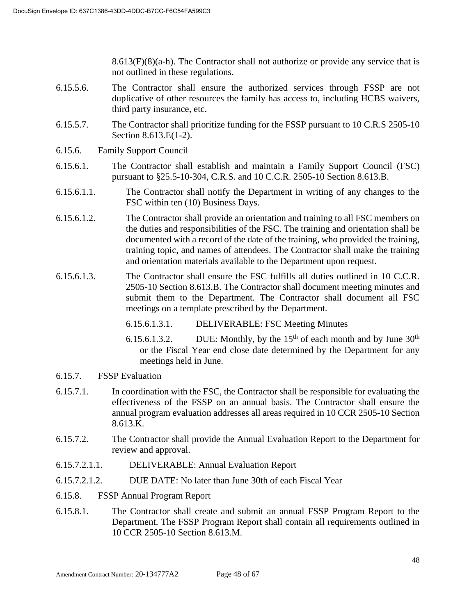$8.613(F)(8)(a-h)$ . The Contractor shall not authorize or provide any service that is not outlined in these regulations.

- 6.15.5.6. The Contractor shall ensure the authorized services through FSSP are not duplicative of other resources the family has access to, including HCBS waivers, third party insurance, etc.
- 6.15.5.7. The Contractor shall prioritize funding for the FSSP pursuant to 10 C.R.S 2505-10 Section 8.613.E(1-2).
- 6.15.6. Family Support Council
- 6.15.6.1. The Contractor shall establish and maintain a Family Support Council (FSC) pursuant to §25.5-10-304, C.R.S. and 10 C.C.R. 2505-10 Section 8.613.B.
- 6.15.6.1.1. The Contractor shall notify the Department in writing of any changes to the FSC within ten (10) Business Days.
- 6.15.6.1.2. The Contractor shall provide an orientation and training to all FSC members on the duties and responsibilities of the FSC. The training and orientation shall be documented with a record of the date of the training, who provided the training, training topic, and names of attendees. The Contractor shall make the training and orientation materials available to the Department upon request.
- 6.15.6.1.3. The Contractor shall ensure the FSC fulfills all duties outlined in 10 C.C.R. 2505-10 Section 8.613.B. The Contractor shall document meeting minutes and submit them to the Department. The Contractor shall document all FSC meetings on a template prescribed by the Department.
	- 6.15.6.1.3.1. DELIVERABLE: FSC Meeting Minutes
	- 6.15.6.1.3.2. DUE: Monthly, by the  $15<sup>th</sup>$  of each month and by June  $30<sup>th</sup>$ or the Fiscal Year end close date determined by the Department for any meetings held in June.
- 6.15.7. FSSP Evaluation
- 6.15.7.1. In coordination with the FSC, the Contractor shall be responsible for evaluating the effectiveness of the FSSP on an annual basis. The Contractor shall ensure the annual program evaluation addresses all areas required in 10 CCR 2505-10 Section 8.613.K.
- 6.15.7.2. The Contractor shall provide the Annual Evaluation Report to the Department for review and approval.
- 6.15.7.2.1.1. DELIVERABLE: Annual Evaluation Report
- 6.15.7.2.1.2. DUE DATE: No later than June 30th of each Fiscal Year
- 6.15.8. FSSP Annual Program Report
- 6.15.8.1. The Contractor shall create and submit an annual FSSP Program Report to the Department. The FSSP Program Report shall contain all requirements outlined in 10 CCR 2505-10 Section 8.613.M.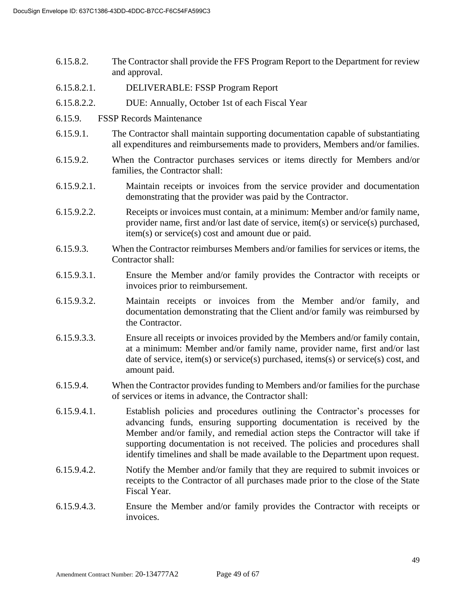- 6.15.8.2. The Contractor shall provide the FFS Program Report to the Department for review and approval.
- 6.15.8.2.1. DELIVERABLE: FSSP Program Report
- 6.15.8.2.2. DUE: Annually, October 1st of each Fiscal Year
- 6.15.9. FSSP Records Maintenance
- 6.15.9.1. The Contractor shall maintain supporting documentation capable of substantiating all expenditures and reimbursements made to providers, Members and/or families.
- 6.15.9.2. When the Contractor purchases services or items directly for Members and/or families, the Contractor shall:
- 6.15.9.2.1. Maintain receipts or invoices from the service provider and documentation demonstrating that the provider was paid by the Contractor.
- 6.15.9.2.2. Receipts or invoices must contain, at a minimum: Member and/or family name, provider name, first and/or last date of service, item(s) or service(s) purchased, item(s) or service(s) cost and amount due or paid.
- 6.15.9.3. When the Contractor reimburses Members and/or families for services or items, the Contractor shall:
- 6.15.9.3.1. Ensure the Member and/or family provides the Contractor with receipts or invoices prior to reimbursement.
- 6.15.9.3.2. Maintain receipts or invoices from the Member and/or family, and documentation demonstrating that the Client and/or family was reimbursed by the Contractor.
- 6.15.9.3.3. Ensure all receipts or invoices provided by the Members and/or family contain, at a minimum: Member and/or family name, provider name, first and/or last date of service, item(s) or service(s) purchased, items(s) or service(s) cost, and amount paid.
- 6.15.9.4. When the Contractor provides funding to Members and/or families for the purchase of services or items in advance, the Contractor shall:
- 6.15.9.4.1. Establish policies and procedures outlining the Contractor's processes for advancing funds, ensuring supporting documentation is received by the Member and/or family, and remedial action steps the Contractor will take if supporting documentation is not received. The policies and procedures shall identify timelines and shall be made available to the Department upon request.
- 6.15.9.4.2. Notify the Member and/or family that they are required to submit invoices or receipts to the Contractor of all purchases made prior to the close of the State Fiscal Year.
- 6.15.9.4.3. Ensure the Member and/or family provides the Contractor with receipts or invoices.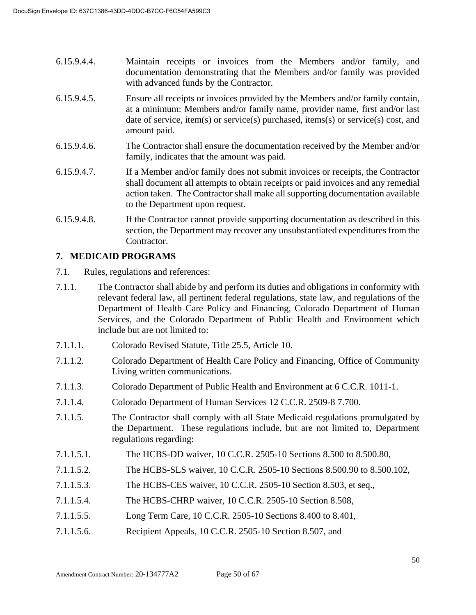- 6.15.9.4.4. Maintain receipts or invoices from the Members and/or family, and documentation demonstrating that the Members and/or family was provided with advanced funds by the Contractor.
- 6.15.9.4.5. Ensure all receipts or invoices provided by the Members and/or family contain, at a minimum: Members and/or family name, provider name, first and/or last date of service, item(s) or service(s) purchased, items(s) or service(s) cost, and amount paid.
- 6.15.9.4.6. The Contractor shall ensure the documentation received by the Member and/or family, indicates that the amount was paid.
- 6.15.9.4.7. If a Member and/or family does not submit invoices or receipts, the Contractor shall document all attempts to obtain receipts or paid invoices and any remedial action taken. The Contractor shall make all supporting documentation available to the Department upon request.
- 6.15.9.4.8. If the Contractor cannot provide supporting documentation as described in this section, the Department may recover any unsubstantiated expenditures from the Contractor.

### **7. MEDICAID PROGRAMS**

- 7.1. Rules, regulations and references:
- 7.1.1. The Contractor shall abide by and perform its duties and obligations in conformity with relevant federal law, all pertinent federal regulations, state law, and regulations of the Department of Health Care Policy and Financing, Colorado Department of Human Services, and the Colorado Department of Public Health and Environment which include but are not limited to:
- 7.1.1.1. Colorado Revised Statute, Title 25.5, Article 10.
- 7.1.1.2. Colorado Department of Health Care Policy and Financing, Office of Community Living written communications.
- 7.1.1.3. Colorado Department of Public Health and Environment at 6 C.C.R. 1011-1.
- 7.1.1.4. Colorado Department of Human Services 12 C.C.R. 2509-8 7.700.
- 7.1.1.5. The Contractor shall comply with all State Medicaid regulations promulgated by the Department. These regulations include, but are not limited to, Department regulations regarding:
- 7.1.1.5.1. The HCBS-DD waiver, 10 C.C.R. 2505-10 Sections 8.500 to 8.500.80,
- 7.1.1.5.2. The HCBS-SLS waiver, 10 C.C.R. 2505-10 Sections 8.500.90 to 8.500.102,
- 7.1.1.5.3. The HCBS-CES waiver, 10 C.C.R. 2505-10 Section 8.503, et seq.,
- 7.1.1.5.4. The HCBS-CHRP waiver, 10 C.C.R. 2505-10 Section 8.508,
- 7.1.1.5.5. Long Term Care, 10 C.C.R. 2505-10 Sections 8.400 to 8.401,
- 7.1.1.5.6. Recipient Appeals, 10 C.C.R. 2505-10 Section 8.507, and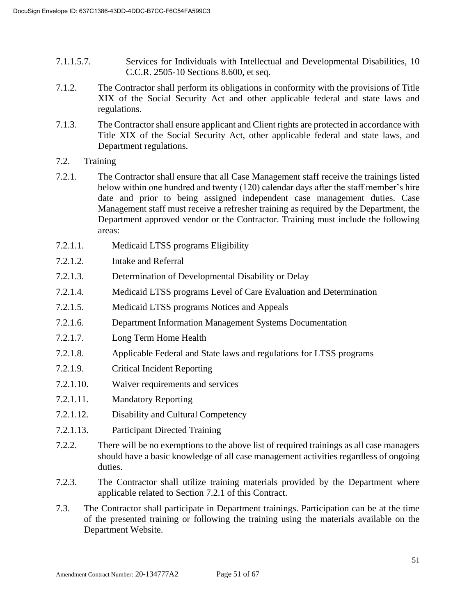- 7.1.1.5.7. Services for Individuals with Intellectual and Developmental Disabilities, 10 C.C.R. 2505-10 Sections 8.600, et seq.
- 7.1.2. The Contractor shall perform its obligations in conformity with the provisions of Title XIX of the Social Security Act and other applicable federal and state laws and regulations.
- 7.1.3. The Contractor shall ensure applicant and Client rights are protected in accordance with Title XIX of the Social Security Act, other applicable federal and state laws, and Department regulations.
- 7.2. Training
- 7.2.1. The Contractor shall ensure that all Case Management staff receive the trainings listed below within one hundred and twenty (120) calendar days after the staff member's hire date and prior to being assigned independent case management duties. Case Management staff must receive a refresher training as required by the Department, the Department approved vendor or the Contractor. Training must include the following areas:
- 7.2.1.1. Medicaid LTSS programs Eligibility
- 7.2.1.2. Intake and Referral
- 7.2.1.3. Determination of Developmental Disability or Delay
- 7.2.1.4. Medicaid LTSS programs Level of Care Evaluation and Determination
- 7.2.1.5. Medicaid LTSS programs Notices and Appeals
- 7.2.1.6. Department Information Management Systems Documentation
- 7.2.1.7. Long Term Home Health
- 7.2.1.8. Applicable Federal and State laws and regulations for LTSS programs
- 7.2.1.9. Critical Incident Reporting
- 7.2.1.10. Waiver requirements and services
- 7.2.1.11. Mandatory Reporting
- 7.2.1.12. Disability and Cultural Competency
- 7.2.1.13. Participant Directed Training
- 7.2.2. There will be no exemptions to the above list of required trainings as all case managers should have a basic knowledge of all case management activities regardless of ongoing duties.
- 7.2.3. The Contractor shall utilize training materials provided by the Department where applicable related to Section 7.2.1 of this Contract.
- 7.3. The Contractor shall participate in Department trainings. Participation can be at the time of the presented training or following the training using the materials available on the Department Website.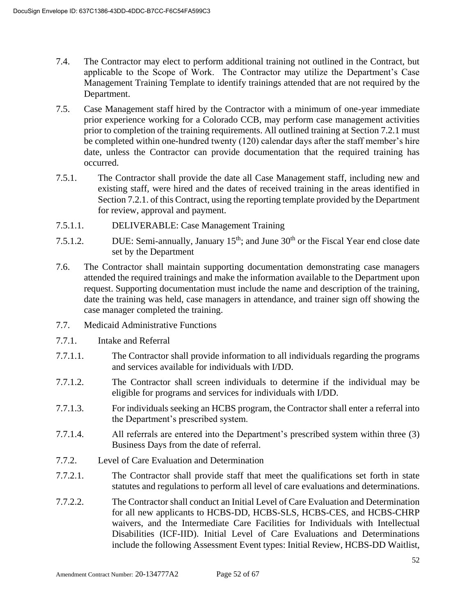- 7.4. The Contractor may elect to perform additional training not outlined in the Contract, but applicable to the Scope of Work. The Contractor may utilize the Department's Case Management Training Template to identify trainings attended that are not required by the Department.
- 7.5. Case Management staff hired by the Contractor with a minimum of one-year immediate prior experience working for a Colorado CCB, may perform case management activities prior to completion of the training requirements. All outlined training at Section 7.2.1 must be completed within one-hundred twenty (120) calendar days after the staff member's hire date, unless the Contractor can provide documentation that the required training has occurred.
- 7.5.1. The Contractor shall provide the date all Case Management staff, including new and existing staff, were hired and the dates of received training in the areas identified in Section 7.2.1. of this Contract, using the reporting template provided by the Department for review, approval and payment.
- 7.5.1.1. DELIVERABLE: Case Management Training
- 7.5.1.2. DUE: Semi-annually, January  $15<sup>th</sup>$ ; and June  $30<sup>th</sup>$  or the Fiscal Year end close date set by the Department
- 7.6. The Contractor shall maintain supporting documentation demonstrating case managers attended the required trainings and make the information available to the Department upon request. Supporting documentation must include the name and description of the training, date the training was held, case managers in attendance, and trainer sign off showing the case manager completed the training.
- 7.7. Medicaid Administrative Functions
- 7.7.1. Intake and Referral
- 7.7.1.1. The Contractor shall provide information to all individuals regarding the programs and services available for individuals with I/DD.
- 7.7.1.2. The Contractor shall screen individuals to determine if the individual may be eligible for programs and services for individuals with I/DD.
- 7.7.1.3. For individuals seeking an HCBS program, the Contractor shall enter a referral into the Department's prescribed system.
- 7.7.1.4. All referrals are entered into the Department's prescribed system within three (3) Business Days from the date of referral.
- 7.7.2. Level of Care Evaluation and Determination
- 7.7.2.1. The Contractor shall provide staff that meet the qualifications set forth in state statutes and regulations to perform all level of care evaluations and determinations.
- 7.7.2.2. The Contractor shall conduct an Initial Level of Care Evaluation and Determination for all new applicants to HCBS-DD, HCBS-SLS, HCBS-CES, and HCBS-CHRP waivers, and the Intermediate Care Facilities for Individuals with Intellectual Disabilities (ICF-IID). Initial Level of Care Evaluations and Determinations include the following Assessment Event types: Initial Review, HCBS-DD Waitlist,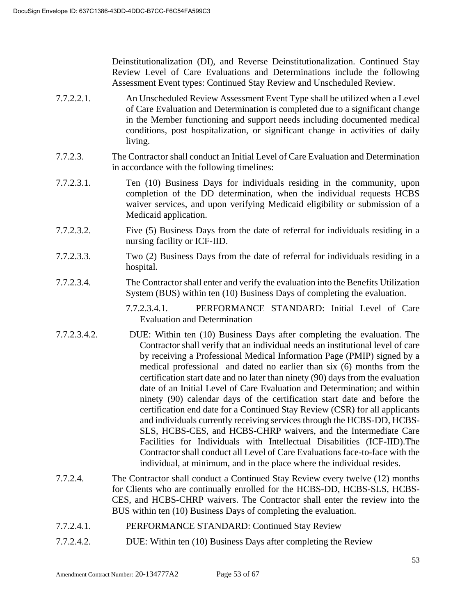Deinstitutionalization (DI), and Reverse Deinstitutionalization. Continued Stay Review Level of Care Evaluations and Determinations include the following Assessment Event types: Continued Stay Review and Unscheduled Review.

- 7.7.2.2.1. An Unscheduled Review Assessment Event Type shall be utilized when a Level of Care Evaluation and Determination is completed due to a significant change in the Member functioning and support needs including documented medical conditions, post hospitalization, or significant change in activities of daily living.
- 7.7.2.3. The Contractor shall conduct an Initial Level of Care Evaluation and Determination in accordance with the following timelines:
- 7.7.2.3.1. Ten (10) Business Days for individuals residing in the community, upon completion of the DD determination, when the individual requests HCBS waiver services, and upon verifying Medicaid eligibility or submission of a Medicaid application.
- 7.7.2.3.2. Five (5) Business Days from the date of referral for individuals residing in a nursing facility or ICF-IID.
- 7.7.2.3.3. Two (2) Business Days from the date of referral for individuals residing in a hospital.
- 7.7.2.3.4. The Contractor shall enter and verify the evaluation into the Benefits Utilization System (BUS) within ten (10) Business Days of completing the evaluation.

7.7.2.3.4.1. PERFORMANCE STANDARD: Initial Level of Care Evaluation and Determination

- 7.7.2.3.4.2. DUE: Within ten (10) Business Days after completing the evaluation. The Contractor shall verify that an individual needs an institutional level of care by receiving a Professional Medical Information Page (PMIP) signed by a medical professional and dated no earlier than six (6) months from the certification start date and no later than ninety (90) days from the evaluation date of an Initial Level of Care Evaluation and Determination; and within ninety (90) calendar days of the certification start date and before the certification end date for a Continued Stay Review (CSR) for all applicants and individuals currently receiving services through the HCBS-DD, HCBS-SLS, HCBS-CES, and HCBS-CHRP waivers, and the Intermediate Care Facilities for Individuals with Intellectual Disabilities (ICF-IID).The Contractor shall conduct all Level of Care Evaluations face-to-face with the individual, at minimum, and in the place where the individual resides.
- 7.7.2.4. The Contractor shall conduct a Continued Stay Review every twelve (12) months for Clients who are continually enrolled for the HCBS-DD, HCBS-SLS, HCBS-CES, and HCBS-CHRP waivers. The Contractor shall enter the review into the BUS within ten (10) Business Days of completing the evaluation.
- 7.7.2.4.1. PERFORMANCE STANDARD: Continued Stay Review
- 7.7.2.4.2. DUE: Within ten (10) Business Days after completing the Review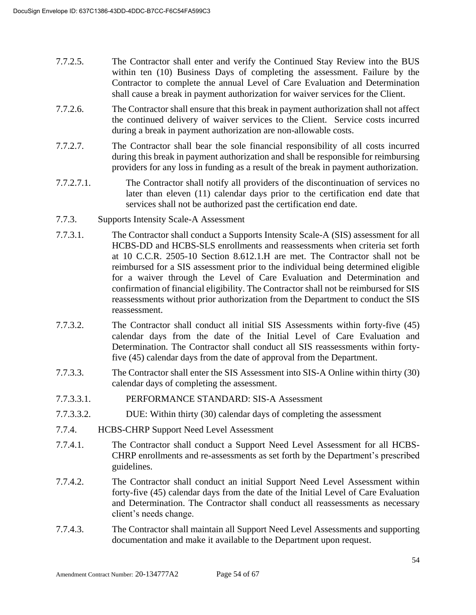- 7.7.2.5. The Contractor shall enter and verify the Continued Stay Review into the BUS within ten (10) Business Days of completing the assessment. Failure by the Contractor to complete the annual Level of Care Evaluation and Determination shall cause a break in payment authorization for waiver services for the Client.
- 7.7.2.6. The Contractor shall ensure that this break in payment authorization shall not affect the continued delivery of waiver services to the Client. Service costs incurred during a break in payment authorization are non-allowable costs.
- 7.7.2.7. The Contractor shall bear the sole financial responsibility of all costs incurred during this break in payment authorization and shall be responsible for reimbursing providers for any loss in funding as a result of the break in payment authorization.
- 7.7.2.7.1. The Contractor shall notify all providers of the discontinuation of services no later than eleven (11) calendar days prior to the certification end date that services shall not be authorized past the certification end date.
- 7.7.3. Supports Intensity Scale-A Assessment
- 7.7.3.1. The Contractor shall conduct a Supports Intensity Scale-A (SIS) assessment for all HCBS-DD and HCBS-SLS enrollments and reassessments when criteria set forth at 10 C.C.R. 2505-10 Section 8.612.1.H are met. The Contractor shall not be reimbursed for a SIS assessment prior to the individual being determined eligible for a waiver through the Level of Care Evaluation and Determination and confirmation of financial eligibility. The Contractor shall not be reimbursed for SIS reassessments without prior authorization from the Department to conduct the SIS reassessment.
- 7.7.3.2. The Contractor shall conduct all initial SIS Assessments within forty-five (45) calendar days from the date of the Initial Level of Care Evaluation and Determination. The Contractor shall conduct all SIS reassessments within fortyfive (45) calendar days from the date of approval from the Department.
- 7.7.3.3. The Contractor shall enter the SIS Assessment into SIS-A Online within thirty (30) calendar days of completing the assessment.
- 7.7.3.3.1. PERFORMANCE STANDARD: SIS-A Assessment
- 7.7.3.3.2. DUE: Within thirty (30) calendar days of completing the assessment
- 7.7.4. HCBS-CHRP Support Need Level Assessment
- 7.7.4.1. The Contractor shall conduct a Support Need Level Assessment for all HCBS-CHRP enrollments and re-assessments as set forth by the Department's prescribed guidelines.
- 7.7.4.2. The Contractor shall conduct an initial Support Need Level Assessment within forty-five (45) calendar days from the date of the Initial Level of Care Evaluation and Determination. The Contractor shall conduct all reassessments as necessary client's needs change.
- 7.7.4.3. The Contractor shall maintain all Support Need Level Assessments and supporting documentation and make it available to the Department upon request.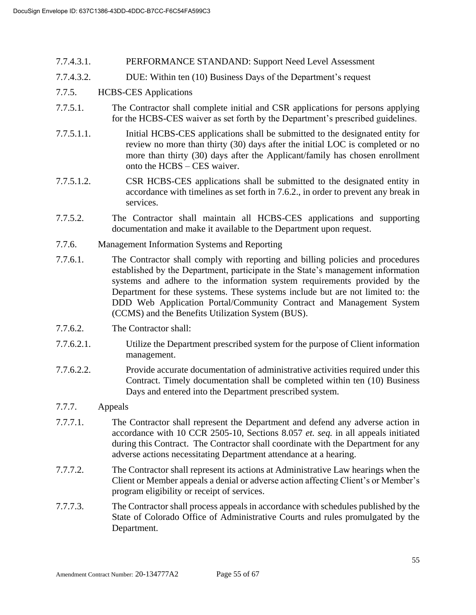- 7.7.4.3.1. PERFORMANCE STANDAND: Support Need Level Assessment
- 7.7.4.3.2. DUE: Within ten (10) Business Days of the Department's request

### 7.7.5. HCBS-CES Applications

- 7.7.5.1. The Contractor shall complete initial and CSR applications for persons applying for the HCBS-CES waiver as set forth by the Department's prescribed guidelines.
- 7.7.5.1.1. Initial HCBS-CES applications shall be submitted to the designated entity for review no more than thirty (30) days after the initial LOC is completed or no more than thirty (30) days after the Applicant/family has chosen enrollment onto the HCBS – CES waiver.
- 7.7.5.1.2. CSR HCBS-CES applications shall be submitted to the designated entity in accordance with timelines as set forth in 7.6.2., in order to prevent any break in services.
- 7.7.5.2. The Contractor shall maintain all HCBS-CES applications and supporting documentation and make it available to the Department upon request.
- 7.7.6. Management Information Systems and Reporting
- 7.7.6.1. The Contractor shall comply with reporting and billing policies and procedures established by the Department, participate in the State's management information systems and adhere to the information system requirements provided by the Department for these systems. These systems include but are not limited to: the DDD Web Application Portal/Community Contract and Management System (CCMS) and the Benefits Utilization System (BUS).
- 7.7.6.2. The Contractor shall:
- 7.7.6.2.1. Utilize the Department prescribed system for the purpose of Client information management.
- 7.7.6.2.2. Provide accurate documentation of administrative activities required under this Contract. Timely documentation shall be completed within ten (10) Business Days and entered into the Department prescribed system.

#### 7.7.7. Appeals

- 7.7.7.1. The Contractor shall represent the Department and defend any adverse action in accordance with 10 CCR 2505-10, Sections 8.057 *et. seq.* in all appeals initiated during this Contract. The Contractor shall coordinate with the Department for any adverse actions necessitating Department attendance at a hearing.
- 7.7.7.2. The Contractor shall represent its actions at Administrative Law hearings when the Client or Member appeals a denial or adverse action affecting Client's or Member's program eligibility or receipt of services.
- 7.7.7.3. The Contractor shall process appeals in accordance with schedules published by the State of Colorado Office of Administrative Courts and rules promulgated by the Department.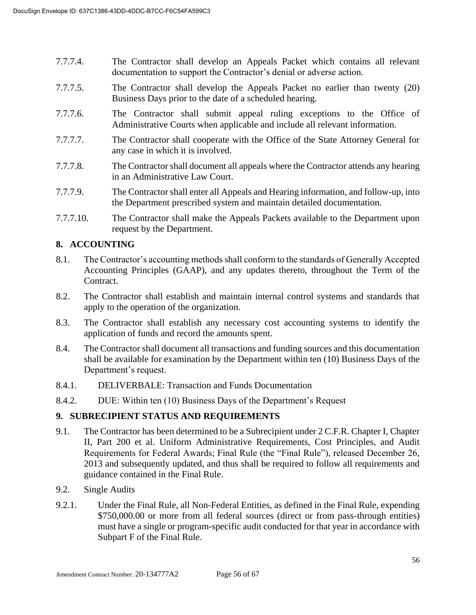- 7.7.7.4. The Contractor shall develop an Appeals Packet which contains all relevant documentation to support the Contractor's denial or adverse action.
- 7.7.7.5. The Contractor shall develop the Appeals Packet no earlier than twenty (20) Business Days prior to the date of a scheduled hearing.
- 7.7.7.6. The Contractor shall submit appeal ruling exceptions to the Office of Administrative Courts when applicable and include all relevant information.
- 7.7.7.7. The Contractor shall cooperate with the Office of the State Attorney General for any case in which it is involved.
- 7.7.7.8. The Contractor shall document all appeals where the Contractor attends any hearing in an Administrative Law Court.
- 7.7.7.9. The Contractor shall enter all Appeals and Hearing information, and follow-up, into the Department prescribed system and maintain detailed documentation.
- 7.7.7.10. The Contractor shall make the Appeals Packets available to the Department upon request by the Department.

## **8. ACCOUNTING**

- 8.1. The Contractor's accounting methods shall conform to the standards of Generally Accepted Accounting Principles (GAAP), and any updates thereto, throughout the Term of the Contract.
- 8.2. The Contractor shall establish and maintain internal control systems and standards that apply to the operation of the organization.
- 8.3. The Contractor shall establish any necessary cost accounting systems to identify the application of funds and record the amounts spent.
- 8.4. The Contractor shall document all transactions and funding sources and this documentation shall be available for examination by the Department within ten (10) Business Days of the Department's request.
- 8.4.1. DELIVERBALE: Transaction and Funds Documentation
- 8.4.2. DUE: Within ten (10) Business Days of the Department's Request

#### **9. SUBRECIPIENT STATUS AND REQUIREMENTS**

- 9.1. The Contractor has been determined to be a Subrecipient under 2 C.F.R. Chapter I, Chapter II, Part 200 et al. Uniform Administrative Requirements, Cost Principles, and Audit Requirements for Federal Awards; Final Rule (the "Final Rule"), released December 26, 2013 and subsequently updated, and thus shall be required to follow all requirements and guidance contained in the Final Rule.
- 9.2. Single Audits
- 9.2.1. Under the Final Rule, all Non-Federal Entities, as defined in the Final Rule, expending \$750,000.00 or more from all federal sources (direct or from pass-through entities) must have a single or program-specific audit conducted for that year in accordance with Subpart F of the Final Rule.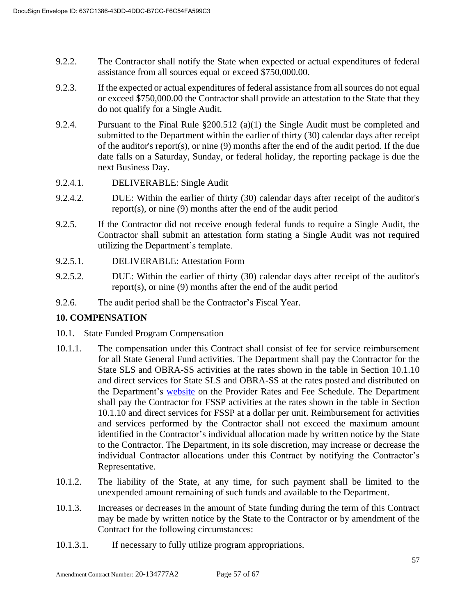- 9.2.2. The Contractor shall notify the State when expected or actual expenditures of federal assistance from all sources equal or exceed \$750,000.00.
- 9.2.3. If the expected or actual expenditures of federal assistance from all sources do not equal or exceed \$750,000.00 the Contractor shall provide an attestation to the State that they do not qualify for a Single Audit.
- 9.2.4. Pursuant to the Final Rule §200.512 (a)(1) the Single Audit must be completed and submitted to the Department within the earlier of thirty (30) calendar days after receipt of the auditor's report(s), or nine (9) months after the end of the audit period. If the due date falls on a Saturday, Sunday, or federal holiday, the reporting package is due the next Business Day.
- 9.2.4.1. DELIVERABLE: Single Audit
- 9.2.4.2. DUE: Within the earlier of thirty (30) calendar days after receipt of the auditor's report(s), or nine (9) months after the end of the audit period
- 9.2.5. If the Contractor did not receive enough federal funds to require a Single Audit, the Contractor shall submit an attestation form stating a Single Audit was not required utilizing the Department's template.
- 9.2.5.1. DELIVERABLE: Attestation Form
- 9.2.5.2. DUE: Within the earlier of thirty (30) calendar days after receipt of the auditor's report(s), or nine (9) months after the end of the audit period
- 9.2.6. The audit period shall be the Contractor's Fiscal Year.

## **10. COMPENSATION**

- 10.1. State Funded Program Compensation
- 10.1.1. The compensation under this Contract shall consist of fee for service reimbursement for all State General Fund activities. The Department shall pay the Contractor for the State SLS and OBRA-SS activities at the rates shown in the table in Section 10.1.10 and direct services for State SLS and OBRA-SS at the rates posted and distributed on the Department's [website](https://www.colorado.gov/pacific/hcpf/provider-rates-fee-schedule) on the Provider Rates and Fee Schedule. The Department shall pay the Contractor for FSSP activities at the rates shown in the table in Section 10.1.10 and direct services for FSSP at a dollar per unit. Reimbursement for activities and services performed by the Contractor shall not exceed the maximum amount identified in the Contractor's individual allocation made by written notice by the State to the Contractor. The Department, in its sole discretion, may increase or decrease the individual Contractor allocations under this Contract by notifying the Contractor's Representative.
- 10.1.2. The liability of the State, at any time, for such payment shall be limited to the unexpended amount remaining of such funds and available to the Department.
- 10.1.3. Increases or decreases in the amount of State funding during the term of this Contract may be made by written notice by the State to the Contractor or by amendment of the Contract for the following circumstances:
- 10.1.3.1. If necessary to fully utilize program appropriations.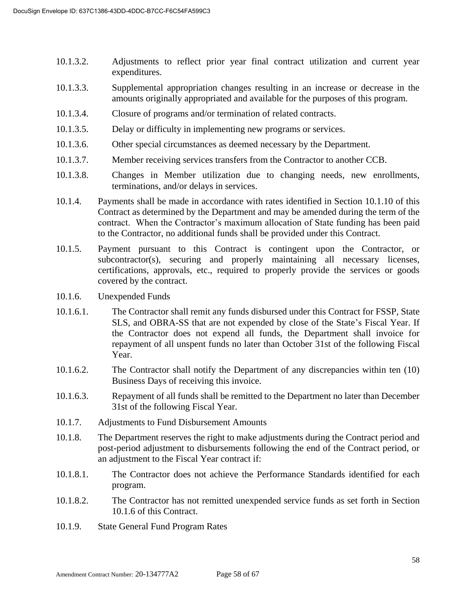- 10.1.3.2. Adjustments to reflect prior year final contract utilization and current year expenditures.
- 10.1.3.3. Supplemental appropriation changes resulting in an increase or decrease in the amounts originally appropriated and available for the purposes of this program.
- 10.1.3.4. Closure of programs and/or termination of related contracts.
- 10.1.3.5. Delay or difficulty in implementing new programs or services.
- 10.1.3.6. Other special circumstances as deemed necessary by the Department.
- 10.1.3.7. Member receiving services transfers from the Contractor to another CCB.
- 10.1.3.8. Changes in Member utilization due to changing needs, new enrollments, terminations, and/or delays in services.
- 10.1.4. Payments shall be made in accordance with rates identified in Section 10.1.10 of this Contract as determined by the Department and may be amended during the term of the contract. When the Contractor's maximum allocation of State funding has been paid to the Contractor, no additional funds shall be provided under this Contract.
- 10.1.5. Payment pursuant to this Contract is contingent upon the Contractor, or subcontractor(s), securing and properly maintaining all necessary licenses, certifications, approvals, etc., required to properly provide the services or goods covered by the contract.
- 10.1.6. Unexpended Funds
- 10.1.6.1. The Contractor shall remit any funds disbursed under this Contract for FSSP, State SLS, and OBRA-SS that are not expended by close of the State's Fiscal Year. If the Contractor does not expend all funds, the Department shall invoice for repayment of all unspent funds no later than October 31st of the following Fiscal Year.
- 10.1.6.2. The Contractor shall notify the Department of any discrepancies within ten (10) Business Days of receiving this invoice.
- 10.1.6.3. Repayment of all funds shall be remitted to the Department no later than December 31st of the following Fiscal Year.
- 10.1.7. Adjustments to Fund Disbursement Amounts
- 10.1.8. The Department reserves the right to make adjustments during the Contract period and post-period adjustment to disbursements following the end of the Contract period, or an adjustment to the Fiscal Year contract if:
- 10.1.8.1. The Contractor does not achieve the Performance Standards identified for each program.
- 10.1.8.2. The Contractor has not remitted unexpended service funds as set forth in Section 10.1.6 of this Contract.
- 10.1.9. State General Fund Program Rates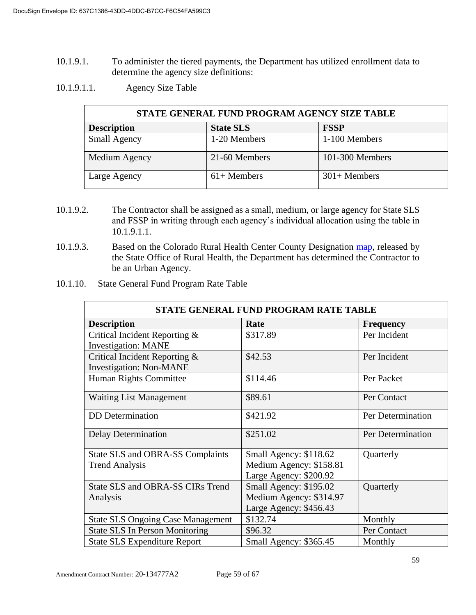- 10.1.9.1. To administer the tiered payments, the Department has utilized enrollment data to determine the agency size definitions:
- 10.1.9.1.1. Agency Size Table

| STATE GENERAL FUND PROGRAM AGENCY SIZE TABLE          |               |                 |  |  |
|-------------------------------------------------------|---------------|-----------------|--|--|
| <b>Description</b><br><b>State SLS</b><br><b>FSSP</b> |               |                 |  |  |
| <b>Small Agency</b>                                   | 1-20 Members  | 1-100 Members   |  |  |
| Medium Agency                                         | 21-60 Members | 101-300 Members |  |  |
| Large Agency                                          | $61+$ Members | $301+$ Members  |  |  |

- 10.1.9.2. The Contractor shall be assigned as a small, medium, or large agency for State SLS and FSSP in writing through each agency's individual allocation using the table in 10.1.9.1.1.
- 10.1.9.3. Based on the Colorado Rural Health Center County Designation [map,](https://coruralhealth.org/resources/maps-resource) released by the State Office of Rural Health, the Department has determined the Contractor to be an Urban Agency.
- 10.1.10. State General Fund Program Rate Table

| STATE GENERAL FUND PROGRAM RATE TABLE                           |                         |                   |  |  |
|-----------------------------------------------------------------|-------------------------|-------------------|--|--|
| <b>Description</b><br>Rate<br><b>Frequency</b>                  |                         |                   |  |  |
| Critical Incident Reporting &<br><b>Investigation: MANE</b>     | \$317.89                | Per Incident      |  |  |
| Critical Incident Reporting &<br><b>Investigation: Non-MANE</b> | \$42.53                 | Per Incident      |  |  |
| Human Rights Committee                                          | \$114.46                | Per Packet        |  |  |
| <b>Waiting List Management</b>                                  | \$89.61                 | Per Contact       |  |  |
| <b>DD</b> Determination                                         | \$421.92                | Per Determination |  |  |
| Delay Determination                                             | \$251.02                | Per Determination |  |  |
| State SLS and OBRA-SS Complaints                                | Small Agency: \$118.62  | Quarterly         |  |  |
| <b>Trend Analysis</b>                                           | Medium Agency: \$158.81 |                   |  |  |
|                                                                 | Large Agency: \$200.92  |                   |  |  |
| State SLS and OBRA-SS CIRs Trend                                | Small Agency: \$195.02  | Quarterly         |  |  |
| Analysis                                                        | Medium Agency: \$314.97 |                   |  |  |
|                                                                 | Large Agency: \$456.43  |                   |  |  |
| <b>State SLS Ongoing Case Management</b>                        | \$132.74                | Monthly           |  |  |
| <b>State SLS In Person Monitoring</b>                           | \$96.32                 | Per Contact       |  |  |
| <b>State SLS Expenditure Report</b>                             | Small Agency: \$365.45  | Monthly           |  |  |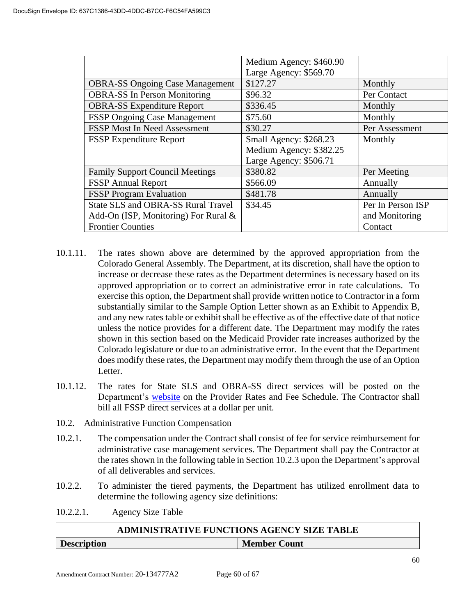|                                           | Medium Agency: \$460.90 |                   |
|-------------------------------------------|-------------------------|-------------------|
|                                           | Large Agency: \$569.70  |                   |
| <b>OBRA-SS Ongoing Case Management</b>    | \$127.27                | Monthly           |
| <b>OBRA-SS In Person Monitoring</b>       | \$96.32                 | Per Contact       |
| <b>OBRA-SS Expenditure Report</b>         | \$336.45                | Monthly           |
| <b>FSSP Ongoing Case Management</b>       | \$75.60                 | Monthly           |
| <b>FSSP Most In Need Assessment</b>       | \$30.27                 | Per Assessment    |
| <b>FSSP Expenditure Report</b>            | Small Agency: \$268.23  | Monthly           |
|                                           | Medium Agency: \$382.25 |                   |
|                                           | Large Agency: \$506.71  |                   |
| <b>Family Support Council Meetings</b>    | \$380.82                | Per Meeting       |
| <b>FSSP</b> Annual Report                 | \$566.09                | Annually          |
| <b>FSSP</b> Program Evaluation            | \$481.78                | Annually          |
| <b>State SLS and OBRA-SS Rural Travel</b> | \$34.45                 | Per In Person ISP |
| Add-On (ISP, Monitoring) For Rural $\&$   |                         | and Monitoring    |
| <b>Frontier Counties</b>                  |                         | Contact           |

- 10.1.11. The rates shown above are determined by the approved appropriation from the Colorado General Assembly. The Department, at its discretion, shall have the option to increase or decrease these rates as the Department determines is necessary based on its approved appropriation or to correct an administrative error in rate calculations. To exercise this option, the Department shall provide written notice to Contractor in a form substantially similar to the Sample Option Letter shown as an Exhibit to Appendix B, and any new rates table or exhibit shall be effective as of the effective date of that notice unless the notice provides for a different date. The Department may modify the rates shown in this section based on the Medicaid Provider rate increases authorized by the Colorado legislature or due to an administrative error. In the event that the Department does modify these rates, the Department may modify them through the use of an Option Letter.
- 10.1.12. The rates for State SLS and OBRA-SS direct services will be posted on the Department's [website](https://www.colorado.gov/pacific/hcpf/provider-rates-fee-schedule) on the Provider Rates and Fee Schedule. The Contractor shall bill all FSSP direct services at a dollar per unit.
- 10.2. Administrative Function Compensation
- 10.2.1. The compensation under the Contract shall consist of fee for service reimbursement for administrative case management services. The Department shall pay the Contractor at the rates shown in the following table in Section 10.2.3 upon the Department's approval of all deliverables and services.
- 10.2.2. To administer the tiered payments, the Department has utilized enrollment data to determine the following agency size definitions:
- 10.2.2.1. Agency Size Table

| <b>ADMINISTRATIVE FUNCTIONS AGENCY SIZE TABLE</b> |                     |  |  |  |
|---------------------------------------------------|---------------------|--|--|--|
| <b>Description</b>                                | <b>Member Count</b> |  |  |  |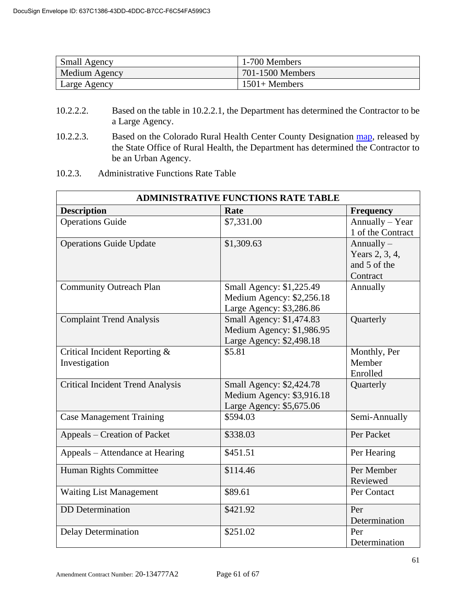| <b>Small Agency</b> | 1-700 Members    |
|---------------------|------------------|
| Medium Agency       | 701-1500 Members |
| Large Agency        | $1501 +$ Members |

- 10.2.2.2. Based on the table in 10.2.2.1, the Department has determined the Contractor to be a Large Agency.
- 10.2.2.3. Based on the Colorado Rural Health Center County Designation [map,](https://coruralhealth.org/resources/maps-resource) released by the State Office of Rural Health, the Department has determined the Contractor to be an Urban Agency.
- 10.2.3. Administrative Functions Rate Table

| <b>ADMINISTRATIVE FUNCTIONS RATE TABLE</b>     |                                                                                   |                                                            |  |
|------------------------------------------------|-----------------------------------------------------------------------------------|------------------------------------------------------------|--|
| <b>Description</b>                             | Rate                                                                              | <b>Frequency</b>                                           |  |
| <b>Operations Guide</b>                        | \$7,331.00                                                                        | Annually - Year<br>1 of the Contract                       |  |
| <b>Operations Guide Update</b>                 | \$1,309.63                                                                        | Annually $-$<br>Years 2, 3, 4,<br>and 5 of the<br>Contract |  |
| <b>Community Outreach Plan</b>                 | Small Agency: \$1,225.49<br>Medium Agency: \$2,256.18<br>Large Agency: \$3,286.86 | Annually                                                   |  |
| <b>Complaint Trend Analysis</b>                | Small Agency: \$1,474.83<br>Medium Agency: \$1,986.95<br>Large Agency: \$2,498.18 | Quarterly                                                  |  |
| Critical Incident Reporting &<br>Investigation | \$5.81                                                                            | Monthly, Per<br>Member<br>Enrolled                         |  |
| <b>Critical Incident Trend Analysis</b>        | Small Agency: \$2,424.78<br>Medium Agency: \$3,916.18<br>Large Agency: \$5,675.06 | Quarterly                                                  |  |
| <b>Case Management Training</b>                | \$594.03                                                                          | Semi-Annually                                              |  |
| Appeals – Creation of Packet                   | \$338.03                                                                          | Per Packet                                                 |  |
| Appeals – Attendance at Hearing                | \$451.51                                                                          | Per Hearing                                                |  |
| Human Rights Committee                         | \$114.46                                                                          | Per Member<br>Reviewed                                     |  |
| <b>Waiting List Management</b>                 | \$89.61                                                                           | Per Contact                                                |  |
| <b>DD</b> Determination                        | \$421.92                                                                          | Per<br>Determination                                       |  |
| <b>Delay Determination</b>                     | \$251.02                                                                          | Per<br>Determination                                       |  |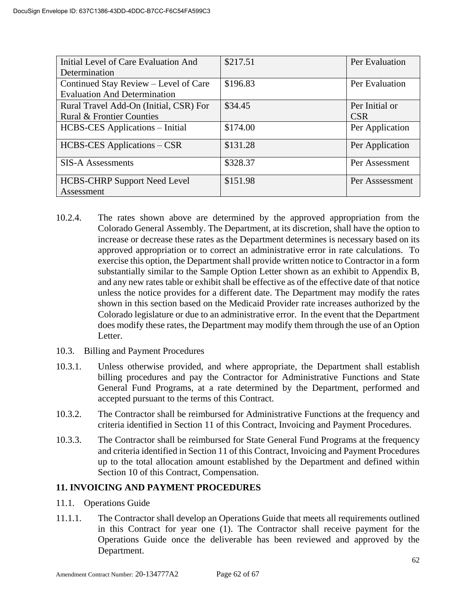| Initial Level of Care Evaluation And   | \$217.51 | Per Evaluation  |
|----------------------------------------|----------|-----------------|
| Determination                          |          |                 |
| Continued Stay Review – Level of Care  | \$196.83 | Per Evaluation  |
| <b>Evaluation And Determination</b>    |          |                 |
| Rural Travel Add-On (Initial, CSR) For | \$34.45  | Per Initial or  |
| <b>Rural &amp; Frontier Counties</b>   |          | <b>CSR</b>      |
| <b>HCBS-CES</b> Applications – Initial | \$174.00 | Per Application |
| HCBS-CES Applications – CSR            | \$131.28 | Per Application |
| <b>SIS-A Assessments</b>               | \$328.37 | Per Assessment  |
| <b>HCBS-CHRP Support Need Level</b>    | \$151.98 | Per Asssessment |
| Assessment                             |          |                 |

- 10.2.4. The rates shown above are determined by the approved appropriation from the Colorado General Assembly. The Department, at its discretion, shall have the option to increase or decrease these rates as the Department determines is necessary based on its approved appropriation or to correct an administrative error in rate calculations. To exercise this option, the Department shall provide written notice to Contractor in a form substantially similar to the Sample Option Letter shown as an exhibit to Appendix B, and any new rates table or exhibit shall be effective as of the effective date of that notice unless the notice provides for a different date. The Department may modify the rates shown in this section based on the Medicaid Provider rate increases authorized by the Colorado legislature or due to an administrative error. In the event that the Department does modify these rates, the Department may modify them through the use of an Option Letter.
- 10.3. Billing and Payment Procedures
- 10.3.1. Unless otherwise provided, and where appropriate, the Department shall establish billing procedures and pay the Contractor for Administrative Functions and State General Fund Programs, at a rate determined by the Department, performed and accepted pursuant to the terms of this Contract.
- 10.3.2. The Contractor shall be reimbursed for Administrative Functions at the frequency and criteria identified in Section 11 of this Contract, Invoicing and Payment Procedures.
- 10.3.3. The Contractor shall be reimbursed for State General Fund Programs at the frequency and criteria identified in Section 11 of this Contract, Invoicing and Payment Procedures up to the total allocation amount established by the Department and defined within Section 10 of this Contract, Compensation.

#### **11. INVOICING AND PAYMENT PROCEDURES**

- 11.1. Operations Guide
- 11.1.1. The Contractor shall develop an Operations Guide that meets all requirements outlined in this Contract for year one (1). The Contractor shall receive payment for the Operations Guide once the deliverable has been reviewed and approved by the Department.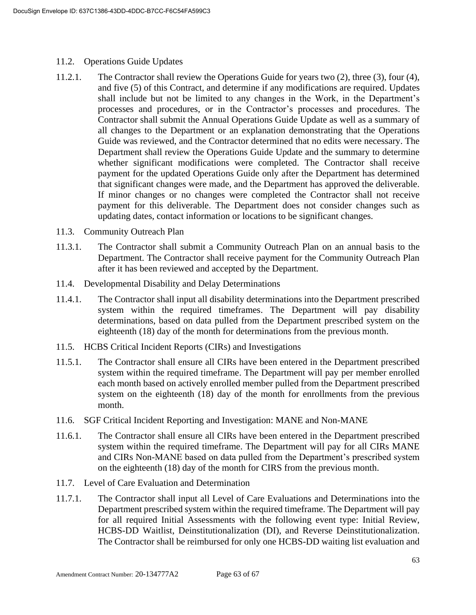- 11.2. Operations Guide Updates
- 11.2.1. The Contractor shall review the Operations Guide for years two (2), three (3), four (4), and five (5) of this Contract, and determine if any modifications are required. Updates shall include but not be limited to any changes in the Work, in the Department's processes and procedures, or in the Contractor's processes and procedures. The Contractor shall submit the Annual Operations Guide Update as well as a summary of all changes to the Department or an explanation demonstrating that the Operations Guide was reviewed, and the Contractor determined that no edits were necessary. The Department shall review the Operations Guide Update and the summary to determine whether significant modifications were completed. The Contractor shall receive payment for the updated Operations Guide only after the Department has determined that significant changes were made, and the Department has approved the deliverable. If minor changes or no changes were completed the Contractor shall not receive payment for this deliverable. The Department does not consider changes such as updating dates, contact information or locations to be significant changes.
- 11.3. Community Outreach Plan
- 11.3.1. The Contractor shall submit a Community Outreach Plan on an annual basis to the Department. The Contractor shall receive payment for the Community Outreach Plan after it has been reviewed and accepted by the Department.
- 11.4. Developmental Disability and Delay Determinations
- 11.4.1. The Contractor shall input all disability determinations into the Department prescribed system within the required timeframes. The Department will pay disability determinations, based on data pulled from the Department prescribed system on the eighteenth (18) day of the month for determinations from the previous month.
- 11.5. HCBS Critical Incident Reports (CIRs) and Investigations
- 11.5.1. The Contractor shall ensure all CIRs have been entered in the Department prescribed system within the required timeframe. The Department will pay per member enrolled each month based on actively enrolled member pulled from the Department prescribed system on the eighteenth (18) day of the month for enrollments from the previous month.
- 11.6. SGF Critical Incident Reporting and Investigation: MANE and Non-MANE
- 11.6.1. The Contractor shall ensure all CIRs have been entered in the Department prescribed system within the required timeframe. The Department will pay for all CIRs MANE and CIRs Non-MANE based on data pulled from the Department's prescribed system on the eighteenth (18) day of the month for CIRS from the previous month.
- 11.7. Level of Care Evaluation and Determination
- 11.7.1. The Contractor shall input all Level of Care Evaluations and Determinations into the Department prescribed system within the required timeframe. The Department will pay for all required Initial Assessments with the following event type: Initial Review, HCBS-DD Waitlist, Deinstitutionalization (DI), and Reverse Deinstitutionalization. The Contractor shall be reimbursed for only one HCBS-DD waiting list evaluation and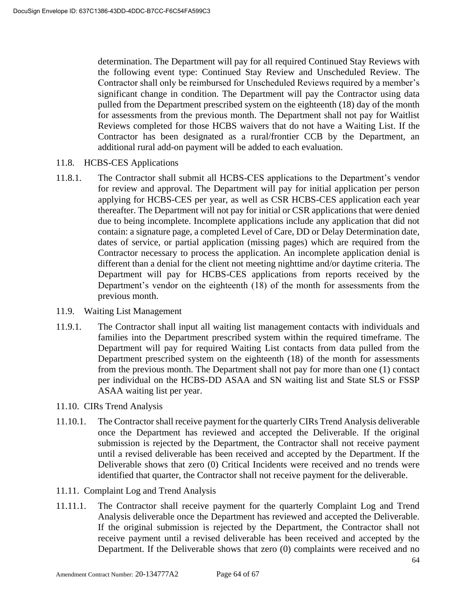determination. The Department will pay for all required Continued Stay Reviews with the following event type: Continued Stay Review and Unscheduled Review. The Contractor shall only be reimbursed for Unscheduled Reviews required by a member's significant change in condition. The Department will pay the Contractor using data pulled from the Department prescribed system on the eighteenth (18) day of the month for assessments from the previous month. The Department shall not pay for Waitlist Reviews completed for those HCBS waivers that do not have a Waiting List. If the Contractor has been designated as a rural/frontier CCB by the Department, an additional rural add-on payment will be added to each evaluation.

- 11.8. HCBS-CES Applications
- 11.8.1. The Contractor shall submit all HCBS-CES applications to the Department's vendor for review and approval. The Department will pay for initial application per person applying for HCBS-CES per year, as well as CSR HCBS-CES application each year thereafter. The Department will not pay for initial or CSR applications that were denied due to being incomplete. Incomplete applications include any application that did not contain: a signature page, a completed Level of Care, DD or Delay Determination date, dates of service, or partial application (missing pages) which are required from the Contractor necessary to process the application. An incomplete application denial is different than a denial for the client not meeting nighttime and/or daytime criteria. The Department will pay for HCBS-CES applications from reports received by the Department's vendor on the eighteenth (18) of the month for assessments from the previous month.
- 11.9. Waiting List Management
- 11.9.1. The Contractor shall input all waiting list management contacts with individuals and families into the Department prescribed system within the required timeframe. The Department will pay for required Waiting List contacts from data pulled from the Department prescribed system on the eighteenth (18) of the month for assessments from the previous month. The Department shall not pay for more than one (1) contact per individual on the HCBS-DD ASAA and SN waiting list and State SLS or FSSP ASAA waiting list per year.
- 11.10. CIRs Trend Analysis
- 11.10.1. The Contractor shall receive payment for the quarterly CIRs Trend Analysis deliverable once the Department has reviewed and accepted the Deliverable. If the original submission is rejected by the Department, the Contractor shall not receive payment until a revised deliverable has been received and accepted by the Department. If the Deliverable shows that zero (0) Critical Incidents were received and no trends were identified that quarter, the Contractor shall not receive payment for the deliverable.
- 11.11. Complaint Log and Trend Analysis
- 11.11.1. The Contractor shall receive payment for the quarterly Complaint Log and Trend Analysis deliverable once the Department has reviewed and accepted the Deliverable. If the original submission is rejected by the Department, the Contractor shall not receive payment until a revised deliverable has been received and accepted by the Department. If the Deliverable shows that zero (0) complaints were received and no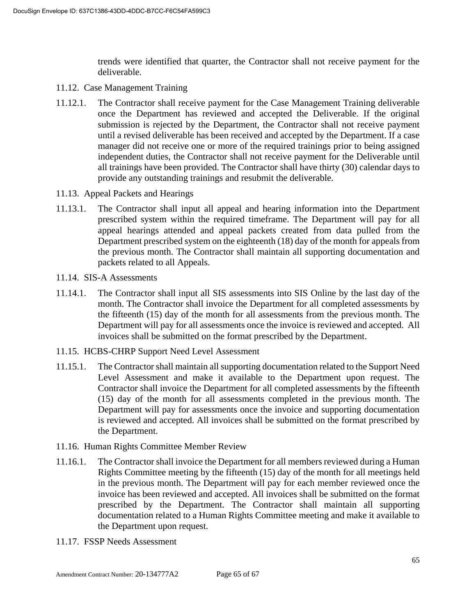trends were identified that quarter, the Contractor shall not receive payment for the deliverable.

- 11.12. Case Management Training
- 11.12.1. The Contractor shall receive payment for the Case Management Training deliverable once the Department has reviewed and accepted the Deliverable. If the original submission is rejected by the Department, the Contractor shall not receive payment until a revised deliverable has been received and accepted by the Department. If a case manager did not receive one or more of the required trainings prior to being assigned independent duties, the Contractor shall not receive payment for the Deliverable until all trainings have been provided. The Contractor shall have thirty (30) calendar days to provide any outstanding trainings and resubmit the deliverable.
- 11.13. Appeal Packets and Hearings
- 11.13.1. The Contractor shall input all appeal and hearing information into the Department prescribed system within the required timeframe. The Department will pay for all appeal hearings attended and appeal packets created from data pulled from the Department prescribed system on the eighteenth (18) day of the month for appeals from the previous month. The Contractor shall maintain all supporting documentation and packets related to all Appeals.
- 11.14. SIS-A Assessments
- 11.14.1. The Contractor shall input all SIS assessments into SIS Online by the last day of the month. The Contractor shall invoice the Department for all completed assessments by the fifteenth (15) day of the month for all assessments from the previous month. The Department will pay for all assessments once the invoice is reviewed and accepted. All invoices shall be submitted on the format prescribed by the Department.
- 11.15. HCBS-CHRP Support Need Level Assessment
- 11.15.1. The Contractor shall maintain all supporting documentation related to the Support Need Level Assessment and make it available to the Department upon request. The Contractor shall invoice the Department for all completed assessments by the fifteenth (15) day of the month for all assessments completed in the previous month. The Department will pay for assessments once the invoice and supporting documentation is reviewed and accepted. All invoices shall be submitted on the format prescribed by the Department.
- 11.16. Human Rights Committee Member Review
- 11.16.1. The Contractor shall invoice the Department for all members reviewed during a Human Rights Committee meeting by the fifteenth (15) day of the month for all meetings held in the previous month. The Department will pay for each member reviewed once the invoice has been reviewed and accepted. All invoices shall be submitted on the format prescribed by the Department. The Contractor shall maintain all supporting documentation related to a Human Rights Committee meeting and make it available to the Department upon request.
- 11.17. FSSP Needs Assessment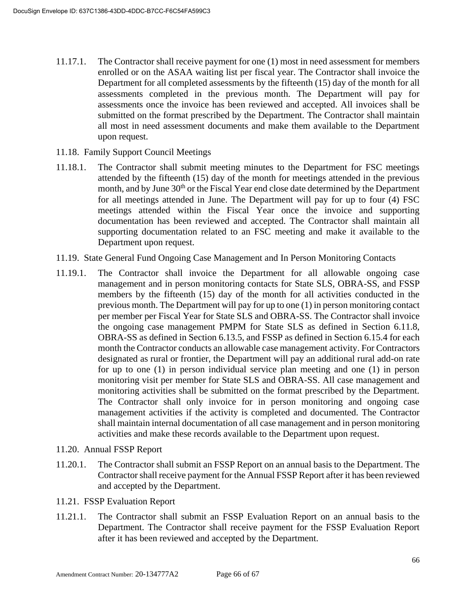- 11.17.1. The Contractor shall receive payment for one (1) most in need assessment for members enrolled or on the ASAA waiting list per fiscal year. The Contractor shall invoice the Department for all completed assessments by the fifteenth (15) day of the month for all assessments completed in the previous month. The Department will pay for assessments once the invoice has been reviewed and accepted. All invoices shall be submitted on the format prescribed by the Department. The Contractor shall maintain all most in need assessment documents and make them available to the Department upon request.
- 11.18. Family Support Council Meetings
- 11.18.1. The Contractor shall submit meeting minutes to the Department for FSC meetings attended by the fifteenth (15) day of the month for meetings attended in the previous month, and by June 30<sup>th</sup> or the Fiscal Year end close date determined by the Department for all meetings attended in June. The Department will pay for up to four (4) FSC meetings attended within the Fiscal Year once the invoice and supporting documentation has been reviewed and accepted. The Contractor shall maintain all supporting documentation related to an FSC meeting and make it available to the Department upon request.
- 11.19. State General Fund Ongoing Case Management and In Person Monitoring Contacts
- 11.19.1. The Contractor shall invoice the Department for all allowable ongoing case management and in person monitoring contacts for State SLS, OBRA-SS, and FSSP members by the fifteenth (15) day of the month for all activities conducted in the previous month. The Department will pay for up to one (1) in person monitoring contact per member per Fiscal Year for State SLS and OBRA-SS. The Contractor shall invoice the ongoing case management PMPM for State SLS as defined in Section 6.11.8, OBRA-SS as defined in Section 6.13.5, and FSSP as defined in Section 6.15.4 for each month the Contractor conducts an allowable case management activity. For Contractors designated as rural or frontier, the Department will pay an additional rural add-on rate for up to one (1) in person individual service plan meeting and one (1) in person monitoring visit per member for State SLS and OBRA-SS. All case management and monitoring activities shall be submitted on the format prescribed by the Department. The Contractor shall only invoice for in person monitoring and ongoing case management activities if the activity is completed and documented. The Contractor shall maintain internal documentation of all case management and in person monitoring activities and make these records available to the Department upon request.
- 11.20. Annual FSSP Report
- 11.20.1. The Contractor shall submit an FSSP Report on an annual basis to the Department. The Contractor shall receive payment for the Annual FSSP Report after it has been reviewed and accepted by the Department.
- 11.21. FSSP Evaluation Report
- 11.21.1. The Contractor shall submit an FSSP Evaluation Report on an annual basis to the Department. The Contractor shall receive payment for the FSSP Evaluation Report after it has been reviewed and accepted by the Department.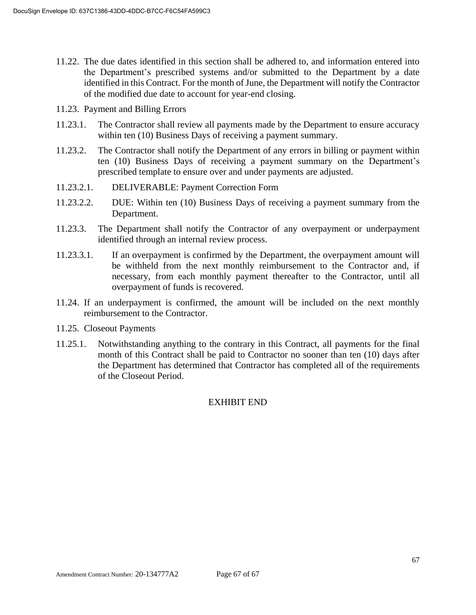- 11.22. The due dates identified in this section shall be adhered to, and information entered into the Department's prescribed systems and/or submitted to the Department by a date identified in this Contract. For the month of June, the Department will notify the Contractor of the modified due date to account for year-end closing.
- 11.23. Payment and Billing Errors
- 11.23.1. The Contractor shall review all payments made by the Department to ensure accuracy within ten (10) Business Days of receiving a payment summary.
- 11.23.2. The Contractor shall notify the Department of any errors in billing or payment within ten (10) Business Days of receiving a payment summary on the Department's prescribed template to ensure over and under payments are adjusted.
- 11.23.2.1. DELIVERABLE: Payment Correction Form
- 11.23.2.2. DUE: Within ten (10) Business Days of receiving a payment summary from the Department.
- 11.23.3. The Department shall notify the Contractor of any overpayment or underpayment identified through an internal review process.
- 11.23.3.1. If an overpayment is confirmed by the Department, the overpayment amount will be withheld from the next monthly reimbursement to the Contractor and, if necessary, from each monthly payment thereafter to the Contractor, until all overpayment of funds is recovered.
- 11.24. If an underpayment is confirmed, the amount will be included on the next monthly reimbursement to the Contractor.
- 11.25. Closeout Payments
- 11.25.1. Notwithstanding anything to the contrary in this Contract, all payments for the final month of this Contract shall be paid to Contractor no sooner than ten (10) days after the Department has determined that Contractor has completed all of the requirements of the Closeout Period.

#### EXHIBIT END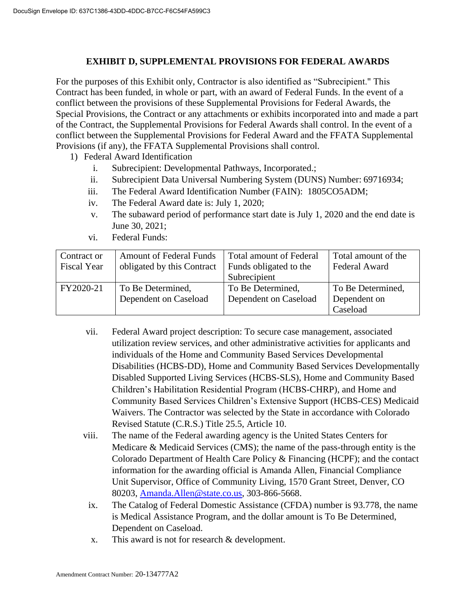#### **EXHIBIT D, SUPPLEMENTAL PROVISIONS FOR FEDERAL AWARDS**

For the purposes of this Exhibit only, Contractor is also identified as "Subrecipient." This Contract has been funded, in whole or part, with an award of Federal Funds. In the event of a conflict between the provisions of these Supplemental Provisions for Federal Awards, the Special Provisions, the Contract or any attachments or exhibits incorporated into and made a part of the Contract, the Supplemental Provisions for Federal Awards shall control. In the event of a conflict between the Supplemental Provisions for Federal Award and the FFATA Supplemental Provisions (if any), the FFATA Supplemental Provisions shall control.

- 1) Federal Award Identification
	- i. Subrecipient: Developmental Pathways, Incorporated.;
	- ii. Subrecipient Data Universal Numbering System (DUNS) Number: 69716934;
	- iii. The Federal Award Identification Number (FAIN): 1805CO5ADM;
	- iv. The Federal Award date is: July 1, 2020;
	- v. The subaward period of performance start date is July 1, 2020 and the end date is June 30, 2021;
	- vi. Federal Funds:

| Contract or<br><b>Fiscal Year</b> | <b>Amount of Federal Funds</b><br>obligated by this Contract | <b>Total amount of Federal</b><br>Funds obligated to the | Total amount of the<br>Federal Award |
|-----------------------------------|--------------------------------------------------------------|----------------------------------------------------------|--------------------------------------|
|                                   |                                                              | Subrecipient                                             |                                      |
| FY2020-21                         | To Be Determined,                                            | To Be Determined,                                        | To Be Determined,                    |
|                                   | Dependent on Caseload                                        | Dependent on Caseload                                    | Dependent on                         |
|                                   |                                                              |                                                          | Caseload                             |

- vii. Federal Award project description: To secure case management, associated utilization review services, and other administrative activities for applicants and individuals of the Home and Community Based Services Developmental Disabilities (HCBS-DD), Home and Community Based Services Developmentally Disabled Supported Living Services (HCBS-SLS), Home and Community Based Children's Habilitation Residential Program (HCBS-CHRP), and Home and Community Based Services Children's Extensive Support (HCBS-CES) Medicaid Waivers. The Contractor was selected by the State in accordance with Colorado Revised Statute (C.R.S.) Title 25.5, Article 10.
- viii. The name of the Federal awarding agency is the United States Centers for Medicare & Medicaid Services (CMS); the name of the pass-through entity is the Colorado Department of Health Care Policy & Financing (HCPF); and the contact information for the awarding official is Amanda Allen, Financial Compliance Unit Supervisor, Office of Community Living, 1570 Grant Street, Denver, CO 80203, [Amanda.Allen@state.co.us,](mailto:Amanda.Allen@state.co.us) 303-866-5668.
	- ix. The Catalog of Federal Domestic Assistance (CFDA) number is 93.778, the name is Medical Assistance Program, and the dollar amount is To Be Determined, Dependent on Caseload.
	- x. This award is not for research & development.